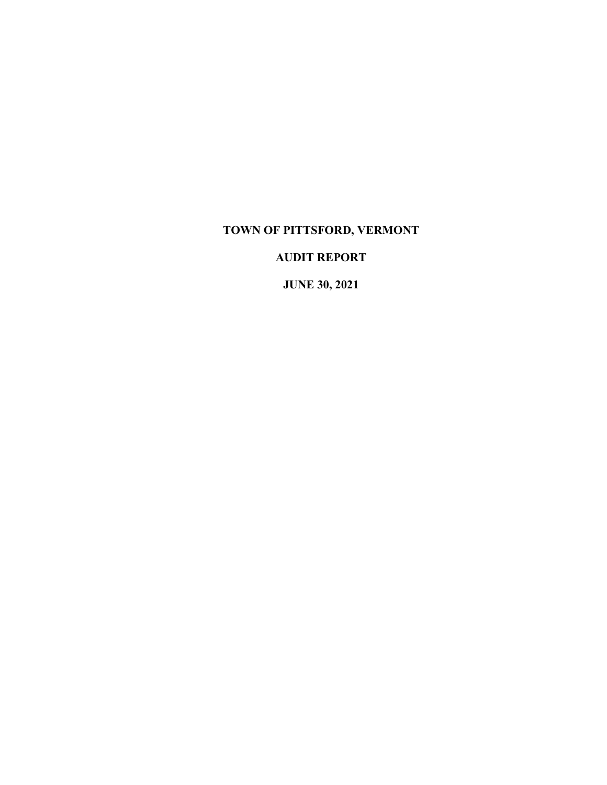# **TOWN OF PITTSFORD, VERMONT**

## **AUDIT REPORT**

**JUNE 30, 2021**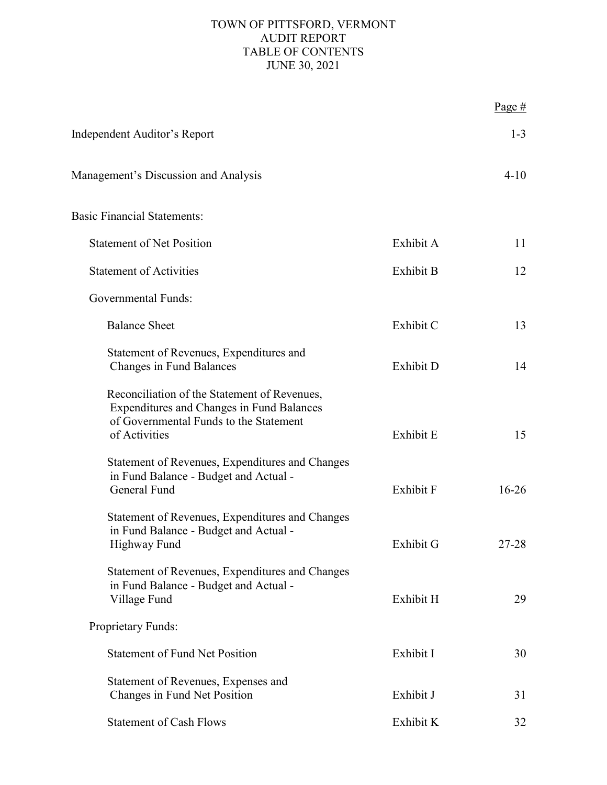# TOWN OF PITTSFORD, VERMONT AUDIT REPORT TABLE OF CONTENTS JUNE 30, 2021

|                                                                                                                                                             |           | Page $#$ |
|-------------------------------------------------------------------------------------------------------------------------------------------------------------|-----------|----------|
| Independent Auditor's Report                                                                                                                                |           | $1 - 3$  |
| Management's Discussion and Analysis                                                                                                                        |           | $4 - 10$ |
| <b>Basic Financial Statements:</b>                                                                                                                          |           |          |
| <b>Statement of Net Position</b>                                                                                                                            | Exhibit A | 11       |
| <b>Statement of Activities</b>                                                                                                                              | Exhibit B | 12       |
| <b>Governmental Funds:</b>                                                                                                                                  |           |          |
| <b>Balance Sheet</b>                                                                                                                                        | Exhibit C | 13       |
| Statement of Revenues, Expenditures and<br>Changes in Fund Balances                                                                                         | Exhibit D | 14       |
| Reconciliation of the Statement of Revenues,<br><b>Expenditures and Changes in Fund Balances</b><br>of Governmental Funds to the Statement<br>of Activities | Exhibit E | 15       |
| Statement of Revenues, Expenditures and Changes<br>in Fund Balance - Budget and Actual -<br>General Fund                                                    | Exhibit F | $16-26$  |
| Statement of Revenues, Expenditures and Changes<br>in Fund Balance - Budget and Actual -<br>Highway Fund                                                    | Exhibit G | 27-28    |
| Statement of Revenues, Expenditures and Changes<br>in Fund Balance - Budget and Actual -<br>Village Fund                                                    | Exhibit H | 29       |
| <b>Proprietary Funds:</b>                                                                                                                                   |           |          |
| <b>Statement of Fund Net Position</b>                                                                                                                       | Exhibit I | 30       |
| Statement of Revenues, Expenses and<br>Changes in Fund Net Position                                                                                         | Exhibit J | 31       |
| <b>Statement of Cash Flows</b>                                                                                                                              | Exhibit K | 32       |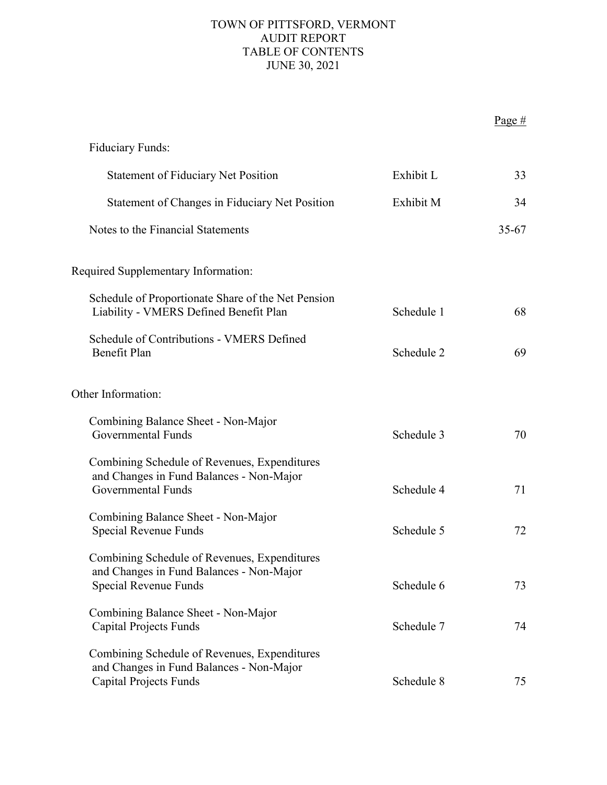# TOWN OF PITTSFORD, VERMONT AUDIT REPORT TABLE OF CONTENTS JUNE 30, 2021

|                                                                                                                           |            | Page #    |
|---------------------------------------------------------------------------------------------------------------------------|------------|-----------|
| <b>Fiduciary Funds:</b>                                                                                                   |            |           |
| <b>Statement of Fiduciary Net Position</b>                                                                                | Exhibit L  | 33        |
| Statement of Changes in Fiduciary Net Position                                                                            | Exhibit M  | 34        |
| Notes to the Financial Statements                                                                                         |            | $35 - 67$ |
| Required Supplementary Information:                                                                                       |            |           |
| Schedule of Proportionate Share of the Net Pension<br>Liability - VMERS Defined Benefit Plan                              | Schedule 1 | 68        |
| Schedule of Contributions - VMERS Defined<br>Benefit Plan                                                                 | Schedule 2 | 69        |
| Other Information:                                                                                                        |            |           |
| Combining Balance Sheet - Non-Major<br>Governmental Funds                                                                 | Schedule 3 | 70        |
| Combining Schedule of Revenues, Expenditures<br>and Changes in Fund Balances - Non-Major<br>Governmental Funds            | Schedule 4 | 71        |
| Combining Balance Sheet - Non-Major<br>Special Revenue Funds                                                              | Schedule 5 | 72        |
| Combining Schedule of Revenues, Expenditures<br>and Changes in Fund Balances - Non-Major<br>Special Revenue Funds         | Schedule 6 | 73        |
| Combining Balance Sheet - Non-Major<br><b>Capital Projects Funds</b>                                                      | Schedule 7 | 74        |
| Combining Schedule of Revenues, Expenditures<br>and Changes in Fund Balances - Non-Major<br><b>Capital Projects Funds</b> | Schedule 8 | 75        |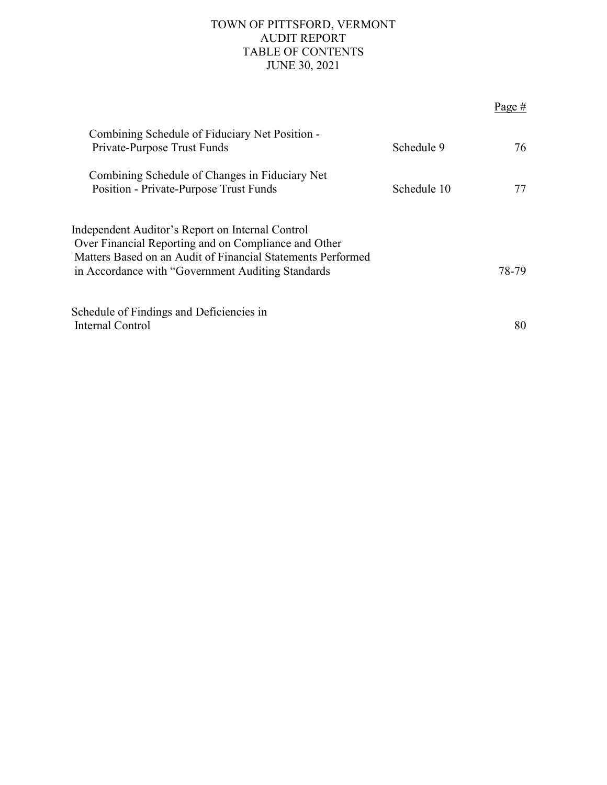# TOWN OF PITTSFORD, VERMONT AUDIT REPORT TABLE OF CONTENTS JUNE 30, 2021

|                                                                                                                                                                                                                               |             | Page # |
|-------------------------------------------------------------------------------------------------------------------------------------------------------------------------------------------------------------------------------|-------------|--------|
| Combining Schedule of Fiduciary Net Position -<br>Private-Purpose Trust Funds                                                                                                                                                 | Schedule 9  | 76     |
| Combining Schedule of Changes in Fiduciary Net<br><b>Position - Private-Purpose Trust Funds</b>                                                                                                                               | Schedule 10 | 77     |
| Independent Auditor's Report on Internal Control<br>Over Financial Reporting and on Compliance and Other<br>Matters Based on an Audit of Financial Statements Performed<br>in Accordance with "Government Auditing Standards" |             | 78-79  |
| Schedule of Findings and Deficiencies in<br>Internal Control                                                                                                                                                                  |             | 80     |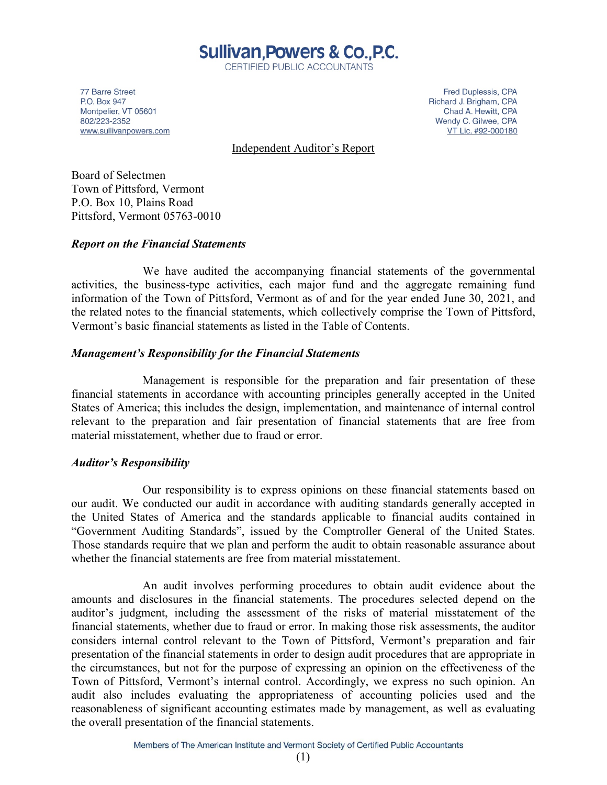

**77 Barre Street** P.O. Box 947 Montpelier, VT 05601 802/223-2352 www.sullivanpowers.com

Fred Duplessis, CPA Richard J. Brigham, CPA Chad A. Hewitt, CPA Wendy C. Gilwee, CPA VT Lic. #92-000180

### Independent Auditor's Report

Board of Selectmen Town of Pittsford, Vermont P.O. Box 10, Plains Road Pittsford, Vermont 05763-0010

## *Report on the Financial Statements*

We have audited the accompanying financial statements of the governmental activities, the business-type activities, each major fund and the aggregate remaining fund information of the Town of Pittsford, Vermont as of and for the year ended June 30, 2021, and the related notes to the financial statements, which collectively comprise the Town of Pittsford, Vermont's basic financial statements as listed in the Table of Contents.

## *Management's Responsibility for the Financial Statements*

Management is responsible for the preparation and fair presentation of these financial statements in accordance with accounting principles generally accepted in the United States of America; this includes the design, implementation, and maintenance of internal control relevant to the preparation and fair presentation of financial statements that are free from material misstatement, whether due to fraud or error.

### *Auditor's Responsibility*

Our responsibility is to express opinions on these financial statements based on our audit. We conducted our audit in accordance with auditing standards generally accepted in the United States of America and the standards applicable to financial audits contained in "Government Auditing Standards", issued by the Comptroller General of the United States. Those standards require that we plan and perform the audit to obtain reasonable assurance about whether the financial statements are free from material misstatement.

An audit involves performing procedures to obtain audit evidence about the amounts and disclosures in the financial statements. The procedures selected depend on the auditor's judgment, including the assessment of the risks of material misstatement of the financial statements, whether due to fraud or error. In making those risk assessments, the auditor considers internal control relevant to the Town of Pittsford, Vermont's preparation and fair presentation of the financial statements in order to design audit procedures that are appropriate in the circumstances, but not for the purpose of expressing an opinion on the effectiveness of the Town of Pittsford, Vermont's internal control. Accordingly, we express no such opinion. An audit also includes evaluating the appropriateness of accounting policies used and the reasonableness of significant accounting estimates made by management, as well as evaluating the overall presentation of the financial statements.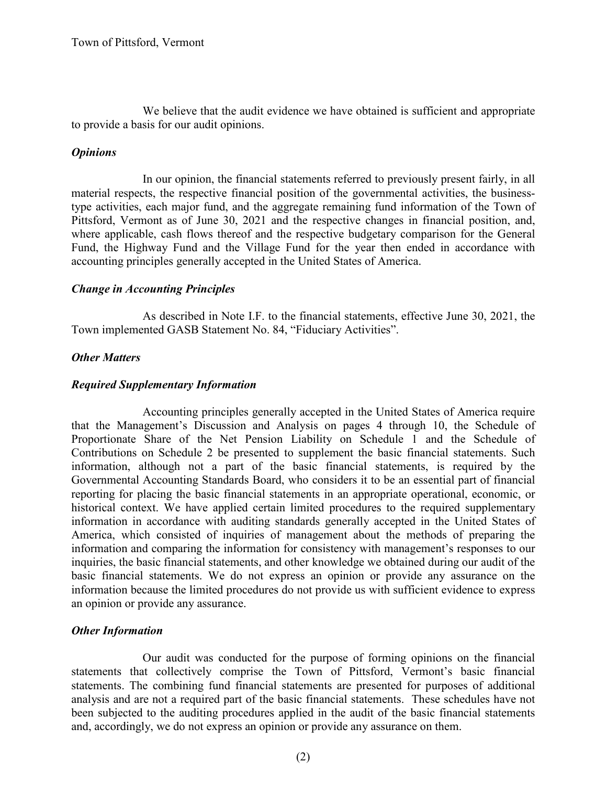We believe that the audit evidence we have obtained is sufficient and appropriate to provide a basis for our audit opinions.

## *Opinions*

In our opinion, the financial statements referred to previously present fairly, in all material respects, the respective financial position of the governmental activities, the businesstype activities, each major fund, and the aggregate remaining fund information of the Town of Pittsford, Vermont as of June 30, 2021 and the respective changes in financial position, and, where applicable, cash flows thereof and the respective budgetary comparison for the General Fund, the Highway Fund and the Village Fund for the year then ended in accordance with accounting principles generally accepted in the United States of America.

## *Change in Accounting Principles*

As described in Note I.F. to the financial statements, effective June 30, 2021, the Town implemented GASB Statement No. 84, "Fiduciary Activities".

## *Other Matters*

## *Required Supplementary Information*

Accounting principles generally accepted in the United States of America require that the Management's Discussion and Analysis on pages 4 through 10, the Schedule of Proportionate Share of the Net Pension Liability on Schedule 1 and the Schedule of Contributions on Schedule 2 be presented to supplement the basic financial statements. Such information, although not a part of the basic financial statements, is required by the Governmental Accounting Standards Board, who considers it to be an essential part of financial reporting for placing the basic financial statements in an appropriate operational, economic, or historical context. We have applied certain limited procedures to the required supplementary information in accordance with auditing standards generally accepted in the United States of America, which consisted of inquiries of management about the methods of preparing the information and comparing the information for consistency with management's responses to our inquiries, the basic financial statements, and other knowledge we obtained during our audit of the basic financial statements. We do not express an opinion or provide any assurance on the information because the limited procedures do not provide us with sufficient evidence to express an opinion or provide any assurance.

## *Other Information*

Our audit was conducted for the purpose of forming opinions on the financial statements that collectively comprise the Town of Pittsford, Vermont's basic financial statements. The combining fund financial statements are presented for purposes of additional analysis and are not a required part of the basic financial statements. These schedules have not been subjected to the auditing procedures applied in the audit of the basic financial statements and, accordingly, we do not express an opinion or provide any assurance on them.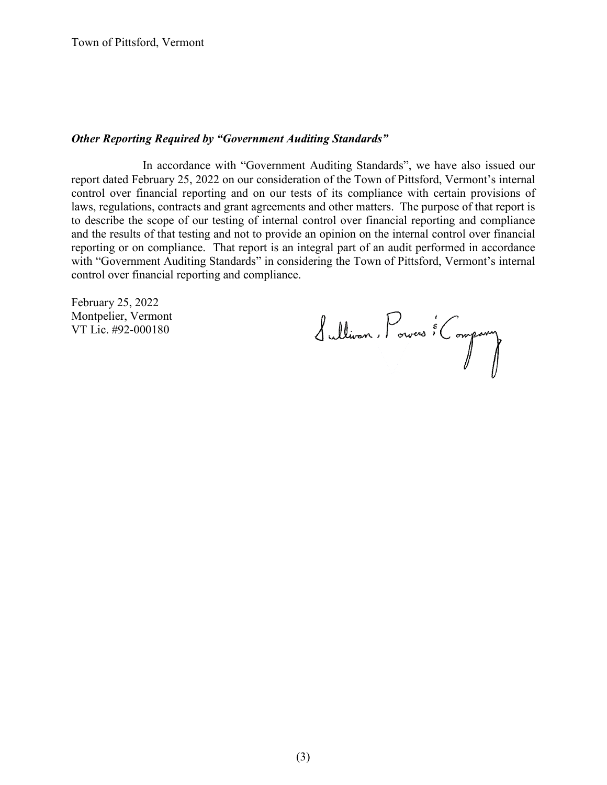Town of Pittsford, Vermont

### *Other Reporting Required by "Government Auditing Standards"*

In accordance with "Government Auditing Standards", we have also issued our report dated February 25, 2022 on our consideration of the Town of Pittsford, Vermont's internal control over financial reporting and on our tests of its compliance with certain provisions of laws, regulations, contracts and grant agreements and other matters. The purpose of that report is to describe the scope of our testing of internal control over financial reporting and compliance and the results of that testing and not to provide an opinion on the internal control over financial reporting or on compliance. That report is an integral part of an audit performed in accordance with "Government Auditing Standards" in considering the Town of Pittsford, Vermont's internal control over financial reporting and compliance.

February 25, 2022 Montpelier, Vermont VT Lic. #92-000180

Sullivan, Powers : Company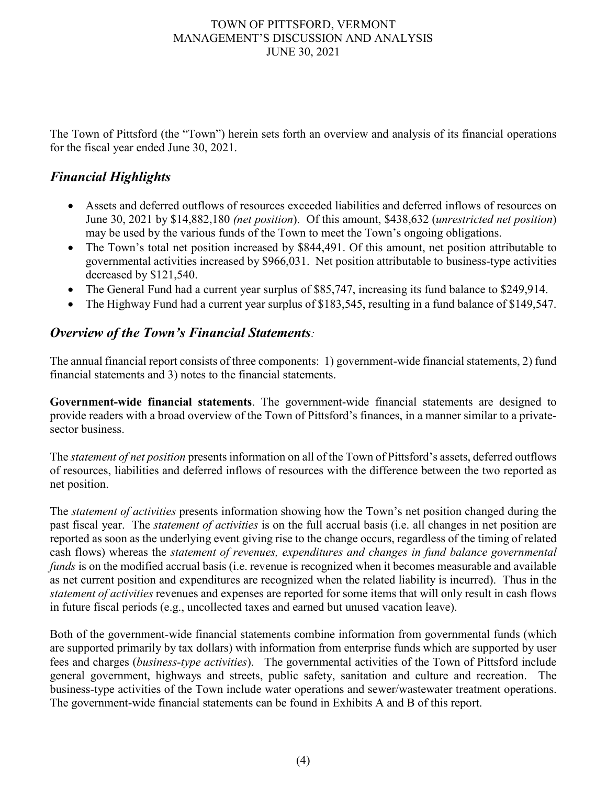The Town of Pittsford (the "Town") herein sets forth an overview and analysis of its financial operations for the fiscal year ended June 30, 2021.

# *Financial Highlights*

- Assets and deferred outflows of resources exceeded liabilities and deferred inflows of resources on June 30, 2021 by \$14,882,180 *(net position*). Of this amount, \$438,632 (*unrestricted net position*) may be used by the various funds of the Town to meet the Town's ongoing obligations.
- The Town's total net position increased by \$844,491. Of this amount, net position attributable to governmental activities increased by \$966,031. Net position attributable to business-type activities decreased by \$121,540.
- The General Fund had a current year surplus of \$85,747, increasing its fund balance to \$249,914.
- The Highway Fund had a current year surplus of \$183,545, resulting in a fund balance of \$149,547.

# *Overview of the Town's Financial Statements:*

The annual financial report consists of three components: 1) government-wide financial statements, 2) fund financial statements and 3) notes to the financial statements.

**Government-wide financial statements**. The government-wide financial statements are designed to provide readers with a broad overview of the Town of Pittsford's finances, in a manner similar to a privatesector business.

The *statement of net position* presents information on all of the Town of Pittsford's assets, deferred outflows of resources, liabilities and deferred inflows of resources with the difference between the two reported as net position.

The *statement of activities* presents information showing how the Town's net position changed during the past fiscal year. The *statement of activities* is on the full accrual basis (i.e. all changes in net position are reported as soon as the underlying event giving rise to the change occurs, regardless of the timing of related cash flows) whereas the *statement of revenues, expenditures and changes in fund balance governmental funds* is on the modified accrual basis (i.e. revenue is recognized when it becomes measurable and available as net current position and expenditures are recognized when the related liability is incurred). Thus in the *statement of activities* revenues and expenses are reported for some items that will only result in cash flows in future fiscal periods (e.g., uncollected taxes and earned but unused vacation leave).

Both of the government-wide financial statements combine information from governmental funds (which are supported primarily by tax dollars) with information from enterprise funds which are supported by user fees and charges (*business-type activities*). The governmental activities of the Town of Pittsford include general government, highways and streets, public safety, sanitation and culture and recreation. The business-type activities of the Town include water operations and sewer/wastewater treatment operations. The government-wide financial statements can be found in Exhibits A and B of this report.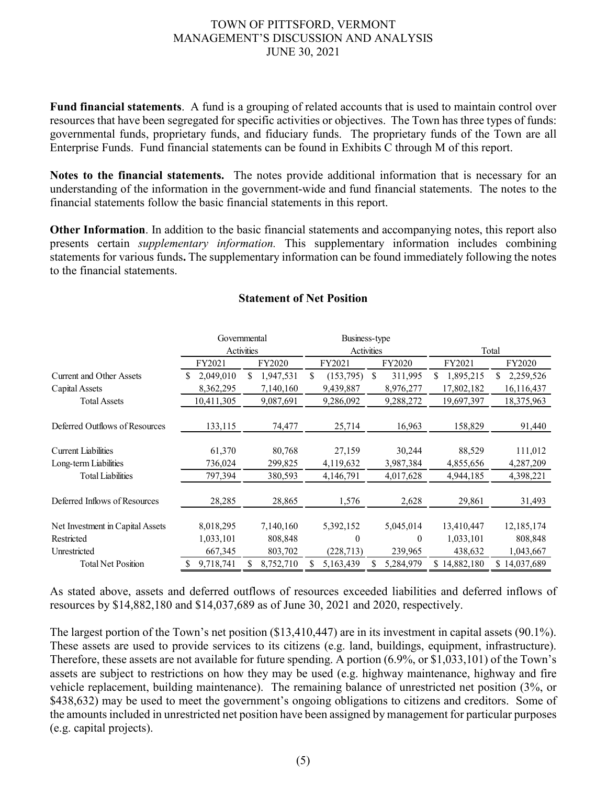**Fund financial statements**. A fund is a grouping of related accounts that is used to maintain control over resources that have been segregated for specific activities or objectives. The Town has three types of funds: governmental funds, proprietary funds, and fiduciary funds. The proprietary funds of the Town are all Enterprise Funds. Fund financial statements can be found in Exhibits C through M of this report.

**Notes to the financial statements.** The notes provide additional information that is necessary for an understanding of the information in the government-wide and fund financial statements. The notes to the financial statements follow the basic financial statements in this report.

**Other Information**. In addition to the basic financial statements and accompanying notes, this report also presents certain *supplementary information.* This supplementary information includes combining statements for various funds**.** The supplementary information can be found immediately following the notes to the financial statements.

|                                  | Business-type<br>Governmental |            |    |           |    |                   |    |           |                  |       |              |  |  |
|----------------------------------|-------------------------------|------------|----|-----------|----|-------------------|----|-----------|------------------|-------|--------------|--|--|
|                                  |                               | Activities |    |           |    | <b>Activities</b> |    |           |                  | Total |              |  |  |
|                                  |                               | FY2021     |    | FY2020    |    | FY2021            |    | FY2020    | FY2021           |       | FY2020       |  |  |
| <b>Current and Other Assets</b>  | S                             | 2,049,010  | \$ | 1,947,531 | \$ | (153,795)         | \$ | 311,995   | 1,895,215<br>\$  | \$    | 2,259,526    |  |  |
| Capital Assets                   |                               | 8,362,295  |    | 7,140,160 |    | 9,439,887         |    | 8,976,277 | 17,802,182       |       | 16,116,437   |  |  |
| <b>Total Assets</b>              |                               | 10,411,305 |    | 9,087,691 |    | 9,286,092         |    | 9,288,272 | 19,697,397       |       | 18,375,963   |  |  |
| Deferred Outflows of Resources   |                               | 133,115    |    | 74,477    |    | 25,714            |    | 16,963    | 158,829          |       | 91,440       |  |  |
| <b>Current Liabilities</b>       |                               | 61,370     |    | 80,768    |    | 27,159            |    | 30,244    | 88,529           |       | 111,012      |  |  |
| Long-term Liabilities            |                               | 736,024    |    | 299,825   |    | 4,119,632         |    | 3,987,384 | 4,855,656        |       | 4,287,209    |  |  |
| <b>Total Liabilities</b>         |                               | 797,394    |    | 380,593   |    | 4,146,791         |    | 4,017,628 | 4,944,185        |       | 4,398,221    |  |  |
| Deferred Inflows of Resources    |                               | 28,285     |    | 28,865    |    | 1,576             |    | 2,628     | 29,861           |       | 31,493       |  |  |
| Net Investment in Capital Assets |                               | 8,018,295  |    | 7,140,160 |    | 5,392,152         |    | 5,045,014 | 13,410,447       |       | 12,185,174   |  |  |
| Restricted                       |                               | 1,033,101  |    | 808,848   |    | $\overline{0}$    |    | $\theta$  | 1,033,101        |       | 808,848      |  |  |
| Unrestricted                     |                               | 667,345    |    | 803,702   |    | (228, 713)        |    | 239,965   | 438,632          |       | 1,043,667    |  |  |
| <b>Total Net Position</b>        | \$                            | 9,718,741  | S  | 8,752,710 |    | 5,163,439         | \$ | 5,284,979 | 14,882,180<br>S. |       | \$14,037,689 |  |  |

## **Statement of Net Position**

As stated above, assets and deferred outflows of resources exceeded liabilities and deferred inflows of resources by \$14,882,180 and \$14,037,689 as of June 30, 2021 and 2020, respectively.

The largest portion of the Town's net position (\$13,410,447) are in its investment in capital assets (90.1%). These assets are used to provide services to its citizens (e.g. land, buildings, equipment, infrastructure). Therefore, these assets are not available for future spending. A portion (6.9%, or \$1,033,101) of the Town's assets are subject to restrictions on how they may be used (e.g. highway maintenance, highway and fire vehicle replacement, building maintenance). The remaining balance of unrestricted net position (3%, or \$438,632) may be used to meet the government's ongoing obligations to citizens and creditors. Some of the amounts included in unrestricted net position have been assigned by management for particular purposes (e.g. capital projects).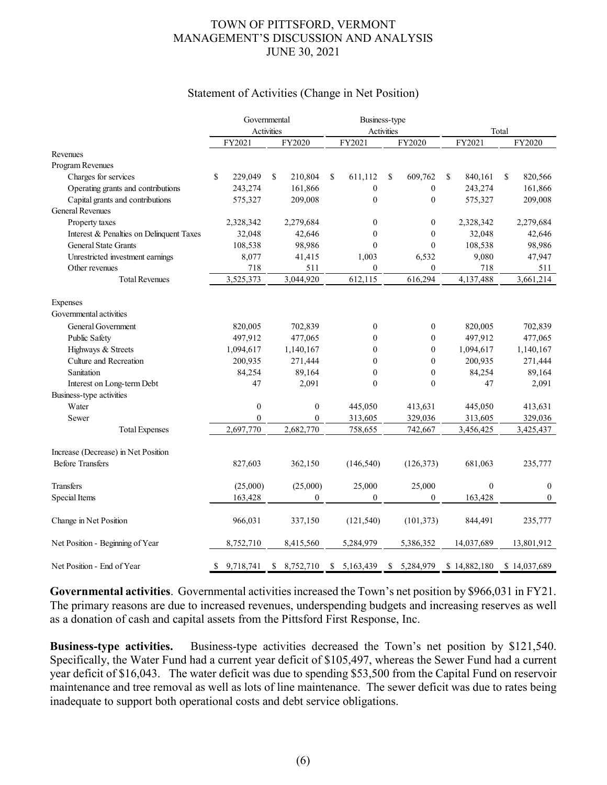## Statement of Activities (Change in Net Position)

|                                          | Governmental              |    |                  |            | Business-type      |   |                  |       |              |   |                |
|------------------------------------------|---------------------------|----|------------------|------------|--------------------|---|------------------|-------|--------------|---|----------------|
|                                          | Activities                |    |                  | Activities |                    |   |                  | Total |              |   |                |
|                                          | FY2021                    |    | FY2020           |            | FY2021             |   | FY2020           |       | FY2021       |   | FY2020         |
| Revenues                                 |                           |    |                  |            |                    |   |                  |       |              |   |                |
| Program Revenues                         |                           |    |                  |            |                    |   |                  |       |              |   |                |
| Charges for services                     | S<br>229,049              | \$ | 210,804          | S          | 611,112            | S | 609,762          | \$    | 840,161      | S | 820,566        |
| Operating grants and contributions       | 243,274                   |    | 161,866          |            | $\boldsymbol{0}$   |   | $\boldsymbol{0}$ |       | 243,274      |   | 161,866        |
| Capital grants and contributions         | 575,327                   |    | 209,008          |            | $\overline{0}$     |   | $\mathbf{0}$     |       | 575,327      |   | 209,008        |
| <b>General Revenues</b>                  |                           |    |                  |            |                    |   |                  |       |              |   |                |
| Property taxes                           | 2,328,342                 |    | 2,279,684        |            | 0                  |   | $\mathbf{0}$     |       | 2,328,342    |   | 2,279,684      |
| Interest & Penalties on Delinquent Taxes | 32,048                    |    | 42,646           |            | $\mathbf{0}$       |   | $\mathbf{0}$     |       | 32,048       |   | 42,646         |
| <b>General State Grants</b>              | 108,538                   |    | 98,986           |            | $\theta$           |   | $\mathbf{0}$     |       | 108,538      |   | 98,986         |
| Unrestricted investment earnings         | 8,077                     |    | 41,415           |            | 1,003              |   | 6,532            |       | 9,080        |   | 47,947         |
| Other revenues                           | 718                       |    | 511              |            | $\boldsymbol{0}$   |   | $\boldsymbol{0}$ |       | 718          |   | 511            |
| <b>Total Revenues</b>                    | 3,525,373                 |    | 3,044,920        |            | 612,115            |   | 616,294          |       | 4,137,488    |   | 3,661,214      |
| Expenses                                 |                           |    |                  |            |                    |   |                  |       |              |   |                |
| Governmental activities                  |                           |    |                  |            |                    |   |                  |       |              |   |                |
| General Government                       | 820,005                   |    | 702,839          |            | $\boldsymbol{0}$   |   | $\boldsymbol{0}$ |       | 820,005      |   | 702,839        |
| Public Safety                            | 497,912                   |    | 477,065          |            | $\mathbf{0}$       |   | $\mathbf{0}$     |       | 497,912      |   | 477,065        |
| Highways & Streets                       | 1,094,617                 |    | 1,140,167        |            | $\mathbf{0}$       |   | $\mathbf{0}$     |       | 1,094,617    |   | 1,140,167      |
| Culture and Recreation                   | 200,935                   |    | 271,444          |            | $\mathbf{0}$       |   | $\mathbf{0}$     |       | 200,935      |   | 271,444        |
| Sanitation                               | 84,254                    |    | 89,164           |            | $\boldsymbol{0}$   |   | $\boldsymbol{0}$ |       | 84,254       |   | 89,164         |
| Interest on Long-term Debt               | 47                        |    | 2,091            |            | $\boldsymbol{0}$   |   | $\boldsymbol{0}$ |       | 47           |   | 2,091          |
| Business-type activities                 |                           |    |                  |            |                    |   |                  |       |              |   |                |
| Water                                    | $\boldsymbol{0}$          |    | $\boldsymbol{0}$ |            | 445,050            |   | 413,631          |       | 445,050      |   | 413,631        |
| Sewer                                    | $\mathbf{0}$              |    | $\overline{0}$   |            | 313,605            |   | 329,036          |       | 313,605      |   | 329,036        |
| <b>Total Expenses</b>                    | 2,697,770                 |    | 2,682,770        |            | 758,655            |   | 742,667          |       | 3,456,425    |   | 3,425,437      |
| Increase (Decrease) in Net Position      |                           |    |                  |            |                    |   |                  |       |              |   |                |
| <b>Before Transfers</b>                  | 827,603                   |    | 362,150          |            | (146, 540)         |   | (126, 373)       |       | 681,063      |   | 235,777        |
| <b>Transfers</b>                         |                           |    | (25,000)         |            |                    |   | 25,000           |       | $\theta$     |   | $\mathbf{0}$   |
|                                          | (25,000)                  |    |                  |            | 25,000<br>$\theta$ |   |                  |       |              |   | $\overline{0}$ |
| Special Items                            | 163,428                   |    | $\boldsymbol{0}$ |            |                    |   | $\mathbf{0}$     |       | 163,428      |   |                |
| Change in Net Position                   | 966,031                   |    | 337,150          |            | (121, 540)         |   | (101, 373)       |       | 844,491      |   | 235,777        |
| Net Position - Beginning of Year         | 8,752,710                 |    | 8,415,560        |            | 5,284,979          |   | 5,386,352        |       | 14,037,689   |   | 13,801,912     |
| Net Position - End of Year               | 9,718,741<br><sup>S</sup> | S. | 8,752,710        | \$         | 5,163,439          | S | 5,284,979        |       | \$14,882,180 |   | \$14,037,689   |

**Governmental activities**. Governmental activities increased the Town's net position by \$966,031 in FY21. The primary reasons are due to increased revenues, underspending budgets and increasing reserves as well as a donation of cash and capital assets from the Pittsford First Response, Inc.

**Business-type activities.** Business-type activities decreased the Town's net position by \$121,540. Specifically, the Water Fund had a current year deficit of \$105,497, whereas the Sewer Fund had a current year deficit of \$16,043. The water deficit was due to spending \$53,500 from the Capital Fund on reservoir maintenance and tree removal as well as lots of line maintenance. The sewer deficit was due to rates being inadequate to support both operational costs and debt service obligations.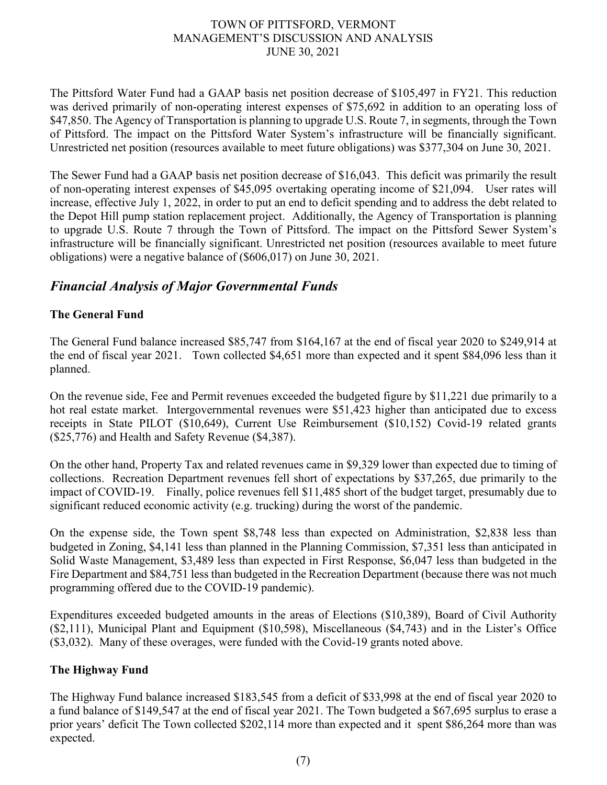The Pittsford Water Fund had a GAAP basis net position decrease of \$105,497 in FY21. This reduction was derived primarily of non-operating interest expenses of \$75,692 in addition to an operating loss of \$47,850. The Agency of Transportation is planning to upgrade U.S. Route 7, in segments, through the Town of Pittsford. The impact on the Pittsford Water System's infrastructure will be financially significant. Unrestricted net position (resources available to meet future obligations) was \$377,304 on June 30, 2021.

The Sewer Fund had a GAAP basis net position decrease of \$16,043. This deficit was primarily the result of non-operating interest expenses of \$45,095 overtaking operating income of \$21,094. User rates will increase, effective July 1, 2022, in order to put an end to deficit spending and to address the debt related to the Depot Hill pump station replacement project. Additionally, the Agency of Transportation is planning to upgrade U.S. Route 7 through the Town of Pittsford. The impact on the Pittsford Sewer System's infrastructure will be financially significant. Unrestricted net position (resources available to meet future obligations) were a negative balance of (\$606,017) on June 30, 2021.

# *Financial Analysis of Major Governmental Funds*

## **The General Fund**

The General Fund balance increased \$85,747 from \$164,167 at the end of fiscal year 2020 to \$249,914 at the end of fiscal year 2021. Town collected \$4,651 more than expected and it spent \$84,096 less than it planned.

On the revenue side, Fee and Permit revenues exceeded the budgeted figure by \$11,221 due primarily to a hot real estate market. Intergovernmental revenues were \$51,423 higher than anticipated due to excess receipts in State PILOT (\$10,649), Current Use Reimbursement (\$10,152) Covid-19 related grants (\$25,776) and Health and Safety Revenue (\$4,387).

On the other hand, Property Tax and related revenues came in \$9,329 lower than expected due to timing of collections. Recreation Department revenues fell short of expectations by \$37,265, due primarily to the impact of COVID-19. Finally, police revenues fell \$11,485 short of the budget target, presumably due to significant reduced economic activity (e.g. trucking) during the worst of the pandemic.

On the expense side, the Town spent \$8,748 less than expected on Administration, \$2,838 less than budgeted in Zoning, \$4,141 less than planned in the Planning Commission, \$7,351 less than anticipated in Solid Waste Management, \$3,489 less than expected in First Response, \$6,047 less than budgeted in the Fire Department and \$84,751 less than budgeted in the Recreation Department (because there was not much programming offered due to the COVID-19 pandemic).

Expenditures exceeded budgeted amounts in the areas of Elections (\$10,389), Board of Civil Authority (\$2,111), Municipal Plant and Equipment (\$10,598), Miscellaneous (\$4,743) and in the Lister's Office (\$3,032). Many of these overages, were funded with the Covid-19 grants noted above.

# **The Highway Fund**

The Highway Fund balance increased \$183,545 from a deficit of \$33,998 at the end of fiscal year 2020 to a fund balance of \$149,547 at the end of fiscal year 2021. The Town budgeted a \$67,695 surplus to erase a prior years' deficit The Town collected \$202,114 more than expected and it spent \$86,264 more than was expected.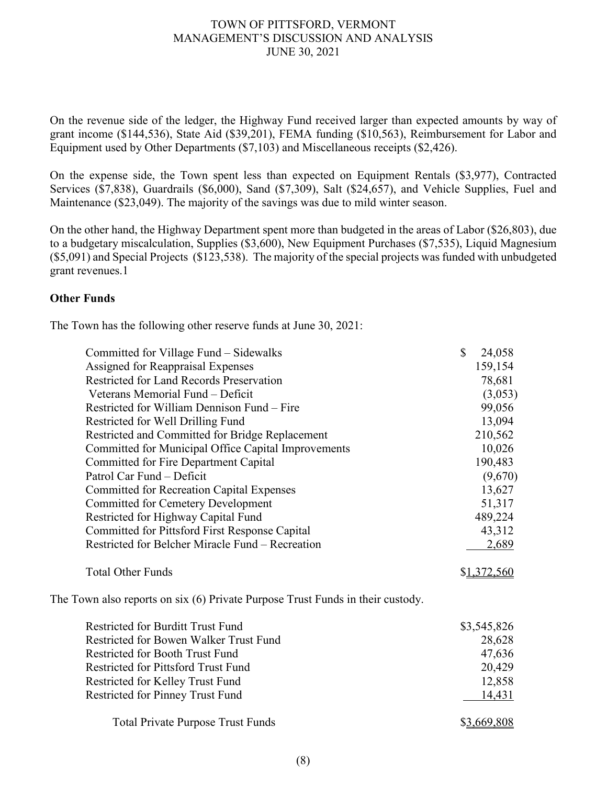On the revenue side of the ledger, the Highway Fund received larger than expected amounts by way of grant income (\$144,536), State Aid (\$39,201), FEMA funding (\$10,563), Reimbursement for Labor and Equipment used by Other Departments (\$7,103) and Miscellaneous receipts (\$2,426).

On the expense side, the Town spent less than expected on Equipment Rentals (\$3,977), Contracted Services (\$7,838), Guardrails (\$6,000), Sand (\$7,309), Salt (\$24,657), and Vehicle Supplies, Fuel and Maintenance (\$23,049). The majority of the savings was due to mild winter season.

On the other hand, the Highway Department spent more than budgeted in the areas of Labor (\$26,803), due to a budgetary miscalculation, Supplies (\$3,600), New Equipment Purchases (\$7,535), Liquid Magnesium (\$5,091) and Special Projects (\$123,538). The majority of the special projects was funded with unbudgeted grant revenues.1

## **Other Funds**

The Town has the following other reserve funds at June 30, 2021:

| Committed for Village Fund – Sidewalks                                         | $\mathbb{S}$ | 24,058      |
|--------------------------------------------------------------------------------|--------------|-------------|
| Assigned for Reappraisal Expenses                                              |              | 159,154     |
| <b>Restricted for Land Records Preservation</b>                                |              | 78,681      |
| Veterans Memorial Fund - Deficit                                               |              | (3,053)     |
| Restricted for William Dennison Fund – Fire                                    |              | 99,056      |
| Restricted for Well Drilling Fund                                              |              | 13,094      |
| Restricted and Committed for Bridge Replacement                                |              | 210,562     |
| Committed for Municipal Office Capital Improvements                            |              | 10,026      |
| Committed for Fire Department Capital                                          |              | 190,483     |
| Patrol Car Fund - Deficit                                                      |              | (9,670)     |
| <b>Committed for Recreation Capital Expenses</b>                               |              | 13,627      |
| <b>Committed for Cemetery Development</b>                                      |              | 51,317      |
| Restricted for Highway Capital Fund                                            |              | 489,224     |
| Committed for Pittsford First Response Capital                                 |              | 43,312      |
| Restricted for Belcher Miracle Fund – Recreation                               |              | 2,689       |
| <b>Total Other Funds</b>                                                       |              | \$1,372,560 |
| The Town also reports on six (6) Private Purpose Trust Funds in their custody. |              |             |
| <b>Restricted for Burditt Trust Fund</b>                                       |              | \$3,545,826 |
| Restricted for Bowen Walker Trust Fund                                         |              | 28,628      |
| <b>Restricted for Booth Trust Fund</b>                                         |              | 47,636      |
| <b>Restricted for Pittsford Trust Fund</b>                                     |              | 20,429      |

| Total Private Purpose Trust Funds | \$3,669,808 |
|-----------------------------------|-------------|

Restricted for Kelley Trust Fund 12,858 Restricted for Pinney Trust Fund 14,431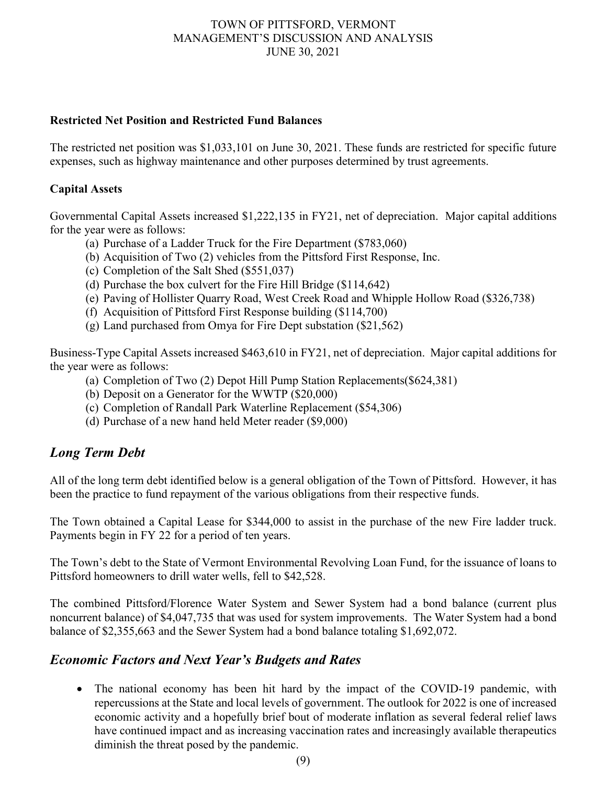## **Restricted Net Position and Restricted Fund Balances**

The restricted net position was \$1,033,101 on June 30, 2021. These funds are restricted for specific future expenses, such as highway maintenance and other purposes determined by trust agreements.

## **Capital Assets**

Governmental Capital Assets increased \$1,222,135 in FY21, net of depreciation. Major capital additions for the year were as follows:

- (a) Purchase of a Ladder Truck for the Fire Department (\$783,060)
- (b) Acquisition of Two (2) vehicles from the Pittsford First Response, Inc.
- (c) Completion of the Salt Shed (\$551,037)
- (d) Purchase the box culvert for the Fire Hill Bridge (\$114,642)
- (e) Paving of Hollister Quarry Road, West Creek Road and Whipple Hollow Road (\$326,738)
- (f) Acquisition of Pittsford First Response building (\$114,700)
- (g) Land purchased from Omya for Fire Dept substation (\$21,562)

Business-Type Capital Assets increased \$463,610 in FY21, net of depreciation. Major capital additions for the year were as follows:

- (a) Completion of Two (2) Depot Hill Pump Station Replacements(\$624,381)
- (b) Deposit on a Generator for the WWTP (\$20,000)
- (c) Completion of Randall Park Waterline Replacement (\$54,306)
- (d) Purchase of a new hand held Meter reader (\$9,000)

# *Long Term Debt*

All of the long term debt identified below is a general obligation of the Town of Pittsford. However, it has been the practice to fund repayment of the various obligations from their respective funds.

The Town obtained a Capital Lease for \$344,000 to assist in the purchase of the new Fire ladder truck. Payments begin in FY 22 for a period of ten years.

The Town's debt to the State of Vermont Environmental Revolving Loan Fund, for the issuance of loans to Pittsford homeowners to drill water wells, fell to \$42,528.

The combined Pittsford/Florence Water System and Sewer System had a bond balance (current plus noncurrent balance) of \$4,047,735 that was used for system improvements. The Water System had a bond balance of \$2,355,663 and the Sewer System had a bond balance totaling \$1,692,072.

# *Economic Factors and Next Year's Budgets and Rates*

• The national economy has been hit hard by the impact of the COVID-19 pandemic, with repercussions at the State and local levels of government. The outlook for 2022 is one of increased economic activity and a hopefully brief bout of moderate inflation as several federal relief laws have continued impact and as increasing vaccination rates and increasingly available therapeutics diminish the threat posed by the pandemic.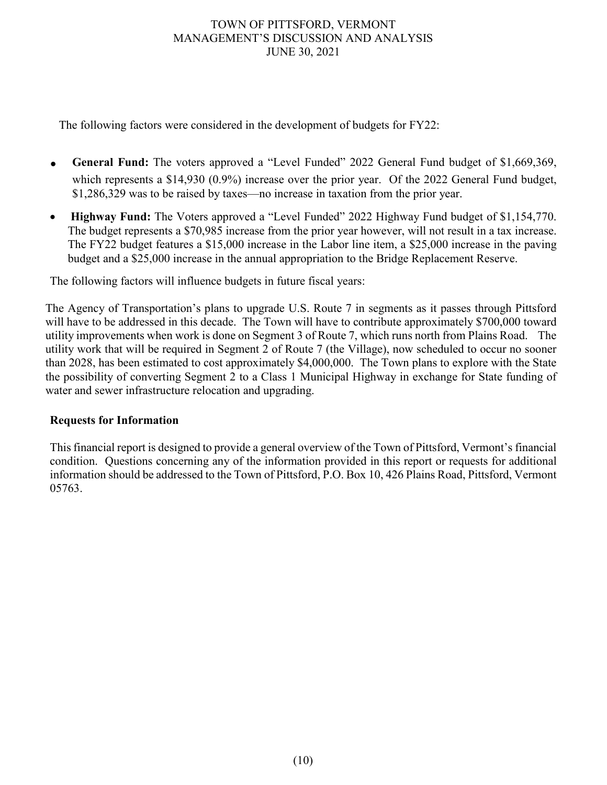The following factors were considered in the development of budgets for FY22:

- **. General Fund:** The voters approved a "Level Funded" 2022 General Fund budget of \$1,669,369, which represents a \$14,930 (0.9%) increase over the prior year. Of the 2022 General Fund budget, \$1,286,329 was to be raised by taxes—no increase in taxation from the prior year.
- **Highway Fund:** The Voters approved a "Level Funded" 2022 Highway Fund budget of \$1,154,770. The budget represents a \$70,985 increase from the prior year however, will not result in a tax increase. The FY22 budget features a \$15,000 increase in the Labor line item, a \$25,000 increase in the paving budget and a \$25,000 increase in the annual appropriation to the Bridge Replacement Reserve.

The following factors will influence budgets in future fiscal years:

The Agency of Transportation's plans to upgrade U.S. Route 7 in segments as it passes through Pittsford will have to be addressed in this decade. The Town will have to contribute approximately \$700,000 toward utility improvements when work is done on Segment 3 of Route 7, which runs north from Plains Road. The utility work that will be required in Segment 2 of Route 7 (the Village), now scheduled to occur no sooner than 2028, has been estimated to cost approximately \$4,000,000. The Town plans to explore with the State the possibility of converting Segment 2 to a Class 1 Municipal Highway in exchange for State funding of water and sewer infrastructure relocation and upgrading.

## **Requests for Information**

This financial report is designed to provide a general overview of the Town of Pittsford, Vermont's financial condition. Questions concerning any of the information provided in this report or requests for additional information should be addressed to the Town of Pittsford, P.O. Box 10, 426 Plains Road, Pittsford, Vermont 05763.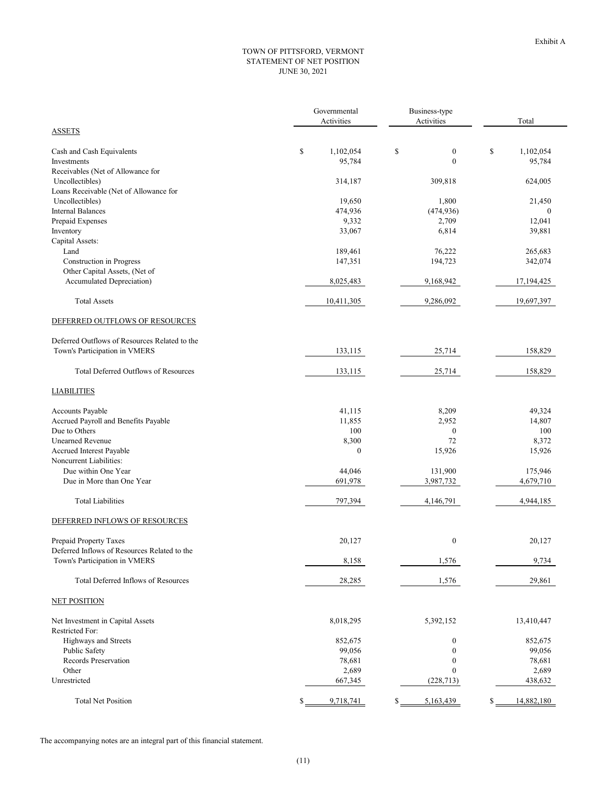#### TOWN OF PITTSFORD, VERMONT STATEMENT OF NET POSITION JUNE 30, 2021

|                                               | Governmental<br>Activities | Business-type<br>Activities | Total            |
|-----------------------------------------------|----------------------------|-----------------------------|------------------|
| <b>ASSETS</b>                                 |                            |                             |                  |
| Cash and Cash Equivalents                     | \$<br>1,102,054            | \$<br>$\boldsymbol{0}$      | \$<br>1,102,054  |
| Investments                                   | 95,784                     | $\theta$                    | 95,784           |
| Receivables (Net of Allowance for             |                            |                             |                  |
| Uncollectibles)                               | 314,187                    | 309,818                     | 624,005          |
| Loans Receivable (Net of Allowance for        |                            |                             |                  |
| Uncollectibles)                               | 19,650                     | 1,800                       | 21,450           |
| <b>Internal Balances</b>                      | 474,936                    | (474, 936)                  | $\mathbf{0}$     |
| Prepaid Expenses                              | 9,332                      | 2,709                       | 12,041           |
| Inventory                                     | 33,067                     | 6,814                       | 39,881           |
| Capital Assets:                               |                            |                             |                  |
| Land                                          | 189,461                    | 76,222                      | 265,683          |
| Construction in Progress                      | 147,351                    | 194,723                     | 342,074          |
| Other Capital Assets, (Net of                 |                            |                             |                  |
| Accumulated Depreciation)                     | 8,025,483                  | 9,168,942                   | 17,194,425       |
| <b>Total Assets</b>                           | 10,411,305                 | 9,286,092                   | 19,697,397       |
| DEFERRED OUTFLOWS OF RESOURCES                |                            |                             |                  |
| Deferred Outflows of Resources Related to the |                            |                             |                  |
| Town's Participation in VMERS                 | 133,115                    | 25,714                      | 158,829          |
|                                               |                            |                             |                  |
| <b>Total Deferred Outflows of Resources</b>   | 133,115                    | 25,714                      | 158,829          |
| <b>LIABILITIES</b>                            |                            |                             |                  |
| Accounts Payable                              | 41,115                     | 8,209                       | 49,324           |
| Accrued Payroll and Benefits Payable          | 11,855                     | 2,952                       | 14,807           |
| Due to Others                                 | 100                        | $\boldsymbol{0}$            | 100              |
| <b>Unearned Revenue</b>                       | 8,300                      | 72                          | 8,372            |
| Accrued Interest Payable                      | $\boldsymbol{0}$           | 15,926                      | 15,926           |
| Noncurrent Liabilities:                       |                            |                             |                  |
| Due within One Year                           | 44,046                     | 131,900                     | 175,946          |
| Due in More than One Year                     | 691,978                    | 3,987,732                   | 4,679,710        |
| <b>Total Liabilities</b>                      | 797,394                    | 4,146,791                   | 4,944,185        |
| DEFERRED INFLOWS OF RESOURCES                 |                            |                             |                  |
| Prepaid Property Taxes                        | 20,127                     | $\boldsymbol{0}$            | 20,127           |
| Deferred Inflows of Resources Related to the  |                            |                             |                  |
| Town's Participation in VMERS                 | 8,158                      | 1,576                       | 9,734            |
| Total Deferred Inflows of Resources           | 28,285                     | 1,576                       | 29,861           |
| <b>NET POSITION</b>                           |                            |                             |                  |
| Net Investment in Capital Assets              | 8,018,295                  | 5,392,152                   | 13,410,447       |
| Restricted For:                               |                            |                             |                  |
| Highways and Streets                          | 852,675                    | $\boldsymbol{0}$            | 852,675          |
| Public Safety                                 | 99,056                     | $\boldsymbol{0}$            | 99,056           |
| Records Preservation                          | 78,681                     | $\boldsymbol{0}$            | 78,681           |
| Other                                         | 2,689                      | $\mathbf{0}$                | 2,689            |
| Unrestricted                                  | 667,345                    | (228, 713)                  | 438,632          |
|                                               |                            |                             |                  |
| <b>Total Net Position</b>                     | \$<br>9,718,741            | \$<br>5,163,439             | \$<br>14,882,180 |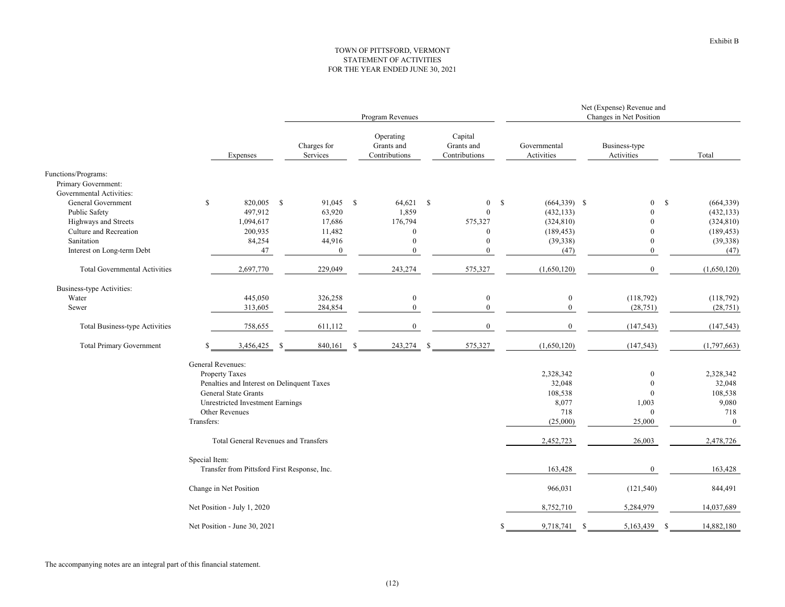#### TOWN OF PITTSFORD, VERMONT FOR THE YEAR ENDED JUNE 30, 2021 STATEMENT OF ACTIVITIES

|                                                |                        |                                              |    | Program Revenues        |    |                                          |               |                                        |    |                              | Net (Expense) Revenue and<br>Changes in Net Position |              |                          |
|------------------------------------------------|------------------------|----------------------------------------------|----|-------------------------|----|------------------------------------------|---------------|----------------------------------------|----|------------------------------|------------------------------------------------------|--------------|--------------------------|
|                                                |                        | Expenses                                     |    | Charges for<br>Services |    | Operating<br>Grants and<br>Contributions |               | Capital<br>Grants and<br>Contributions |    | Governmental<br>Activities   | Business-type<br>Activities                          |              | Total                    |
| Functions/Programs:                            |                        |                                              |    |                         |    |                                          |               |                                        |    |                              |                                                      |              |                          |
| Primary Government:                            |                        |                                              |    |                         |    |                                          |               |                                        |    |                              |                                                      |              |                          |
| Governmental Activities:<br>General Government |                        | 820,005 \$                                   |    | 91,045 \$               |    | 64,621 \$                                |               | $\mathbf{0}$                           |    |                              |                                                      |              |                          |
| Public Safety                                  | \$                     | 497,912                                      |    | 63,920                  |    | 1,859                                    |               | $\Omega$                               | -S | $(664,339)$ \$<br>(432, 133) | $\overline{0}$                                       | $\mathbb{S}$ | (664, 339)<br>(432, 133) |
| Highways and Streets                           |                        | 1,094,617                                    |    | 17,686                  |    | 176,794                                  |               | 575,327                                |    | (324, 810)                   | $\Omega$                                             |              | (324, 810)               |
| Culture and Recreation                         |                        | 200,935                                      |    | 11,482                  |    | $\Omega$                                 |               | $\theta$                               |    | (189, 453)                   | $\Omega$                                             |              | (189, 453)               |
| Sanitation                                     |                        | 84,254                                       |    | 44,916                  |    | $\mathbf{0}$                             |               | $\overline{0}$                         |    | (39, 338)                    | $\Omega$                                             |              | (39, 338)                |
| Interest on Long-term Debt                     |                        | 47                                           |    | $\mathbf{0}$            |    | $\mathbf{0}$                             |               | $\mathbf{0}$                           |    | (47)                         | $\mathbf{0}$                                         |              | (47)                     |
| <b>Total Governmental Activities</b>           |                        | 2,697,770                                    |    | 229,049                 |    | 243,274                                  |               | 575,327                                |    | (1,650,120)                  | $\overline{0}$                                       |              | (1,650,120)              |
| Business-type Activities:                      |                        |                                              |    |                         |    |                                          |               |                                        |    |                              |                                                      |              |                          |
| Water                                          |                        | 445,050                                      |    | 326,258                 |    | $\boldsymbol{0}$                         |               | $\boldsymbol{0}$                       |    | $\boldsymbol{0}$             | (118,792)                                            |              | (118, 792)               |
| Sewer                                          |                        | 313,605                                      |    | 284,854                 |    | $\overline{0}$                           |               | $\overline{0}$                         |    | $\mathbf{0}$                 | (28, 751)                                            |              | (28, 751)                |
| Total Business-type Activities                 |                        | 758,655                                      |    | 611,112                 |    | $\theta$                                 |               | $\overline{0}$                         |    | $\mathbf{0}$                 | (147, 543)                                           |              | (147, 543)               |
| <b>Total Primary Government</b>                |                        | 3,456,425                                    | -S | 840,161                 | -S | 243,274                                  | <sup>\$</sup> | 575,327                                |    | (1,650,120)                  | (147, 543)                                           |              | (1,797,663)              |
|                                                | General Revenues:      |                                              |    |                         |    |                                          |               |                                        |    |                              |                                                      |              |                          |
|                                                | <b>Property Taxes</b>  |                                              |    |                         |    |                                          |               |                                        |    | 2,328,342                    | $\bf{0}$                                             |              | 2,328,342                |
|                                                |                        | Penalties and Interest on Delinquent Taxes   |    |                         |    |                                          |               |                                        |    | 32,048                       | $\Omega$                                             |              | 32,048                   |
|                                                |                        | General State Grants                         |    |                         |    |                                          |               |                                        |    | 108,538                      | $\theta$                                             |              | 108,538                  |
|                                                |                        | Unrestricted Investment Earnings             |    |                         |    |                                          |               |                                        |    | 8,077                        | 1,003                                                |              | 9,080                    |
|                                                |                        | Other Revenues                               |    |                         |    |                                          |               |                                        |    | 718                          | $\Omega$                                             |              | 718                      |
|                                                | Transfers:             |                                              |    |                         |    |                                          |               |                                        |    | (25,000)                     | 25,000                                               |              | $\overline{0}$           |
|                                                |                        | Total General Revenues and Transfers         |    |                         |    |                                          |               |                                        |    | 2,452,723                    | 26,003                                               |              | 2,478,726                |
|                                                | Special Item:          |                                              |    |                         |    |                                          |               |                                        |    |                              |                                                      |              |                          |
|                                                |                        | Transfer from Pittsford First Response, Inc. |    |                         |    |                                          |               |                                        |    | 163,428                      | $\mathbf{0}$                                         |              | 163,428                  |
|                                                | Change in Net Position |                                              |    |                         |    |                                          |               |                                        |    | 966,031                      | (121, 540)                                           |              | 844,491                  |
|                                                |                        | Net Position - July 1, 2020                  |    |                         |    |                                          |               |                                        |    | 8,752,710                    | 5,284,979                                            |              | 14,037,689               |
|                                                |                        | Net Position - June 30, 2021                 |    |                         |    |                                          |               |                                        | S  | 9,718,741 \$                 | 5,163,439 \$                                         |              | 14,882,180               |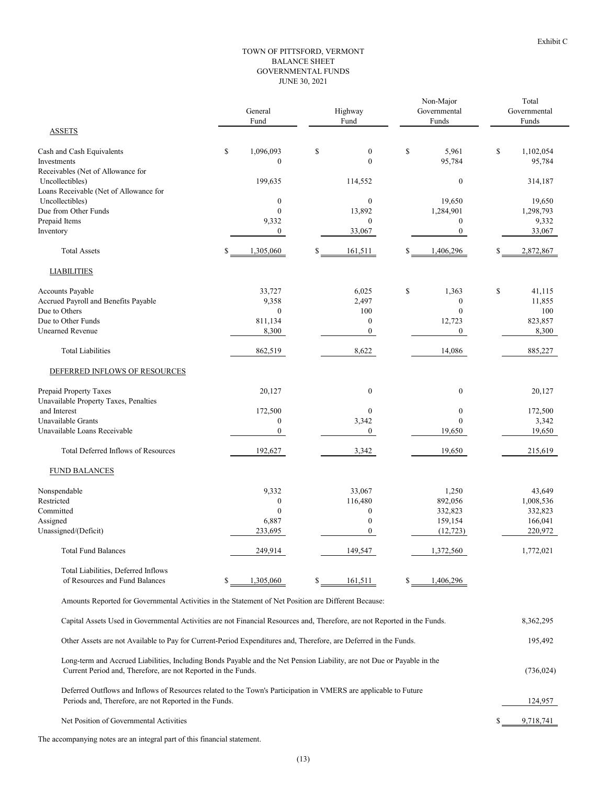#### TOWN OF PITTSFORD, VERMONT BALANCE SHEET JUNE 30, 2021 GOVERNMENTAL FUNDS

|                                            |                  |             |                  | Non-Major        | Total           |
|--------------------------------------------|------------------|-------------|------------------|------------------|-----------------|
|                                            | General          |             | Highway          | Governmental     | Governmental    |
|                                            | Fund             |             | Fund             | Funds            | Funds           |
| <b>ASSETS</b>                              |                  |             |                  |                  |                 |
|                                            |                  |             |                  |                  |                 |
| Cash and Cash Equivalents                  | \$<br>1,096,093  | $\mathbf S$ | $\mathbf{0}$     | \$<br>5,961      | \$<br>1,102,054 |
| Investments                                | $\mathbf{0}$     |             | $\theta$         | 95,784           | 95,784          |
| Receivables (Net of Allowance for          |                  |             |                  |                  |                 |
| Uncollectibles)                            | 199,635          |             | 114,552          | $\boldsymbol{0}$ | 314,187         |
| Loans Receivable (Net of Allowance for     |                  |             |                  |                  |                 |
| Uncollectibles)                            | $\boldsymbol{0}$ |             | $\boldsymbol{0}$ | 19,650           | 19,650          |
| Due from Other Funds                       | $\mathbf{0}$     |             | 13,892           | 1,284,901        | 1,298,793       |
| Prepaid Items                              | 9,332            |             | $\boldsymbol{0}$ | $\boldsymbol{0}$ | 9,332           |
| Inventory                                  | $\boldsymbol{0}$ |             | 33,067           | $\boldsymbol{0}$ | 33,067          |
| <b>Total Assets</b>                        | \$<br>1,305,060  | \$          | 161,511          | \$<br>1,406,296  | 2,872,867       |
| <b>LIABILITIES</b>                         |                  |             |                  |                  |                 |
| <b>Accounts Payable</b>                    | 33,727           |             | 6,025            | \$<br>1,363      | \$<br>41,115    |
| Accrued Payroll and Benefits Payable       | 9,358            |             | 2,497            | $\mathbf{0}$     | 11,855          |
| Due to Others                              | $\mathbf{0}$     |             | 100              | $\theta$         | 100             |
| Due to Other Funds                         | 811,134          |             | $\mathbf{0}$     | 12,723           | 823,857         |
| <b>Unearned Revenue</b>                    | 8,300            |             | $\boldsymbol{0}$ | $\boldsymbol{0}$ | 8,300           |
| <b>Total Liabilities</b>                   | 862,519          |             | 8,622            | 14,086           | 885,227         |
| DEFERRED INFLOWS OF RESOURCES              |                  |             |                  |                  |                 |
| Prepaid Property Taxes                     | 20,127           |             | $\boldsymbol{0}$ | $\boldsymbol{0}$ | 20,127          |
| Unavailable Property Taxes, Penalties      |                  |             |                  |                  |                 |
| and Interest                               | 172,500          |             | $\theta$         | $\mathbf{0}$     | 172,500         |
| Unavailable Grants                         | $\overline{0}$   |             | 3,342            | $\theta$         | 3,342           |
| Unavailable Loans Receivable               | $\boldsymbol{0}$ |             | $\boldsymbol{0}$ | 19,650           | 19,650          |
| <b>Total Deferred Inflows of Resources</b> | 192,627          |             | 3,342            | 19,650           | 215,619         |
| <b>FUND BALANCES</b>                       |                  |             |                  |                  |                 |
| Nonspendable                               | 9,332            |             | 33,067           | 1,250            | 43,649          |
| Restricted                                 | $\boldsymbol{0}$ |             | 116,480          | 892,056          | 1,008,536       |
| Committed                                  | $\overline{0}$   |             | $\mathbf{0}$     | 332,823          | 332,823         |
| Assigned                                   | 6,887            |             | $\mathbf{0}$     | 159,154          | 166,041         |
| Unassigned/(Deficit)                       | 233,695          |             | $\bf{0}$         | (12, 723)        | 220,972         |
| <b>Total Fund Balances</b>                 | 249,914          |             | 149,547          | 1,372,560        | 1,772,021       |
| Total Liabilities, Deferred Inflows        |                  |             |                  |                  |                 |
| of Resources and Fund Balances             | \$<br>1,305,060  | \$          | 161,511          | \$<br>1,406,296  |                 |
|                                            |                  |             |                  |                  |                 |

Amounts Reported for Governmental Activities in the Statement of Net Position are Different Because:

| Capital Assets Used in Governmental Activities are not Financial Resources and, Therefore, are not Reported in the Funds.                                                                | 8,362,295  |
|------------------------------------------------------------------------------------------------------------------------------------------------------------------------------------------|------------|
| Other Assets are not Available to Pay for Current-Period Expenditures and, Therefore, are Deferred in the Funds.                                                                         | 195,492    |
| Long-term and Accrued Liabilities, Including Bonds Payable and the Net Pension Liability, are not Due or Payable in the<br>Current Period and, Therefore, are not Reported in the Funds. | (736, 024) |
| Deferred Outflows and Inflows of Resources related to the Town's Participation in VMERS are applicable to Future<br>Periods and, Therefore, are not Reported in the Funds.               | 124,957    |
| Net Position of Governmental Activities                                                                                                                                                  | 9,718,741  |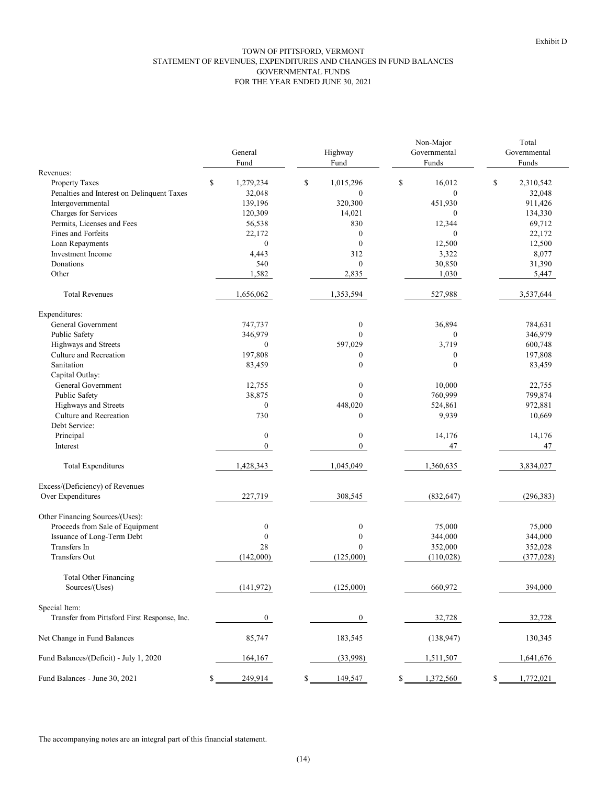#### FOR THE YEAR ENDED JUNE 30, 2021 TOWN OF PITTSFORD, VERMONT STATEMENT OF REVENUES, EXPENDITURES AND CHANGES IN FUND BALANCES GOVERNMENTAL FUNDS

|                                              | General<br>Fund  | Highway<br>Fund  | Non-Major<br>Governmental<br>Funds | Total<br>Governmental<br>Funds |
|----------------------------------------------|------------------|------------------|------------------------------------|--------------------------------|
| Revenues:                                    |                  |                  |                                    |                                |
| <b>Property Taxes</b>                        | \$<br>1,279,234  | \$<br>1,015,296  | \$<br>16,012                       | \$<br>2,310,542                |
| Penalties and Interest on Delinquent Taxes   | 32,048           | $\mathbf{0}$     | $\mathbf{0}$                       | 32,048                         |
| Intergovernmental                            | 139,196          | 320,300          | 451,930                            | 911,426                        |
| Charges for Services                         | 120,309          | 14,021           | $\theta$                           | 134,330                        |
| Permits, Licenses and Fees                   | 56,538           | 830              | 12,344                             | 69,712                         |
| Fines and Forfeits                           | 22,172           | $\mathbf{0}$     | $\theta$                           | 22,172                         |
| Loan Repayments                              | $\boldsymbol{0}$ | $\mathbf{0}$     | 12,500                             | 12,500                         |
| Investment Income                            | 4,443            | 312              | 3,322                              | 8,077                          |
| Donations                                    | 540              | $\mathbf{0}$     | 30,850                             | 31,390                         |
| Other                                        | 1,582            | 2,835            | 1,030                              | 5,447                          |
| <b>Total Revenues</b>                        | 1,656,062        | 1,353,594        | 527,988                            | 3,537,644                      |
| Expenditures:                                |                  |                  |                                    |                                |
| General Government                           | 747,737          | $\boldsymbol{0}$ | 36,894                             | 784,631                        |
| Public Safety                                | 346,979          | $\theta$         | $\mathbf{0}$                       | 346,979                        |
| Highways and Streets                         | $\mathbf{0}$     | 597,029          | 3,719                              | 600,748                        |
| Culture and Recreation                       | 197,808          | $\boldsymbol{0}$ | $\boldsymbol{0}$                   | 197,808                        |
| Sanitation                                   | 83,459           | $\mathbf{0}$     | $\mathbf{0}$                       | 83,459                         |
| Capital Outlay:                              |                  |                  |                                    |                                |
| <b>General Government</b>                    | 12,755           | $\mathbf{0}$     | 10,000                             | 22,755                         |
| Public Safety                                | 38,875           | $\theta$         | 760,999                            | 799,874                        |
| Highways and Streets                         | $\mathbf{0}$     | 448,020          | 524,861                            | 972,881                        |
| Culture and Recreation                       | 730              | $\mathbf{0}$     | 9,939                              | 10,669                         |
| Debt Service:                                |                  |                  |                                    |                                |
| Principal                                    | $\mathbf{0}$     | $\mathbf{0}$     | 14,176                             | 14,176                         |
| Interest                                     | $\boldsymbol{0}$ | $\overline{0}$   | 47                                 | 47                             |
|                                              |                  |                  |                                    |                                |
| <b>Total Expenditures</b>                    | 1,428,343        | 1,045,049        | 1,360,635                          | 3,834,027                      |
| Excess/(Deficiency) of Revenues              |                  |                  |                                    |                                |
| Over Expenditures                            | 227,719          | 308,545          | (832, 647)                         | (296, 383)                     |
| Other Financing Sources/(Uses):              |                  |                  |                                    |                                |
| Proceeds from Sale of Equipment              | $\boldsymbol{0}$ | $\boldsymbol{0}$ | 75,000                             | 75,000                         |
| Issuance of Long-Term Debt                   | $\mathbf{0}$     | $\boldsymbol{0}$ | 344,000                            | 344,000                        |
| Transfers In                                 | 28               | $\theta$         | 352,000                            | 352,028                        |
| <b>Transfers Out</b>                         | (142,000)        | (125,000)        | (110,028)                          | (377, 028)                     |
| <b>Total Other Financing</b>                 |                  |                  |                                    |                                |
| Sources/(Uses)                               | (141, 972)       | (125,000)        | 660,972                            | 394,000                        |
| Special Item:                                |                  |                  |                                    |                                |
| Transfer from Pittsford First Response, Inc. | $\mathbf{0}$     | $\mathbf{0}$     | 32,728                             | 32,728                         |
| Net Change in Fund Balances                  | 85,747           | 183,545          | (138, 947)                         | 130,345                        |
| Fund Balances/(Deficit) - July 1, 2020       | 164,167          | (33,998)         | 1,511,507                          | 1,641,676                      |
| Fund Balances - June 30, 2021                | 249,914<br>\$    | 149,547<br>\$    | 1,372,560<br>\$                    | 1,772,021<br>\$                |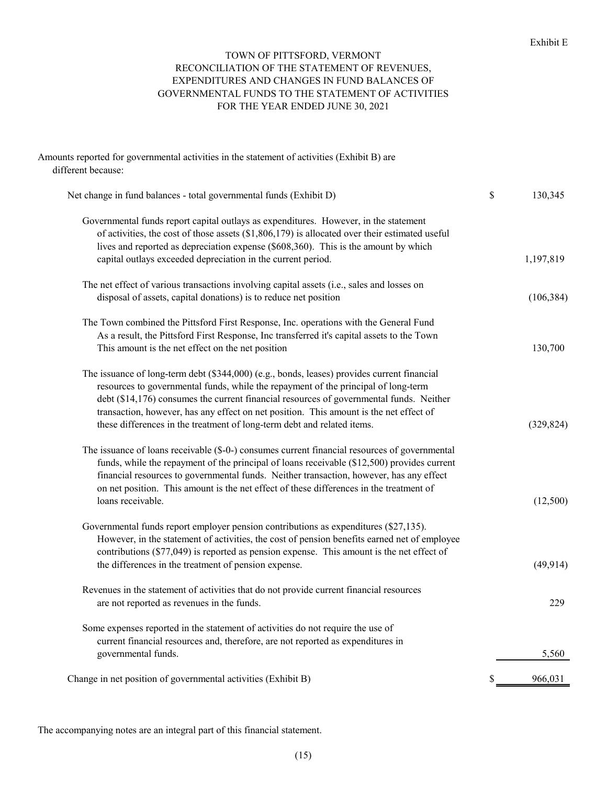### FOR THE YEAR ENDED JUNE 30, 2021 TOWN OF PITTSFORD, VERMONT RECONCILIATION OF THE STATEMENT OF REVENUES, EXPENDITURES AND CHANGES IN FUND BALANCES OF GOVERNMENTAL FUNDS TO THE STATEMENT OF ACTIVITIES

| Amounts reported for governmental activities in the statement of activities (Exhibit B) are<br>different because:                                                                                                                                                                                                                                                                                                                                 |               |
|---------------------------------------------------------------------------------------------------------------------------------------------------------------------------------------------------------------------------------------------------------------------------------------------------------------------------------------------------------------------------------------------------------------------------------------------------|---------------|
| Net change in fund balances - total governmental funds (Exhibit D)                                                                                                                                                                                                                                                                                                                                                                                | \$<br>130,345 |
| Governmental funds report capital outlays as expenditures. However, in the statement<br>of activities, the cost of those assets $(\$1,806,179)$ is allocated over their estimated useful<br>lives and reported as depreciation expense (\$608,360). This is the amount by which<br>capital outlays exceeded depreciation in the current period.                                                                                                   | 1,197,819     |
|                                                                                                                                                                                                                                                                                                                                                                                                                                                   |               |
| The net effect of various transactions involving capital assets (i.e., sales and losses on<br>disposal of assets, capital donations) is to reduce net position                                                                                                                                                                                                                                                                                    | (106, 384)    |
| The Town combined the Pittsford First Response, Inc. operations with the General Fund<br>As a result, the Pittsford First Response, Inc transferred it's capital assets to the Town<br>This amount is the net effect on the net position                                                                                                                                                                                                          | 130,700       |
| The issuance of long-term debt (\$344,000) (e.g., bonds, leases) provides current financial<br>resources to governmental funds, while the repayment of the principal of long-term<br>debt (\$14,176) consumes the current financial resources of governmental funds. Neither<br>transaction, however, has any effect on net position. This amount is the net effect of<br>these differences in the treatment of long-term debt and related items. | (329, 824)    |
| The issuance of loans receivable (\$-0-) consumes current financial resources of governmental<br>funds, while the repayment of the principal of loans receivable (\$12,500) provides current<br>financial resources to governmental funds. Neither transaction, however, has any effect<br>on net position. This amount is the net effect of these differences in the treatment of<br>loans receivable.                                           | (12,500)      |
| Governmental funds report employer pension contributions as expenditures (\$27,135).<br>However, in the statement of activities, the cost of pension benefits earned net of employee<br>contributions (\$77,049) is reported as pension expense. This amount is the net effect of<br>the differences in the treatment of pension expense.                                                                                                         | (49, 914)     |
| Revenues in the statement of activities that do not provide current financial resources<br>are not reported as revenues in the funds.                                                                                                                                                                                                                                                                                                             | 229           |
| Some expenses reported in the statement of activities do not require the use of<br>current financial resources and, therefore, are not reported as expenditures in<br>governmental funds.                                                                                                                                                                                                                                                         | 5,560         |
| Change in net position of governmental activities (Exhibit B)                                                                                                                                                                                                                                                                                                                                                                                     | \$<br>966,031 |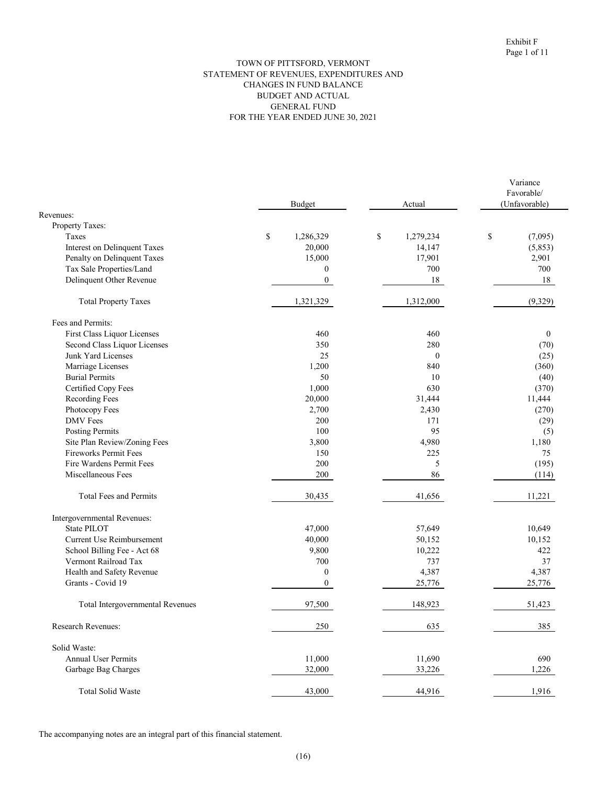|                                  |                          |                 | Variance<br>Favorable/ |  |  |
|----------------------------------|--------------------------|-----------------|------------------------|--|--|
|                                  |                          |                 | (Unfavorable)          |  |  |
| Revenues:                        | <b>Budget</b>            | Actual          |                        |  |  |
| Property Taxes:                  |                          |                 |                        |  |  |
| Taxes                            | $\mathbb S$<br>1,286,329 | \$<br>1,279,234 | \$<br>(7,095)          |  |  |
| Interest on Delinquent Taxes     | 20,000                   | 14,147          | (5,853)                |  |  |
| Penalty on Delinquent Taxes      | 15,000                   | 17,901          | 2,901                  |  |  |
| Tax Sale Properties/Land         | $\boldsymbol{0}$         | 700             | 700                    |  |  |
| Delinquent Other Revenue         | $\boldsymbol{0}$         | $18\,$          | 18                     |  |  |
|                                  |                          |                 |                        |  |  |
| <b>Total Property Taxes</b>      | 1,321,329                | 1,312,000       | (9,329)                |  |  |
| Fees and Permits:                |                          |                 |                        |  |  |
| First Class Liquor Licenses      | 460                      | 460             | $\mathbf{0}$           |  |  |
| Second Class Liquor Licenses     | 350                      | 280             | (70)                   |  |  |
| Junk Yard Licenses               | 25                       | $\mathbf{0}$    | (25)                   |  |  |
| Marriage Licenses                | 1,200                    | 840             | (360)                  |  |  |
| <b>Burial Permits</b>            | 50                       | 10              | (40)                   |  |  |
| Certified Copy Fees              | 1,000                    | 630             | (370)                  |  |  |
| Recording Fees                   | 20,000                   | 31,444          | 11,444                 |  |  |
| Photocopy Fees                   | 2,700                    | 2,430           | (270)                  |  |  |
| DMV Fees                         | 200                      | 171             | (29)                   |  |  |
| <b>Posting Permits</b>           | 100                      | 95              | (5)                    |  |  |
| Site Plan Review/Zoning Fees     | 3,800                    | 4,980           | 1,180                  |  |  |
| <b>Fireworks Permit Fees</b>     | 150                      | 225             | 75                     |  |  |
| Fire Wardens Permit Fees         | 200                      | 5               | (195)                  |  |  |
| Miscellaneous Fees               | 200                      | 86              | (114)                  |  |  |
| <b>Total Fees and Permits</b>    | 30,435                   | 41,656          | 11,221                 |  |  |
| Intergovernmental Revenues:      |                          |                 |                        |  |  |
| State PILOT                      | 47,000                   | 57,649          | 10,649                 |  |  |
| Current Use Reimbursement        | 40,000                   | 50,152          | 10,152                 |  |  |
| School Billing Fee - Act 68      | 9,800                    | 10,222          | 422                    |  |  |
| Vermont Railroad Tax             | 700                      | 737             | 37                     |  |  |
| Health and Safety Revenue        | $\boldsymbol{0}$         | 4,387           | 4,387                  |  |  |
| Grants - Covid 19                | $\boldsymbol{0}$         | 25,776          | 25,776                 |  |  |
| Total Intergovernmental Revenues | 97,500                   | 148,923         | 51,423                 |  |  |
| Research Revenues:               | 250                      | 635             | 385                    |  |  |
| Solid Waste:                     |                          |                 |                        |  |  |
| <b>Annual User Permits</b>       | 11,000                   | 11,690          | 690                    |  |  |
| Garbage Bag Charges              | 32,000                   | 33,226          | 1,226                  |  |  |
| <b>Total Solid Waste</b>         | 43,000                   | 44,916          | 1,916                  |  |  |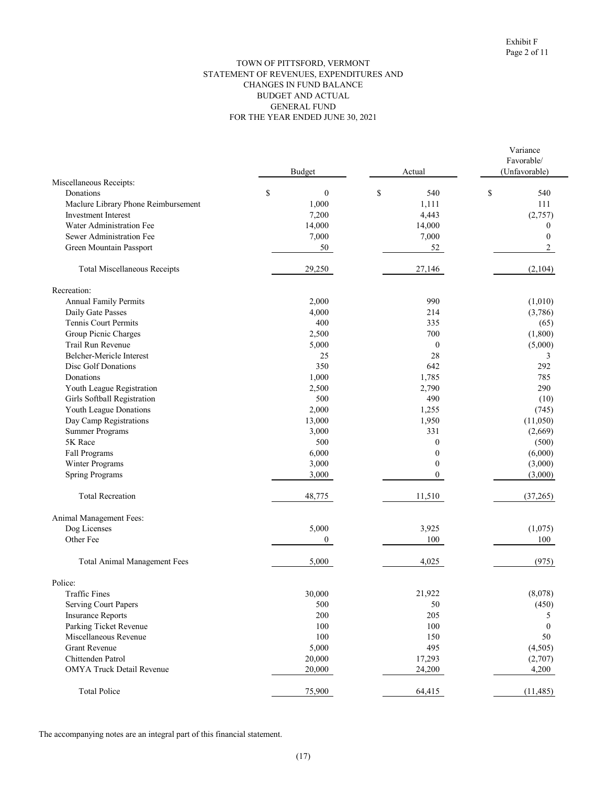### STATEMENT OF REVENUES, EXPENDITURES AND CHANGES IN FUND BALANCE TOWN OF PITTSFORD, VERMONT BUDGET AND ACTUAL GENERAL FUND FOR THE YEAR ENDED JUNE 30, 2021

|                                     |                        | <b>Budget</b><br>Actual |                  |
|-------------------------------------|------------------------|-------------------------|------------------|
| Miscellaneous Receipts:             |                        |                         | (Unfavorable)    |
| Donations                           | \$<br>$\boldsymbol{0}$ | \$<br>540               | \$<br>540        |
| Maclure Library Phone Reimbursement | 1,000                  | 1,111                   | 111              |
| Investment Interest                 | 7,200                  | 4,443                   | (2,757)          |
| Water Administration Fee            | 14,000                 | 14,000                  | 0                |
| Sewer Administration Fee            | 7,000                  | 7,000                   | $\boldsymbol{0}$ |
| Green Mountain Passport             | 50                     | 52                      | 2                |
| <b>Total Miscellaneous Receipts</b> | 29,250                 | 27,146                  | (2,104)          |
| Recreation:                         |                        |                         |                  |
| <b>Annual Family Permits</b>        | 2,000                  | 990                     | (1,010)          |
| Daily Gate Passes                   | 4,000                  | 214                     | (3,786)          |
| <b>Tennis Court Permits</b>         | 400                    | 335                     | (65)             |
| Group Picnic Charges                | 2,500                  | 700                     | (1,800)          |
| Trail Run Revenue                   | 5,000                  | $\boldsymbol{0}$        | (5,000)          |
| Belcher-Mericle Interest            | 25                     | 28                      | 3                |
| Disc Golf Donations                 | 350                    | 642                     | 292              |
| Donations                           | 1,000                  | 1,785                   | 785              |
| Youth League Registration           | 2,500                  | 2,790                   | 290              |
| Girls Softball Registration         | 500                    | 490                     | (10)             |
| Youth League Donations              | 2,000                  | 1,255                   | (745)            |
| Day Camp Registrations              | 13,000                 | 1,950                   | (11,050)         |
| <b>Summer Programs</b>              | 3,000                  | 331                     | (2,669)          |
| 5K Race                             | 500                    | 0                       | (500)            |
| Fall Programs                       | 6,000                  | $\boldsymbol{0}$        | (6,000)          |
| Winter Programs                     | 3,000                  | 0                       | (3,000)          |
| <b>Spring Programs</b>              | 3,000                  | $\overline{0}$          | (3,000)          |
| <b>Total Recreation</b>             | 48,775                 | 11,510                  | (37,265)         |
| Animal Management Fees:             |                        |                         |                  |
| Dog Licenses                        | 5,000                  | 3,925                   | (1,075)          |
| Other Fee                           | 0                      | 100                     | 100              |
| Total Animal Management Fees        | 5,000                  | 4,025                   | (975)            |
| Police:                             |                        |                         |                  |
| <b>Traffic Fines</b>                | 30,000                 | 21,922                  | (8,078)          |
| <b>Serving Court Papers</b>         | 500                    | 50                      | (450)            |
| <b>Insurance Reports</b>            | 200                    | 205                     | 5                |
| Parking Ticket Revenue              | 100                    | 100                     | $\boldsymbol{0}$ |
| Miscellaneous Revenue               | 100                    | 150                     | 50               |
| <b>Grant Revenue</b>                | 5,000                  | 495                     | (4,505)          |
| Chittenden Patrol                   | 20,000                 | 17,293                  | (2,707)          |
| <b>OMYA Truck Detail Revenue</b>    | 20,000                 | 24,200                  | 4,200            |
| <b>Total Police</b>                 | 75,900                 | 64,415                  | (11, 485)        |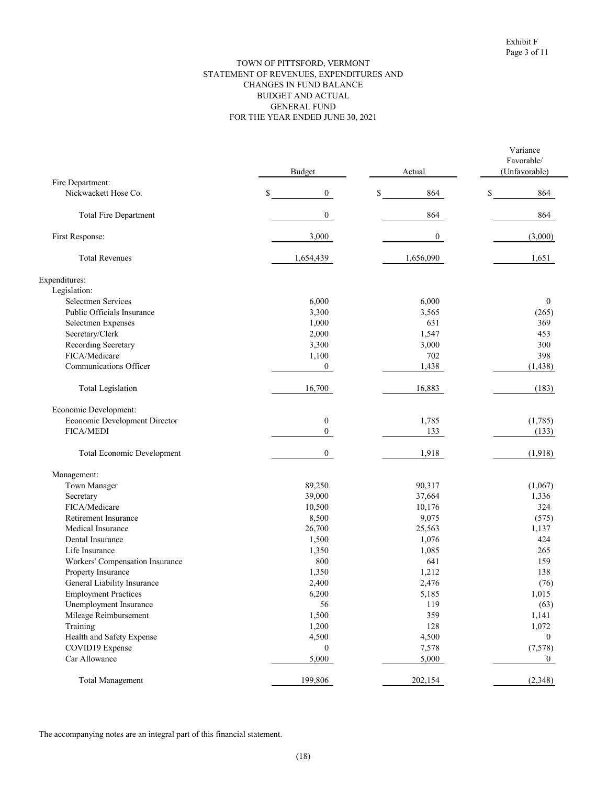#### STATEMENT OF REVENUES, EXPENDITURES AND TOWN OF PITTSFORD, VERMONT CHANGES IN FUND BALANCE BUDGET AND ACTUAL GENERAL FUND FOR THE YEAR ENDED JUNE 30, 2021

|                                 |                      |                  | Variance       |
|---------------------------------|----------------------|------------------|----------------|
|                                 |                      |                  | Favorable/     |
|                                 | <b>Budget</b>        | Actual           | (Unfavorable)  |
| Fire Department:                |                      |                  |                |
| Nickwackett Hose Co.            | \$<br>$\overline{0}$ | \$<br>864        | \$<br>864      |
| <b>Total Fire Department</b>    | $\overline{0}$       | 864              | 864            |
| First Response:                 | 3,000                | $\boldsymbol{0}$ | (3,000)        |
| <b>Total Revenues</b>           | 1,654,439            | 1,656,090        | 1,651          |
| Expenditures:                   |                      |                  |                |
| Legislation:                    |                      |                  |                |
| Selectmen Services              | 6,000                | 6,000            | $\mathbf{0}$   |
| Public Officials Insurance      | 3,300                | 3,565            | (265)          |
| Selectmen Expenses              | 1,000                | 631              | 369            |
| Secretary/Clerk                 | 2,000                | 1,547            | 453            |
| Recording Secretary             | 3,300                | 3,000            | 300            |
| FICA/Medicare                   | 1,100                | 702              | 398            |
| Communications Officer          | $\overline{0}$       | 1,438            | (1, 438)       |
|                                 |                      |                  |                |
| <b>Total Legislation</b>        | 16,700               | 16,883           | (183)          |
| Economic Development:           |                      |                  |                |
| Economic Development Director   | $\mathbf{0}$         | 1,785            | (1,785)        |
| <b>FICA/MEDI</b>                | $\overline{0}$       | 133              | (133)          |
| Total Economic Development      | $\mathbf{0}$         | 1,918            | (1,918)        |
| Management:                     |                      |                  |                |
| Town Manager                    | 89,250               | 90,317           | (1,067)        |
| Secretary                       | 39,000               | 37,664           | 1,336          |
| FICA/Medicare                   | 10,500               | 10,176           | 324            |
| Retirement Insurance            | 8,500                | 9,075            | (575)          |
| Medical Insurance               | 26,700               | 25,563           | 1,137          |
| Dental Insurance                | 1,500                | 1,076            | 424            |
| Life Insurance                  | 1,350                | 1,085            | 265            |
| Workers' Compensation Insurance | 800                  | 641              | 159            |
| Property Insurance              | 1,350                | 1,212            | 138            |
| General Liability Insurance     | 2,400                | 2,476            | (76)           |
| <b>Employment Practices</b>     | 6,200                | 5,185            | 1,015          |
| Unemployment Insurance          | 56                   | 119              | (63)           |
| Mileage Reimbursement           | 1,500                | 359              | 1,141          |
| Training                        | 1,200                | 128              | 1,072          |
| Health and Safety Expense       | 4,500                | 4,500            | $\overline{0}$ |
| COVID19 Expense                 | $\overline{0}$       | 7,578            | (7,578)        |
| Car Allowance                   | 5,000                | 5,000            | $\overline{0}$ |
| <b>Total Management</b>         | 199,806              | 202,154          | (2,348)        |
|                                 |                      |                  |                |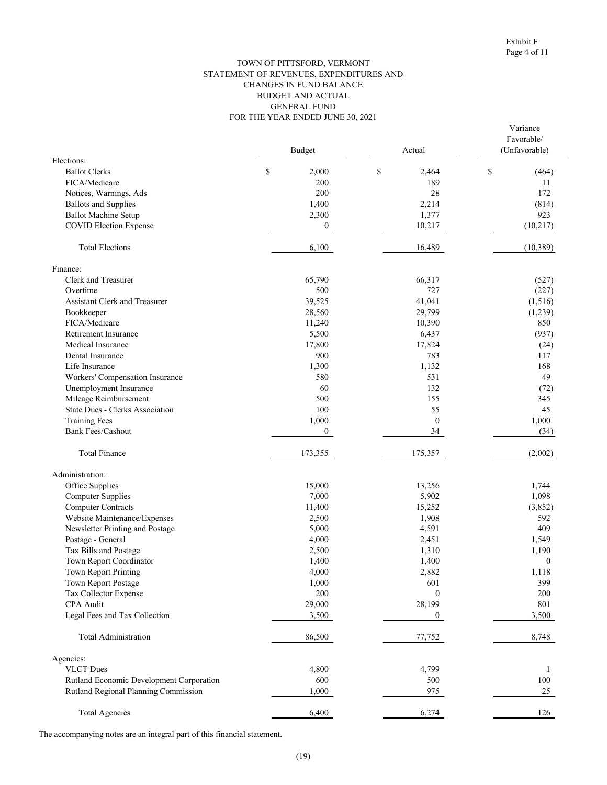Variance

#### STATEMENT OF REVENUES, EXPENDITURES AND CHANGES IN FUND BALANCE BUDGET AND ACTUAL GENERAL FUND FOR THE YEAR ENDED JUNE 30, 2021 TOWN OF PITTSFORD, VERMONT

|                                          |                  |                  | Favorable/       |
|------------------------------------------|------------------|------------------|------------------|
|                                          | <b>Budget</b>    | Actual           | (Unfavorable)    |
| Elections:                               |                  |                  |                  |
| <b>Ballot Clerks</b>                     | \$<br>2,000      | \$<br>2,464      | \$<br>(464)      |
| FICA/Medicare                            | 200              | 189              | 11               |
| Notices, Warnings, Ads                   | 200              | 28               | 172              |
| <b>Ballots and Supplies</b>              | 1,400            | 2,214            | (814)            |
| <b>Ballot Machine Setup</b>              | 2,300            | 1,377            | 923              |
| <b>COVID Election Expense</b>            | $\boldsymbol{0}$ | 10,217           | (10,217)         |
| <b>Total Elections</b>                   | 6,100            | 16,489           | (10, 389)        |
| Finance:                                 |                  |                  |                  |
| <b>Clerk and Treasurer</b>               | 65,790           | 66,317           | (527)            |
| Overtime                                 | 500              | 727              | (227)            |
| <b>Assistant Clerk and Treasurer</b>     | 39,525           | 41,041           | (1,516)          |
| Bookkeeper                               | 28,560           | 29,799           | (1,239)          |
| FICA/Medicare                            | 11,240           | 10,390           | 850              |
| Retirement Insurance                     | 5,500            | 6,437            | (937)            |
| Medical Insurance                        | 17,800           | 17,824           | (24)             |
| Dental Insurance                         | 900              | 783              | 117              |
| Life Insurance                           | 1,300            | 1,132            | 168              |
| Workers' Compensation Insurance          | 580              | 531              | 49               |
| Unemployment Insurance                   | 60               | 132              | (72)             |
| Mileage Reimbursement                    | 500              | 155              | 345              |
| State Dues - Clerks Association          | 100              | 55               | 45               |
| <b>Training Fees</b>                     | 1,000            | $\boldsymbol{0}$ | 1,000            |
| <b>Bank Fees/Cashout</b>                 | $\boldsymbol{0}$ | 34               | (34)             |
|                                          |                  |                  |                  |
| <b>Total Finance</b>                     | 173,355          | 175,357          | (2,002)          |
| Administration:                          |                  |                  |                  |
| Office Supplies                          | 15,000           | 13,256           | 1,744            |
| <b>Computer Supplies</b>                 | 7,000            | 5,902            | 1,098            |
| <b>Computer Contracts</b>                | 11,400           | 15,252           | (3,852)          |
| Website Maintenance/Expenses             | 2,500            | 1,908            | 592              |
| Newsletter Printing and Postage          | 5,000            | 4,591            | 409              |
| Postage - General                        | 4,000            | 2,451            | 1,549            |
| Tax Bills and Postage                    | 2,500            | 1,310            | 1,190            |
| Town Report Coordinator                  | 1,400            | 1,400            | $\boldsymbol{0}$ |
| Town Report Printing                     | 4,000            | 2,882            | 1,118            |
| Town Report Postage                      | 1,000            | 601              | 399              |
| Tax Collector Expense                    | 200              | $\boldsymbol{0}$ | 200              |
| CPA Audit                                | 29,000           | 28,199           | 801              |
| Legal Fees and Tax Collection            | 3,500            | $\bf{0}$         | 3,500            |
| <b>Total Administration</b>              | 86,500           | 77,752           | 8,748            |
| Agencies:                                |                  |                  |                  |
| <b>VLCT</b> Dues                         | 4,800            | 4,799            | 1                |
| Rutland Economic Development Corporation | 600              | 500              | $100\,$          |
| Rutland Regional Planning Commission     | 1,000            | 975              | 25               |
|                                          |                  |                  |                  |
| <b>Total Agencies</b>                    | 6,400            | 6,274            | 126              |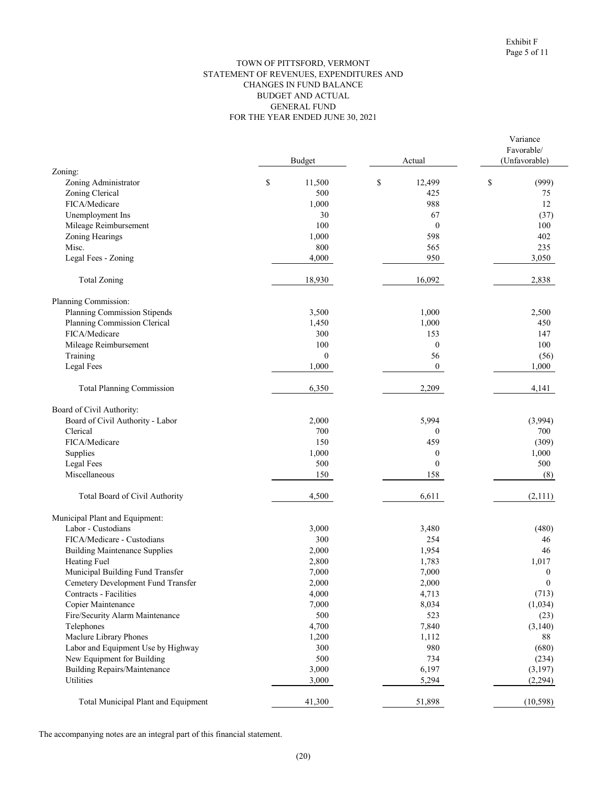#### STATEMENT OF REVENUES, EXPENDITURES AND CHANGES IN FUND BALANCE BUDGET AND ACTUAL GENERAL FUND FOR THE YEAR ENDED JUNE 30, 2021 TOWN OF PITTSFORD, VERMONT

|                                      | <b>Budget</b> |    | Actual           | Variance<br>Favorable/<br>(Unfavorable) |                  |
|--------------------------------------|---------------|----|------------------|-----------------------------------------|------------------|
| Zoning:                              |               |    |                  |                                         |                  |
| Zoning Administrator                 | \$<br>11,500  | \$ | 12,499           | \$                                      | (999)            |
| Zoning Clerical                      | 500           |    | 425              |                                         | 75               |
| FICA/Medicare                        | 1,000         |    | 988              |                                         | 12               |
| Unemployment Ins                     | 30            |    | 67               |                                         | (37)             |
| Mileage Reimbursement                | 100           |    | $\theta$         |                                         | 100              |
| Zoning Hearings                      | 1,000         |    | 598              |                                         | 402              |
| Misc.                                | 800           |    | 565              |                                         | 235              |
| Legal Fees - Zoning                  | 4,000         |    | 950              |                                         | 3,050            |
| <b>Total Zoning</b>                  | 18,930        |    | 16,092           |                                         | 2,838            |
| Planning Commission:                 |               |    |                  |                                         |                  |
| Planning Commission Stipends         | 3,500         |    | 1,000            |                                         | 2,500            |
| Planning Commission Clerical         | 1,450         |    | 1,000            |                                         | 450              |
| FICA/Medicare                        | 300           |    | 153              |                                         | 147              |
| Mileage Reimbursement                | 100           |    | $\mathbf{0}$     |                                         | 100              |
| Training                             | $\mathbf{0}$  |    | 56               |                                         | (56)             |
| Legal Fees                           | 1,000         |    | $\mathbf{0}$     |                                         | 1,000            |
| <b>Total Planning Commission</b>     | 6,350         |    | 2,209            |                                         | 4,141            |
| Board of Civil Authority:            |               |    |                  |                                         |                  |
| Board of Civil Authority - Labor     | 2,000         |    | 5,994            |                                         | (3,994)          |
| Clerical                             | 700           |    | $\mathbf{0}$     |                                         | 700              |
| FICA/Medicare                        | 150           |    | 459              |                                         | (309)            |
| Supplies                             | 1,000         |    | $\boldsymbol{0}$ |                                         | 1,000            |
| Legal Fees                           | 500           |    | $\mathbf{0}$     |                                         | 500              |
| Miscellaneous                        | 150           |    | 158              |                                         | (8)              |
| Total Board of Civil Authority       | 4,500         |    | 6,611            |                                         | (2,111)          |
| Municipal Plant and Equipment:       |               |    |                  |                                         |                  |
| Labor - Custodians                   | 3,000         |    | 3,480            |                                         | (480)            |
| FICA/Medicare - Custodians           | 300           |    | 254              |                                         | 46               |
| <b>Building Maintenance Supplies</b> | 2,000         |    | 1,954            |                                         | 46               |
| <b>Heating Fuel</b>                  | 2,800         |    | 1,783            |                                         | 1,017            |
| Municipal Building Fund Transfer     | 7,000         |    | 7,000            |                                         | $\mathbf{0}$     |
| Cemetery Development Fund Transfer   | 2,000         |    | 2,000            |                                         | $\boldsymbol{0}$ |
| Contracts - Facilities               | 4,000         |    | 4,713            |                                         | (713)            |
| Copier Maintenance                   | 7,000         |    | 8,034            |                                         | (1,034)          |
| Fire/Security Alarm Maintenance      | 500           |    | 523              |                                         | (23)             |
| Telephones                           | 4,700         |    | 7,840            |                                         | (3,140)          |
| Maclure Library Phones               | 1,200         |    | 1,112            |                                         | 88               |
| Labor and Equipment Use by Highway   | 300           |    | 980              |                                         | (680)            |
| New Equipment for Building           | 500           |    | 734              |                                         | (234)            |
| <b>Building Repairs/Maintenance</b>  | 3,000         |    | 6,197            |                                         | (3,197)          |
| Utilities                            | 3,000         |    | 5,294            |                                         | (2,294)          |
| Total Municipal Plant and Equipment  | 41,300        |    | 51,898           |                                         | (10, 598)        |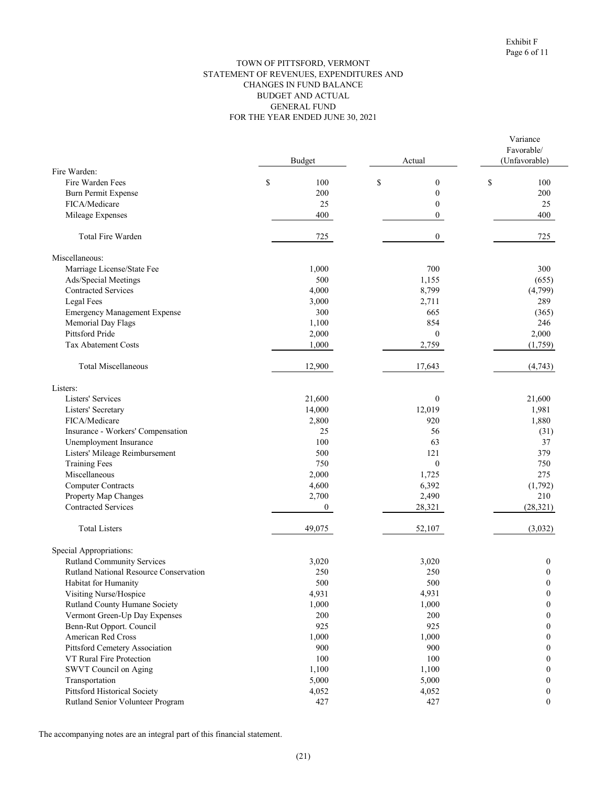### CHANGES IN FUND BALANCE BUDGET AND ACTUAL GENERAL FUND FOR THE YEAR ENDED JUNE 30, 2021 TOWN OF PITTSFORD, VERMONT STATEMENT OF REVENUES, EXPENDITURES AND

|                                             |               |                    | Variance<br>Favorable/ |
|---------------------------------------------|---------------|--------------------|------------------------|
|                                             | <b>Budget</b> | Actual             | (Unfavorable)          |
| Fire Warden:<br>Fire Warden Fees            | \$<br>100     | $\boldsymbol{0}$   | 100                    |
|                                             | 200           | \$<br>$\mathbf{0}$ | \$<br>200              |
| <b>Burn Permit Expense</b><br>FICA/Medicare | 25            | $\mathbf{0}$       | 25                     |
|                                             |               | $\boldsymbol{0}$   |                        |
| Mileage Expenses                            | 400           |                    | 400                    |
| Total Fire Warden                           | 725           | $\boldsymbol{0}$   | 725                    |
| Miscellaneous:                              |               |                    |                        |
| Marriage License/State Fee                  | 1,000         | 700                | 300                    |
| Ads/Special Meetings                        | 500           | 1,155              | (655)                  |
| Contracted Services                         | 4,000         | 8,799              | (4,799)                |
| Legal Fees                                  | 3,000         | 2,711              | 289                    |
| <b>Emergency Management Expense</b>         | 300           | 665                | (365)                  |
| Memorial Day Flags                          | 1,100         | 854                | 246                    |
| <b>Pittsford Pride</b>                      | 2,000         | $\boldsymbol{0}$   | 2,000                  |
| <b>Tax Abatement Costs</b>                  | 1,000         | 2,759              | (1,759)                |
| <b>Total Miscellaneous</b>                  | 12,900        | 17,643             | (4,743)                |
| Listers:                                    |               |                    |                        |
| Listers' Services                           | 21,600        | $\mathbf{0}$       | 21,600                 |
| Listers' Secretary                          | 14,000        | 12,019             | 1,981                  |
| FICA/Medicare                               | 2,800         | 920                | 1,880                  |
| Insurance - Workers' Compensation           | 25            | 56                 | (31)                   |
| Unemployment Insurance                      | 100           | 63                 | 37                     |
| Listers' Mileage Reimbursement              | 500           | 121                | 379                    |
| <b>Training Fees</b>                        | 750           | $\mathbf{0}$       | 750                    |
| Miscellaneous                               | 2,000         | 1,725              | 275                    |
| <b>Computer Contracts</b>                   | 4,600         | 6,392              | (1,792)                |
| Property Map Changes                        | 2,700         | 2,490              | 210                    |
| <b>Contracted Services</b>                  | 0             | 28,321             | (28, 321)              |
| <b>Total Listers</b>                        | 49,075        | 52,107             | (3,032)                |
| Special Appropriations:                     |               |                    |                        |
| <b>Rutland Community Services</b>           | 3,020         | 3,020              | $\boldsymbol{0}$       |
| Rutland National Resource Conservation      | 250           | 250                | $\theta$               |
| Habitat for Humanity                        | 500           | 500                | $\boldsymbol{0}$       |
| Visiting Nurse/Hospice                      | 4,931         | 4,931              | $\boldsymbol{0}$       |
| Rutland County Humane Society               | 1,000         | 1,000              | $\boldsymbol{0}$       |
| Vermont Green-Up Day Expenses               | 200           | 200                | $\bf{0}$               |
| Benn-Rut Opport. Council                    | 925           | 925                | 0                      |
| American Red Cross                          | 1,000         | 1,000              | $\bf{0}$               |
| Pittsford Cemetery Association              | 900           | 900                | $\mathbf{0}$           |
| VT Rural Fire Protection                    | 100           | 100                | 0                      |
| SWVT Council on Aging                       | 1,100         | 1,100              | 0                      |
| Transportation                              | 5,000         | 5,000              | $\mathbf{0}$           |
| Pittsford Historical Society                | 4,052         | 4,052              | $\mathbf{0}$           |
| Rutland Senior Volunteer Program            | 427           | 427                | $\overline{0}$         |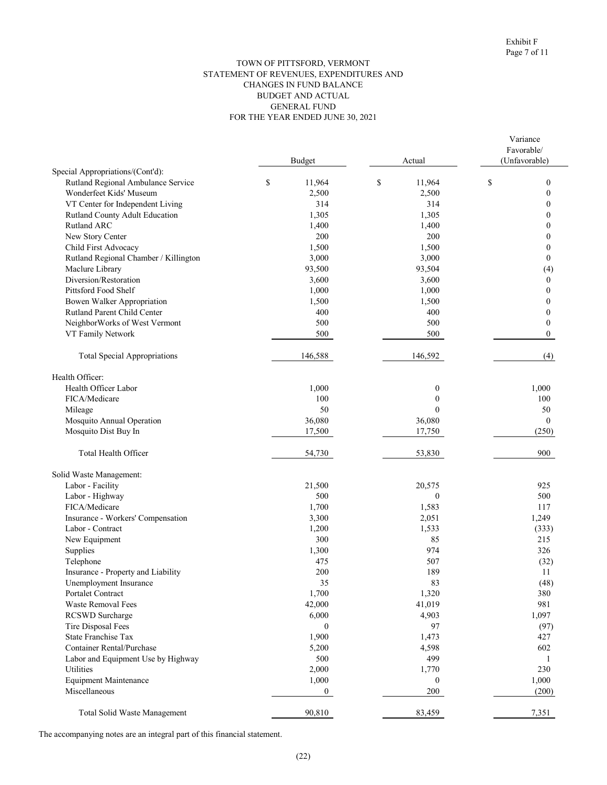|                                       | <b>Budget</b>    | Actual           | Variance<br>Favorable/<br>(Unfavorable) |
|---------------------------------------|------------------|------------------|-----------------------------------------|
| Special Appropriations/(Cont'd):      |                  |                  |                                         |
| Rutland Regional Ambulance Service    | \$<br>11,964     | \$<br>11,964     | \$<br>$\mathbf{0}$                      |
| Wonderfeet Kids' Museum               | 2,500            | 2,500            | $\mathbf{0}$                            |
| VT Center for Independent Living      | 314              | 314              | $\mathbf{0}$                            |
| Rutland County Adult Education        | 1,305            | 1,305            | $\mathbf{0}$                            |
| Rutland ARC                           | 1,400            | 1,400            | $\theta$                                |
| New Story Center                      | 200              | 200              | $\theta$                                |
| Child First Advocacy                  | 1,500            | 1,500            | $\theta$                                |
| Rutland Regional Chamber / Killington | 3,000            | 3,000            | $\mathbf{0}$                            |
| Maclure Library                       | 93,500           | 93,504           | (4)                                     |
| Diversion/Restoration                 | 3,600            | 3,600            | $\mathbf{0}$                            |
| Pittsford Food Shelf                  | 1,000            | 1,000            | $\theta$                                |
| Bowen Walker Appropriation            | 1,500            | 1,500            | $\theta$                                |
| Rutland Parent Child Center           | 400              | 400              | $\mathbf{0}$                            |
| NeighborWorks of West Vermont         | 500              | 500              | $\theta$                                |
| VT Family Network                     | 500              | 500              | 0                                       |
| <b>Total Special Appropriations</b>   | 146,588          | 146,592          | (4)                                     |
| Health Officer:                       |                  |                  |                                         |
| Health Officer Labor                  | 1,000            | $\boldsymbol{0}$ | 1,000                                   |
| FICA/Medicare                         | 100              | $\boldsymbol{0}$ | 100                                     |
| Mileage                               | 50               | $\theta$         | 50                                      |
| Mosquito Annual Operation             | 36,080           | 36,080           | $\mathbf{0}$                            |
| Mosquito Dist Buy In                  | 17,500           | 17,750           | (250)                                   |
| Total Health Officer                  | 54,730           | 53,830           | 900                                     |
| Solid Waste Management:               |                  |                  |                                         |
| Labor - Facility                      | 21,500           | 20,575           | 925                                     |
| Labor - Highway                       | 500              | $\mathbf{0}$     | 500                                     |
| FICA/Medicare                         | 1,700            | 1,583            | 117                                     |
| Insurance - Workers' Compensation     | 3,300            | 2,051            | 1,249                                   |
| Labor - Contract                      | 1,200            | 1,533            | (333)                                   |
| New Equipment                         | 300              | 85               | 215                                     |
| Supplies                              | 1,300            | 974              | 326                                     |
| Telephone                             | 475              | 507              | (32)                                    |
| Insurance - Property and Liability    | 200              | 189              | 11                                      |
| Unemployment Insurance                | 35               | 83               | (48)                                    |
| Portalet Contract                     | 1,700            | 1,320            | 380                                     |
| <b>Waste Removal Fees</b>             | 42,000           | 41,019           | 981                                     |
| <b>RCSWD</b> Surcharge                | 6,000            | 4,903            | 1,097                                   |
| Tire Disposal Fees                    | $\boldsymbol{0}$ | 97               | (97)                                    |
| State Franchise Tax                   | 1,900            | 1,473            | 427                                     |
| <b>Container Rental/Purchase</b>      | 5,200            | 4,598            | 602                                     |
| Labor and Equipment Use by Highway    | 500              | 499              | -1                                      |
| Utilities                             | 2,000            | 1,770            | 230                                     |
| <b>Equipment Maintenance</b>          | 1,000            | $\bf{0}$         | 1,000                                   |
| Miscellaneous                         | $\boldsymbol{0}$ | 200              | (200)                                   |
| Total Solid Waste Management          | 90,810           | 83,459           | 7,351                                   |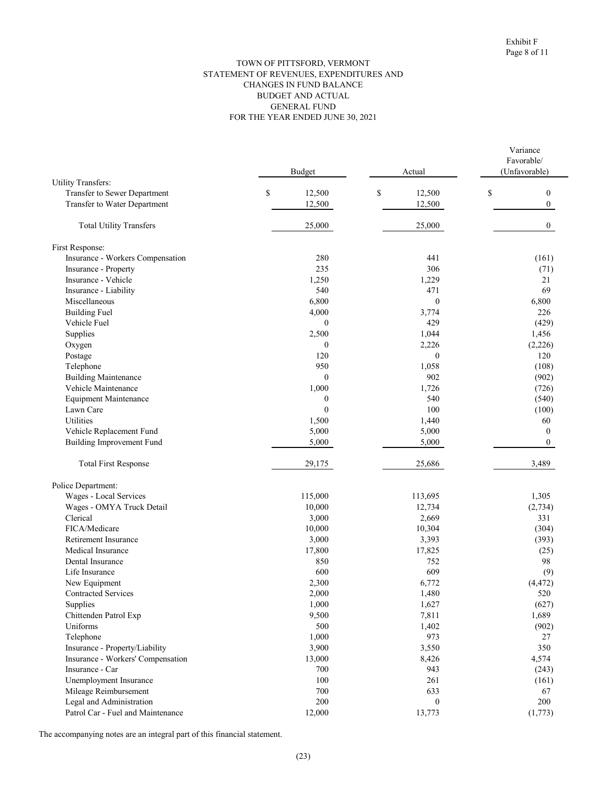### STATEMENT OF REVENUES, EXPENDITURES AND GENERAL FUND FOR THE YEAR ENDED JUNE 30, 2021 CHANGES IN FUND BALANCE BUDGET AND ACTUAL TOWN OF PITTSFORD, VERMONT

|                                                      |                  |                     | Variance<br>Favorable/ |
|------------------------------------------------------|------------------|---------------------|------------------------|
|                                                      | <b>Budget</b>    | Actual              | (Unfavorable)          |
| <b>Utility Transfers:</b>                            |                  |                     |                        |
| Transfer to Sewer Department                         | \$<br>12,500     | \$<br>12,500        | \$<br>$\mathbf{0}$     |
| Transfer to Water Department                         | 12,500           | 12,500              | 0                      |
| <b>Total Utility Transfers</b>                       | 25,000           | 25,000              | $\overline{0}$         |
| First Response:                                      |                  |                     |                        |
| Insurance - Workers Compensation                     | 280              | 441                 | (161)                  |
| Insurance - Property                                 | 235              | 306                 | (71)                   |
| Insurance - Vehicle                                  | 1,250            | 1,229               | 21                     |
| Insurance - Liability                                | 540              | 471                 | 69                     |
| Miscellaneous                                        | 6,800            | $\mathbf{0}$        | 6,800                  |
| <b>Building Fuel</b>                                 | 4,000            | 3,774               | 226                    |
| Vehicle Fuel                                         | $\mathbf{0}$     | 429                 | (429)                  |
| Supplies                                             | 2,500            | 1,044               | 1,456                  |
| Oxygen                                               | $\mathbf{0}$     | 2,226               | (2,226)                |
| Postage                                              | 120              | $\mathbf{0}$        | 120                    |
| Telephone                                            | 950              | 1,058               | (108)                  |
| <b>Building Maintenance</b>                          | $\mathbf{0}$     | 902                 | (902)                  |
| Vehicle Maintenance                                  | 1,000            | 1,726               | (726)                  |
| <b>Equipment Maintenance</b>                         | $\boldsymbol{0}$ | 540                 | (540)                  |
| Lawn Care                                            | $\mathbf{0}$     | 100                 | (100)                  |
| Utilities                                            | 1,500            | 1,440               | 60                     |
| Vehicle Replacement Fund                             | 5,000            | 5,000               | $\mathbf{0}$           |
| <b>Building Improvement Fund</b>                     | 5,000            | 5,000               | $\overline{0}$         |
| <b>Total First Response</b>                          | 29,175           | 25,686              | 3,489                  |
| Police Department:                                   |                  |                     |                        |
| Wages - Local Services                               | 115,000          | 113,695             | 1,305                  |
| Wages - OMYA Truck Detail                            | 10,000           | 12,734              | (2,734)                |
| Clerical                                             | 3,000            | 2,669               | 331                    |
| FICA/Medicare                                        | 10,000           | 10,304              | (304)                  |
| Retirement Insurance                                 | 3,000            | 3,393               | (393)                  |
| Medical Insurance                                    | 17,800           | 17,825              | (25)                   |
| Dental Insurance                                     | 850              | 752                 | 98                     |
| Life Insurance                                       | 600              | 609                 | (9)                    |
| New Equipment                                        | 2,300            | 6,772               | (4, 472)               |
| Contracted Services                                  | 2,000            | 1,480               | 520                    |
| Supplies                                             | 1,000            | 1,627               | (627)                  |
| Chittenden Patrol Exp                                | 9,500            | 7,811               | 1,689                  |
| Uniforms                                             | 500              | 1,402               | (902)                  |
| Telephone                                            | 1,000            | 973                 | 27                     |
|                                                      |                  |                     | 350                    |
| Insurance - Property/Liability                       | 3,900            | 3,550               |                        |
| Insurance - Workers' Compensation<br>Insurance - Car | 13,000<br>700    | 8,426<br>943        | 4,574                  |
|                                                      |                  |                     | (243)                  |
| Unemployment Insurance                               | 100              | 261                 | (161)                  |
| Mileage Reimbursement                                | 700<br>200       | 633<br>$\mathbf{0}$ | 67<br>200              |
| Legal and Administration                             |                  |                     |                        |
| Patrol Car - Fuel and Maintenance                    | 12,000           | 13,773              | (1,773)                |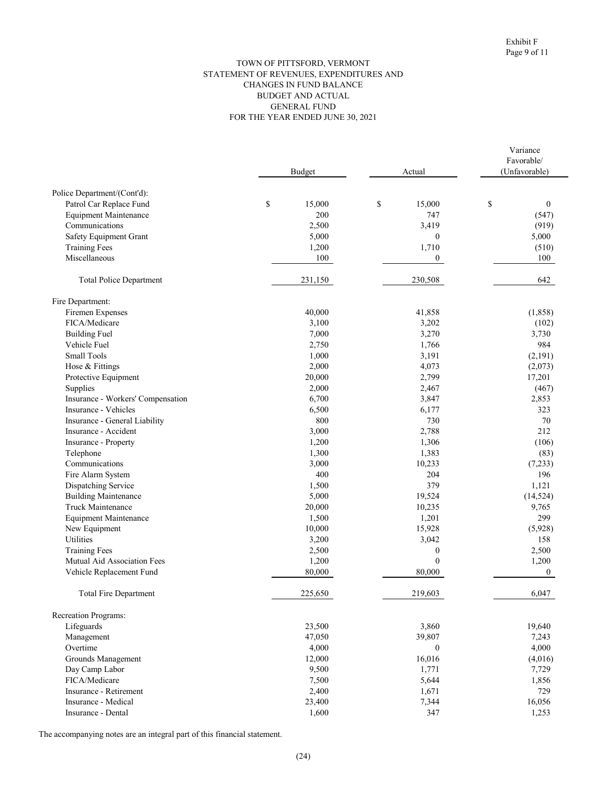|                                   |               |                  | Variance               |
|-----------------------------------|---------------|------------------|------------------------|
|                                   |               |                  | Favorable/             |
|                                   | <b>Budget</b> | Actual           | (Unfavorable)          |
| Police Department/(Cont'd):       |               |                  |                        |
| Patrol Car Replace Fund           | \$<br>15,000  | \$<br>15,000     | \$<br>$\boldsymbol{0}$ |
| <b>Equipment Maintenance</b>      | 200           | 747              | (547)                  |
| Communications                    | 2,500         | 3,419            | (919)                  |
| Safety Equipment Grant            | 5,000         | $\mathbf{0}$     | 5,000                  |
| <b>Training Fees</b>              | 1,200         | 1,710            | (510)                  |
| Miscellaneous                     | 100           | $\boldsymbol{0}$ | 100                    |
| <b>Total Police Department</b>    | 231,150       | 230,508          | 642                    |
| Fire Department:                  |               |                  |                        |
| Firemen Expenses                  | 40,000        | 41,858           | (1,858)                |
| FICA/Medicare                     | 3,100         | 3,202            | (102)                  |
| <b>Building Fuel</b>              | 7,000         | 3,270            | 3,730                  |
| Vehicle Fuel                      | 2,750         | 1,766            | 984                    |
| <b>Small Tools</b>                | 1,000         | 3,191            | (2,191)                |
| Hose & Fittings                   | 2,000         | 4,073            | (2,073)                |
| Protective Equipment              | 20,000        | 2,799            | 17,201                 |
| Supplies                          | 2,000         | 2,467            | (467)                  |
| Insurance - Workers' Compensation | 6,700         | 3,847            | 2,853                  |
| Insurance - Vehicles              | 6,500         | 6,177            | 323                    |
| Insurance - General Liability     | 800           | 730              | 70                     |
| Insurance - Accident              | 3,000         | 2,788            | 212                    |
| Insurance - Property              | 1,200         | 1,306            | (106)                  |
| Telephone                         | 1,300         | 1,383            | (83)                   |
| Communications                    | 3,000         | 10,233           | (7,233)                |
| Fire Alarm System                 | 400           | 204              | 196                    |
| Dispatching Service               | 1,500         | 379              | 1,121                  |
| <b>Building Maintenance</b>       | 5,000         | 19,524           | (14, 524)              |
| Truck Maintenance                 | 20,000        | 10,235           | 9,765                  |
| <b>Equipment Maintenance</b>      | 1,500         | 1,201            | 299                    |
| New Equipment                     | 10,000        | 15,928           | (5,928)                |
| Utilities                         | 3,200         | 3,042            | 158                    |
| <b>Training Fees</b>              | 2,500         | $\boldsymbol{0}$ | 2,500                  |
| Mutual Aid Association Fees       | 1,200         | $\theta$         | 1,200                  |
|                                   |               | 80,000           | $\mathbf{0}$           |
| Vehicle Replacement Fund          | 80,000        |                  |                        |
| <b>Total Fire Department</b>      | 225,650       | 219,603          | 6,047                  |
| Recreation Programs:              |               |                  |                        |
| Lifeguards                        | 23,500        | 3,860            | 19,640                 |
| Management                        | 47,050        | 39,807           | 7,243                  |
| Overtime                          | 4,000         | $\boldsymbol{0}$ | 4,000                  |
| Grounds Management                | 12,000        | 16,016           | (4,016)                |
| Day Camp Labor                    | 9,500         | 1,771            | 7,729                  |
| FICA/Medicare                     | 7,500         | 5,644            | 1,856                  |
| Insurance - Retirement            | 2,400         | 1,671            | 729                    |
| Insurance - Medical               | 23,400        | 7,344            | 16,056                 |
| Insurance - Dental                | 1,600         | 347              | 1,253                  |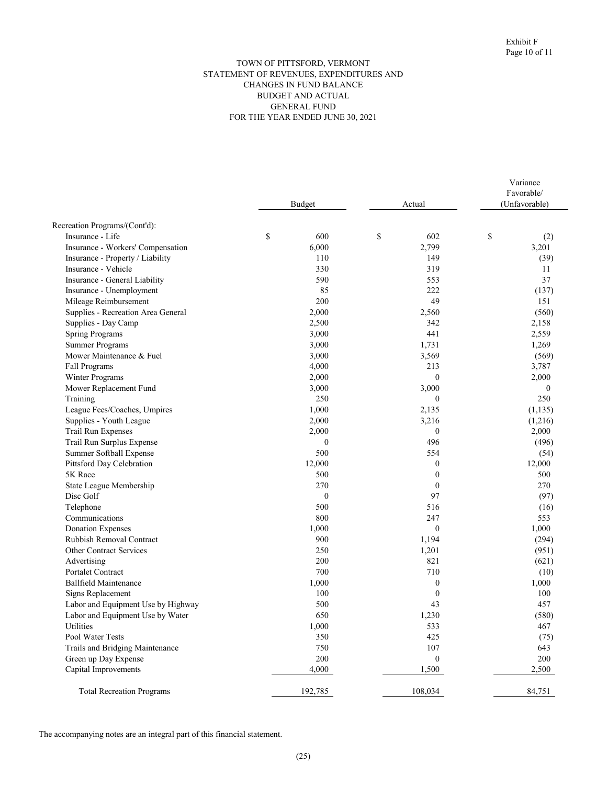|                                    | <b>Budget</b>    | Actual       | Variance<br>Favorable/<br>(Unfavorable) |  |
|------------------------------------|------------------|--------------|-----------------------------------------|--|
|                                    |                  |              |                                         |  |
| Recreation Programs/(Cont'd):      |                  |              |                                         |  |
| Insurance - Life                   | \$<br>600        | \$<br>602    | \$<br>(2)                               |  |
| Insurance - Workers' Compensation  | 6,000            | 2,799        | 3,201                                   |  |
| Insurance - Property / Liability   | 110              | 149          | (39)                                    |  |
| Insurance - Vehicle                | 330              | 319          | 11                                      |  |
| Insurance - General Liability      | 590              | 553          | 37                                      |  |
| Insurance - Unemployment           | 85               | 222          | (137)                                   |  |
| Mileage Reimbursement              | 200              | 49           | 151                                     |  |
| Supplies - Recreation Area General | 2,000            | 2,560        | (560)                                   |  |
| Supplies - Day Camp                | 2,500            | 342          | 2,158                                   |  |
| <b>Spring Programs</b>             | 3,000            | 441          | 2,559                                   |  |
| <b>Summer Programs</b>             | 3,000            | 1,731        | 1,269                                   |  |
| Mower Maintenance & Fuel           | 3,000            | 3,569        | (569)                                   |  |
| Fall Programs                      | 4,000            | 213          | 3,787                                   |  |
| Winter Programs                    | 2,000            | $\theta$     | 2,000                                   |  |
| Mower Replacement Fund             | 3,000            | 3,000        | $\mathbf{0}$                            |  |
| Training                           | 250              | $\mathbf{0}$ | 250                                     |  |
| League Fees/Coaches, Umpires       | 1,000            | 2,135        | (1, 135)                                |  |
| Supplies - Youth League            | 2,000            | 3,216        | (1,216)                                 |  |
| Trail Run Expenses                 | 2,000            | $\mathbf{0}$ | 2,000                                   |  |
| Trail Run Surplus Expense          | $\theta$         | 496          | (496)                                   |  |
| Summer Softball Expense            | 500              | 554          | (54)                                    |  |
| Pittsford Day Celebration          | 12,000           | $\mathbf{0}$ | 12,000                                  |  |
| 5K Race                            | 500              | $\mathbf{0}$ | 500                                     |  |
| State League Membership            | 270              | $\mathbf{0}$ | 270                                     |  |
| Disc Golf                          | $\boldsymbol{0}$ | 97           | (97)                                    |  |
| Telephone                          | 500              | 516          | (16)                                    |  |
| Communications                     | 800              | 247          | 553                                     |  |
| <b>Donation Expenses</b>           | 1,000            | $\theta$     | 1,000                                   |  |
| Rubbish Removal Contract           | 900              | 1,194        | (294)                                   |  |
| <b>Other Contract Services</b>     | 250              | 1,201        | (951)                                   |  |
| Advertising                        | 200              | 821          | (621)                                   |  |
| Portalet Contract                  | 700              | 710          | (10)                                    |  |
| <b>Ballfield Maintenance</b>       | 1,000            | $\mathbf{0}$ | 1,000                                   |  |
| Signs Replacement                  | 100              | $\mathbf{0}$ | 100                                     |  |
| Labor and Equipment Use by Highway | 500              | 43           | 457                                     |  |
| Labor and Equipment Use by Water   | 650              | 1,230        | (580)                                   |  |
| Utilities                          | 1,000            | 533          | 467                                     |  |
| Pool Water Tests                   | 350              | 425          | (75)                                    |  |
| Trails and Bridging Maintenance    | 750              | 107          | 643                                     |  |
| Green up Day Expense               | 200              | $\mathbf{0}$ | 200                                     |  |
| Capital Improvements               | 4,000            | 1,500        | 2,500                                   |  |
| <b>Total Recreation Programs</b>   | 192,785          | 108,034      | 84,751                                  |  |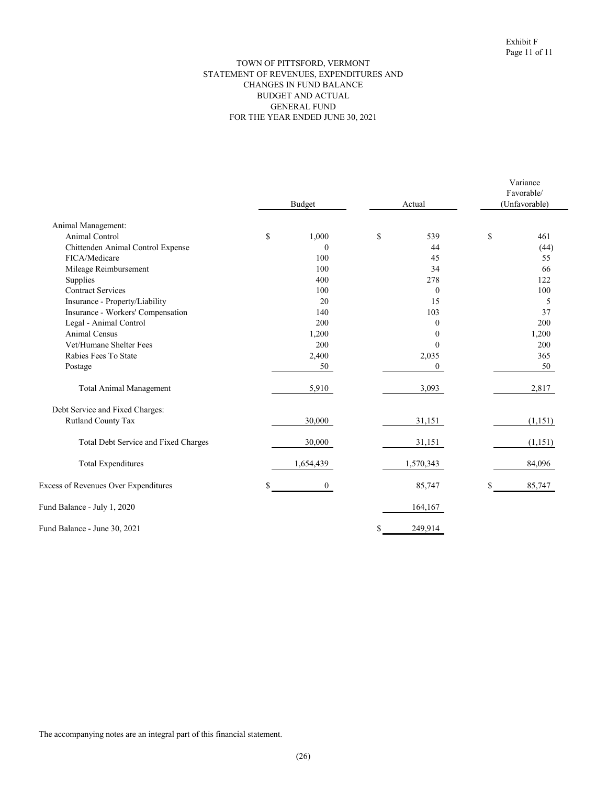|                                             | Budget |                | Actual |                | Variance<br>Favorable/<br>(Unfavorable) |         |
|---------------------------------------------|--------|----------------|--------|----------------|-----------------------------------------|---------|
|                                             |        |                |        |                |                                         |         |
| Animal Management:                          |        |                |        |                |                                         |         |
| Animal Control                              | \$     | 1,000          | \$     | 539            | \$                                      | 461     |
| Chittenden Animal Control Expense           |        | $\theta$       |        | 44             |                                         | (44)    |
| FICA/Medicare                               |        | 100            |        | 45             |                                         | 55      |
| Mileage Reimbursement                       |        | 100            |        | 34             |                                         | 66      |
| Supplies                                    |        | 400            |        | 278            |                                         | 122     |
| <b>Contract Services</b>                    |        | 100            |        | $\mathbf{0}$   |                                         | 100     |
| Insurance - Property/Liability              |        | 20             |        | 15             |                                         | 5       |
| Insurance - Workers' Compensation           |        | 140            |        | 103            |                                         | 37      |
| Legal - Animal Control                      |        | 200            |        | $\mathbf{0}$   |                                         | 200     |
| Animal Census                               |        | 1,200          |        | $\mathbf{0}$   |                                         | 1,200   |
| Vet/Humane Shelter Fees                     |        | 200            |        | $\mathbf{0}$   |                                         | 200     |
| Rabies Fees To State                        |        | 2,400          |        | 2,035          |                                         | 365     |
| Postage                                     |        | 50             |        | $\overline{0}$ |                                         | 50      |
| <b>Total Animal Management</b>              |        | 5,910          |        | 3,093          |                                         | 2,817   |
| Debt Service and Fixed Charges:             |        |                |        |                |                                         |         |
| Rutland County Tax                          |        | 30,000         |        | 31,151         |                                         | (1,151) |
| Total Debt Service and Fixed Charges        |        | 30,000         |        | 31,151         |                                         | (1,151) |
| <b>Total Expenditures</b>                   |        | 1,654,439      |        | 1,570,343      |                                         | 84,096  |
| <b>Excess of Revenues Over Expenditures</b> | \$     | $\overline{0}$ |        | 85,747         | \$                                      | 85,747  |
| Fund Balance - July 1, 2020                 |        |                |        | 164,167        |                                         |         |
| Fund Balance - June 30, 2021                |        |                | \$     | 249,914        |                                         |         |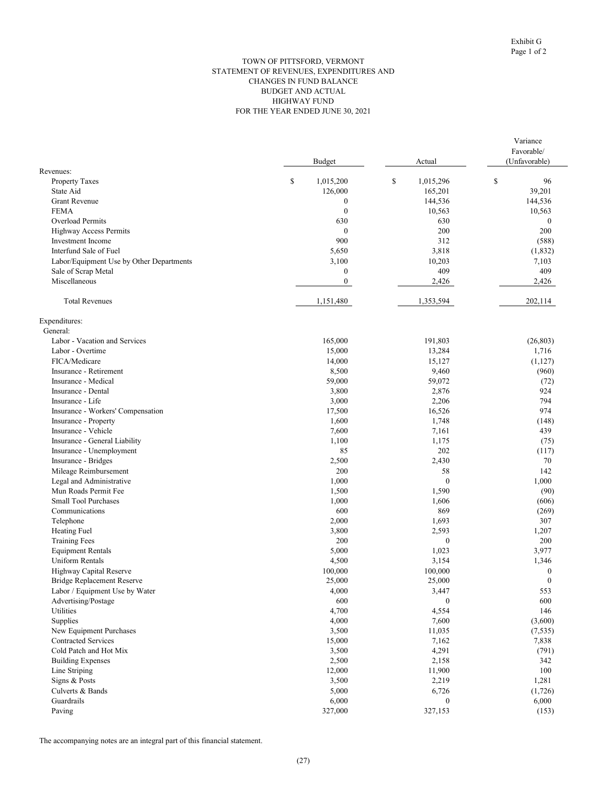#### FOR THE YEAR ENDED JUNE 30, 2021 TOWN OF PITTSFORD, VERMONT STATEMENT OF REVENUES, EXPENDITURES AND CHANGES IN FUND BALANCE BUDGET AND ACTUAL HIGHWAY FUND

|                                                              | Budget           | Actual           | Variance<br>Favorable/<br>(Unfavorable) |  |
|--------------------------------------------------------------|------------------|------------------|-----------------------------------------|--|
| Revenues:                                                    |                  |                  |                                         |  |
| Property Taxes                                               | \$<br>1,015,200  | \$<br>1,015,296  | \$<br>96                                |  |
| State Aid                                                    | 126,000          | 165,201          | 39,201                                  |  |
| <b>Grant Revenue</b>                                         | 0                | 144,536          | 144,536                                 |  |
| <b>FEMA</b>                                                  | $\mathbf{0}$     | 10,563           | 10,563                                  |  |
| Overload Permits                                             | 630              | 630              | $\boldsymbol{0}$                        |  |
| Highway Access Permits                                       | $\boldsymbol{0}$ | 200              | 200                                     |  |
| <b>Investment</b> Income                                     | 900              | 312              | (588)                                   |  |
| Interfund Sale of Fuel                                       | 5,650            | 3,818            | (1, 832)                                |  |
| Labor/Equipment Use by Other Departments                     | 3,100            | 10,203           | 7,103                                   |  |
| Sale of Scrap Metal                                          | $\boldsymbol{0}$ | 409              | 409                                     |  |
| Miscellaneous                                                | $\boldsymbol{0}$ | 2,426            | 2,426                                   |  |
| <b>Total Revenues</b>                                        | 1,151,480        | 1,353,594        | 202,114                                 |  |
| Expenditures:                                                |                  |                  |                                         |  |
| General:                                                     |                  |                  |                                         |  |
| Labor - Vacation and Services                                | 165,000          | 191,803          | (26, 803)                               |  |
| Labor - Overtime                                             | 15,000           | 13,284           | 1,716                                   |  |
| FICA/Medicare                                                | 14,000           | 15,127           | (1,127)                                 |  |
| Insurance - Retirement                                       | 8,500            | 9,460            | (960)                                   |  |
| Insurance - Medical                                          | 59,000           | 59,072           | (72)                                    |  |
| Insurance - Dental                                           | 3,800            | 2,876            | 924                                     |  |
| Insurance - Life                                             | 3,000            | 2,206            | 794                                     |  |
| Insurance - Workers' Compensation                            | 17,500           | 16,526           | 974                                     |  |
| Insurance - Property                                         | 1,600            | 1,748            | (148)                                   |  |
| Insurance - Vehicle                                          | 7,600            | 7,161            | 439                                     |  |
| Insurance - General Liability                                | 1,100            | 1,175            | (75)                                    |  |
| Insurance - Unemployment                                     | 85               | 202              | (117)                                   |  |
| Insurance - Bridges                                          | 2,500            | 2,430            | 70                                      |  |
| Mileage Reimbursement                                        | 200              | 58               | 142                                     |  |
| Legal and Administrative                                     | 1,000            | $\mathbf{0}$     | 1,000                                   |  |
| Mun Roads Permit Fee                                         | 1,500            | 1,590            | (90)                                    |  |
| <b>Small Tool Purchases</b>                                  | 1,000            | 1,606            | (606)                                   |  |
| Communications                                               | 600              | 869              | (269)                                   |  |
| Telephone                                                    | 2,000            | 1,693            | 307                                     |  |
| Heating Fuel                                                 | 3,800            | 2,593            | 1,207                                   |  |
| <b>Training Fees</b>                                         | 200              | $\boldsymbol{0}$ | 200                                     |  |
| <b>Equipment Rentals</b>                                     | 5,000            | 1,023            | 3,977                                   |  |
| <b>Uniform Rentals</b>                                       | 4,500            | 3,154            | 1,346                                   |  |
| Highway Capital Reserve                                      | 100,000          | 100,000          | $\boldsymbol{0}$                        |  |
|                                                              |                  |                  | $\bf{0}$                                |  |
| Bridge Replacement Reserve<br>Labor / Equipment Use by Water | 25,000<br>4,000  | 25,000<br>3,447  | 553                                     |  |
| Advertising/Postage                                          | 600              | $\bf{0}$         | 600                                     |  |
| Utilities                                                    | 4,700            | 4,554            | 146                                     |  |
| Supplies                                                     | 4,000            | 7,600            | (3,600)                                 |  |
|                                                              |                  |                  |                                         |  |
| New Equipment Purchases                                      | 3,500            | 11,035           | (7,535)                                 |  |
| <b>Contracted Services</b>                                   | 15,000           | 7,162            | 7,838                                   |  |
| Cold Patch and Hot Mix                                       | 3,500            | 4,291            | (791)                                   |  |
| <b>Building Expenses</b>                                     | 2,500            | 2,158            | 342                                     |  |
| Line Striping                                                | 12,000           | 11,900           | 100                                     |  |
| Signs & Posts                                                | 3,500            | 2,219            | 1,281                                   |  |
| Culverts & Bands                                             | 5,000            | 6,726            | (1,726)                                 |  |
| Guardrails                                                   | 6,000            | $\boldsymbol{0}$ | 6,000                                   |  |
| Paving                                                       | 327,000          | 327,153          | (153)                                   |  |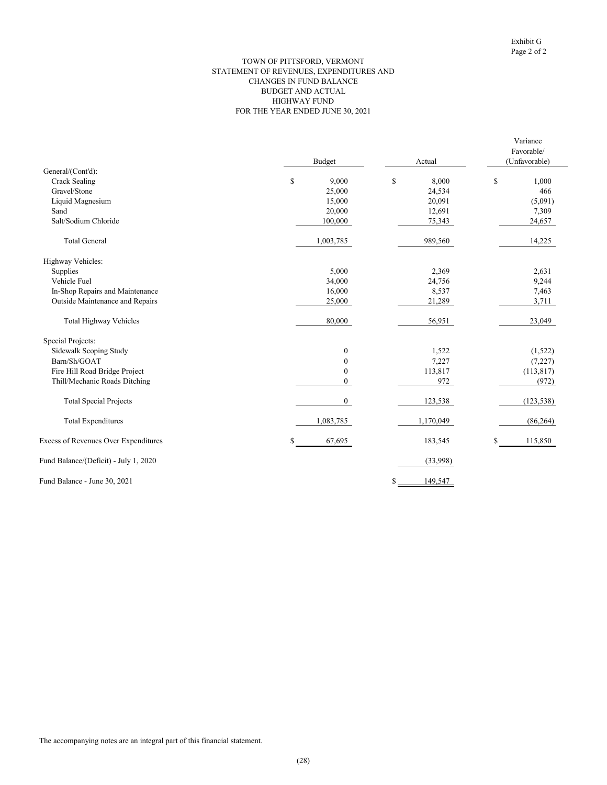|                                           | Budget           | Actual        | (Unfavorable) |  |
|-------------------------------------------|------------------|---------------|---------------|--|
| General/(Cont'd):<br><b>Crack Sealing</b> | \$<br>9,000      | \$<br>8,000   | \$<br>1,000   |  |
| Gravel/Stone                              | 25,000           | 24,534        | 466           |  |
| Liquid Magnesium                          | 15,000           | 20,091        | (5,091)       |  |
| Sand                                      | 20,000           | 12,691        | 7,309         |  |
| Salt/Sodium Chloride                      |                  |               |               |  |
|                                           | 100,000          | 75,343        | 24,657        |  |
| <b>Total General</b>                      | 1,003,785        | 989,560       | 14,225        |  |
| Highway Vehicles:                         |                  |               |               |  |
| Supplies                                  | 5,000            | 2,369         | 2,631         |  |
| Vehicle Fuel                              | 34,000           | 24,756        | 9,244         |  |
| In-Shop Repairs and Maintenance           | 16,000           | 8,537         | 7,463         |  |
| Outside Maintenance and Repairs           | 25,000           | 21,289        | 3,711         |  |
| <b>Total Highway Vehicles</b>             | 80,000           | 56,951        | 23,049        |  |
| Special Projects:                         |                  |               |               |  |
| Sidewalk Scoping Study                    | $\mathbf{0}$     | 1,522         | (1,522)       |  |
| Barn/Sh/GOAT                              | $\boldsymbol{0}$ | 7,227         | (7,227)       |  |
| Fire Hill Road Bridge Project             | $\mathbf{0}$     | 113,817       | (113, 817)    |  |
| Thill/Mechanic Roads Ditching             | $\overline{0}$   | 972           | (972)         |  |
| <b>Total Special Projects</b>             | $\overline{0}$   | 123,538       | (123, 538)    |  |
| <b>Total Expenditures</b>                 | 1,083,785        | 1,170,049     | (86, 264)     |  |
| Excess of Revenues Over Expenditures      | \$<br>67,695     | 183,545       | \$<br>115,850 |  |
| Fund Balance/(Deficit) - July 1, 2020     |                  | (33,998)      |               |  |
| Fund Balance - June 30, 2021              |                  | \$<br>149,547 |               |  |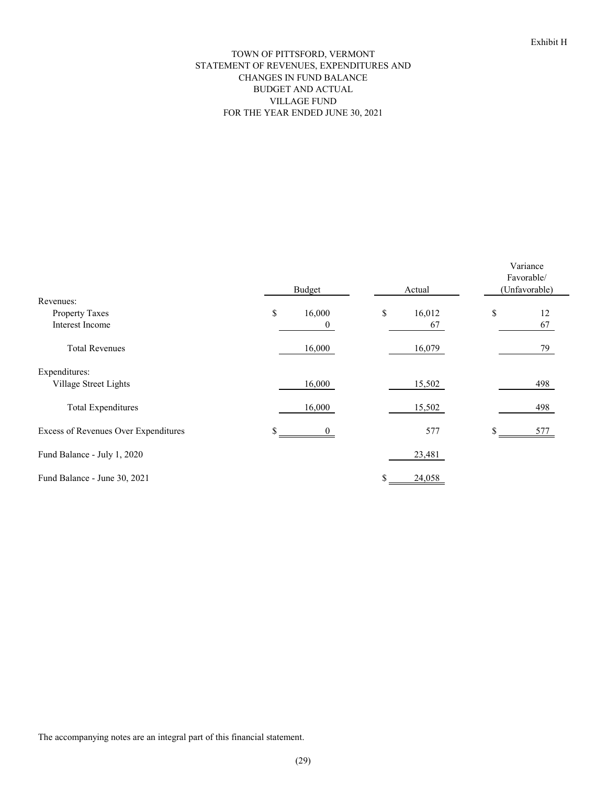### FOR THE YEAR ENDED JUNE 30, 2021 TOWN OF PITTSFORD, VERMONT STATEMENT OF REVENUES, EXPENDITURES AND CHANGES IN FUND BALANCE BUDGET AND ACTUAL VILLAGE FUND

|                                      |               |              | Variance<br>Favorable/ |
|--------------------------------------|---------------|--------------|------------------------|
|                                      | <b>Budget</b> | Actual       | (Unfavorable)          |
| Revenues:                            |               |              |                        |
| <b>Property Taxes</b>                | \$<br>16,000  | \$<br>16,012 | \$<br>12               |
| Interest Income                      | $\mathbf{0}$  | 67           | 67                     |
| <b>Total Revenues</b>                | 16,000        | 16,079       | 79                     |
| Expenditures:                        |               |              |                        |
| Village Street Lights                | 16,000        | 15,502       | 498                    |
| <b>Total Expenditures</b>            | 16,000        | 15,502       | 498                    |
| Excess of Revenues Over Expenditures | \$            | 577          | S<br>577               |
| Fund Balance - July 1, 2020          |               | 23,481       |                        |
| Fund Balance - June 30, 2021         |               | \$<br>24,058 |                        |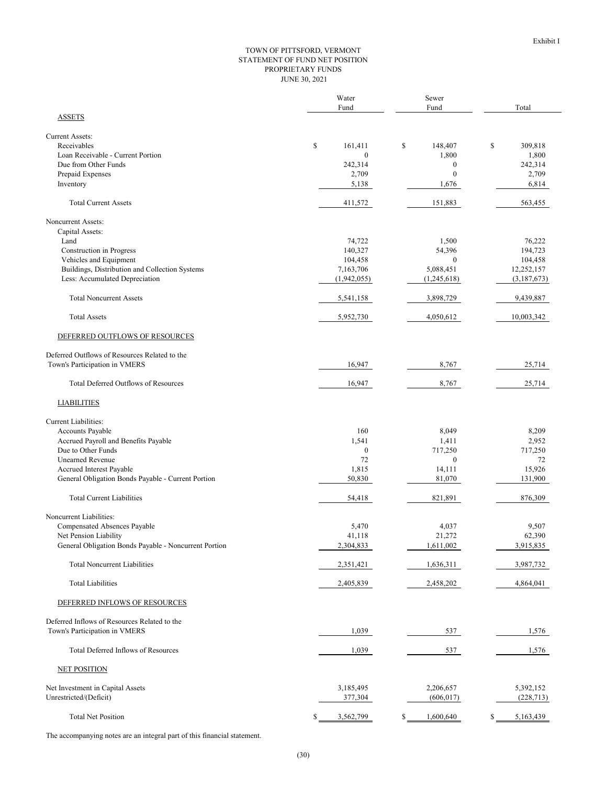#### TOWN OF PITTSFORD, VERMONT STATEMENT OF FUND NET POSITION PROPRIETARY FUNDS JUNE 30, 2021

|                                                                               | Water            | Sewer            |                 |  |
|-------------------------------------------------------------------------------|------------------|------------------|-----------------|--|
| ASSETS                                                                        | Fund             | Fund             | Total           |  |
|                                                                               |                  |                  |                 |  |
| Current Assets:                                                               |                  |                  |                 |  |
| Receivables                                                                   | \$<br>161,411    | \$<br>148,407    | \$<br>309,818   |  |
| Loan Receivable - Current Portion                                             | $\mathbf{0}$     | 1,800            | 1,800           |  |
| Due from Other Funds                                                          | 242,314          | $\boldsymbol{0}$ | 242,314         |  |
| Prepaid Expenses                                                              | 2,709            | $\boldsymbol{0}$ | 2,709           |  |
| Inventory                                                                     | 5,138            | 1,676            | 6,814           |  |
| <b>Total Current Assets</b>                                                   | 411,572          | 151,883          | 563,455         |  |
| Noncurrent Assets:                                                            |                  |                  |                 |  |
| Capital Assets:                                                               |                  |                  |                 |  |
| Land                                                                          | 74,722           | 1,500            | 76,222          |  |
| Construction in Progress                                                      | 140,327          | 54,396           | 194,723         |  |
| Vehicles and Equipment                                                        | 104,458          | $\boldsymbol{0}$ | 104,458         |  |
| Buildings, Distribution and Collection Systems                                | 7,163,706        | 5,088,451        | 12,252,157      |  |
| Less: Accumulated Depreciation                                                | (1,942,055)      | (1,245,618)      | (3,187,673)     |  |
| <b>Total Noncurrent Assets</b>                                                | 5,541,158        | 3,898,729        | 9,439,887       |  |
| <b>Total Assets</b>                                                           | 5,952,730        | 4,050,612        | 10,003,342      |  |
| DEFERRED OUTFLOWS OF RESOURCES                                                |                  |                  |                 |  |
| Deferred Outflows of Resources Related to the                                 |                  |                  |                 |  |
| Town's Participation in VMERS                                                 | 16,947           | 8,767            | 25,714          |  |
| <b>Total Deferred Outflows of Resources</b>                                   | 16,947           | 8,767            | 25,714          |  |
| <b>LIABILITIES</b>                                                            |                  |                  |                 |  |
| Current Liabilities:                                                          |                  |                  |                 |  |
| Accounts Payable                                                              | 160              | 8,049            | 8,209           |  |
| Accrued Payroll and Benefits Payable                                          | 1,541            | 1,411            | 2,952           |  |
| Due to Other Funds                                                            | $\boldsymbol{0}$ | 717,250          | 717,250         |  |
| <b>Unearned Revenue</b>                                                       | 72               | $\mathbf{0}$     | 72              |  |
| Accrued Interest Payable                                                      | 1,815            | 14,111           | 15,926          |  |
| General Obligation Bonds Payable - Current Portion                            | 50,830           | 81,070           | 131,900         |  |
| <b>Total Current Liabilities</b>                                              | 54,418           | 821,891          | 876,309         |  |
| Noncurrent Liabilities:                                                       |                  |                  |                 |  |
| Compensated Absences Payable                                                  | 5,470            | 4,037            | 9,507           |  |
| Net Pension Liability                                                         | 41,118           | 21,272           | 62,390          |  |
| General Obligation Bonds Payable - Noncurrent Portion                         | 2,304,833        | 1,611,002        | 3,915,835       |  |
| <b>Total Noncurrent Liabilities</b>                                           | 2,351,421        | 1,636,311        | 3,987,732       |  |
| <b>Total Liabilities</b>                                                      | 2,405,839        | 2,458,202        | 4,864,041       |  |
| DEFERRED INFLOWS OF RESOURCES                                                 |                  |                  |                 |  |
|                                                                               |                  |                  |                 |  |
| Deferred Inflows of Resources Related to the<br>Town's Participation in VMERS | 1,039            | 537              | 1,576           |  |
| Total Deferred Inflows of Resources                                           | 1,039            | 537              | 1,576           |  |
| <b>NET POSITION</b>                                                           |                  |                  |                 |  |
| Net Investment in Capital Assets                                              | 3,185,495        | 2,206,657        | 5,392,152       |  |
| Unrestricted/(Deficit)                                                        | 377,304          | (606, 017)       | (228, 713)      |  |
| <b>Total Net Position</b>                                                     | 3,562,799<br>S   | 1,600,640<br>\$  | 5,163,439<br>\$ |  |
|                                                                               |                  |                  |                 |  |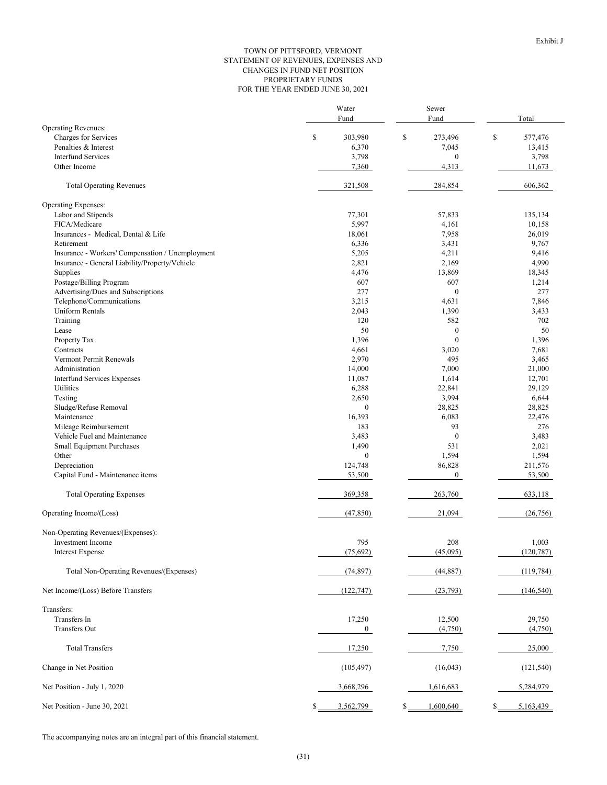#### CHANGES IN FUND NET POSITION TOWN OF PITTSFORD, VERMONT STATEMENT OF REVENUES, EXPENSES AND PROPRIETARY FUNDS FOR THE YEAR ENDED JUNE 30, 2021

|                                                  | Water<br>Fund    | Sewer<br>Fund    | Total           |  |
|--------------------------------------------------|------------------|------------------|-----------------|--|
| Operating Revenues:                              |                  |                  |                 |  |
| Charges for Services                             | \$<br>303,980    | \$<br>273,496    | \$<br>577,476   |  |
| Penalties & Interest                             | 6,370            | 7,045            | 13,415          |  |
| <b>Interfund Services</b>                        | 3,798            | $\boldsymbol{0}$ | 3,798           |  |
| Other Income                                     | 7,360            | 4,313            | 11,673          |  |
| <b>Total Operating Revenues</b>                  | 321,508          | 284,854          | 606,362         |  |
| Operating Expenses:                              |                  |                  |                 |  |
| Labor and Stipends                               | 77,301           | 57,833           | 135,134         |  |
| FICA/Medicare                                    | 5,997            | 4,161            | 10,158          |  |
| Insurances - Medical, Dental & Life              | 18,061           | 7,958            | 26,019          |  |
| Retirement                                       | 6,336            | 3,431            | 9,767           |  |
| Insurance - Workers' Compensation / Unemployment | 5,205            | 4,211            | 9,416           |  |
| Insurance - General Liability/Property/Vehicle   | 2,821            | 2,169            | 4,990           |  |
| Supplies                                         | 4,476            | 13,869           | 18,345          |  |
| Postage/Billing Program                          | 607              | 607              | 1,214           |  |
| Advertising/Dues and Subscriptions               | 277              | $\mathbf{0}$     | 277             |  |
| Telephone/Communications                         | 3,215            | 4,631            | 7,846           |  |
| <b>Uniform Rentals</b>                           | 2,043            | 1,390            | 3,433           |  |
| Training                                         | 120              | 582              | 702             |  |
| Lease                                            | 50               | $\boldsymbol{0}$ | 50              |  |
| Property Tax                                     | 1,396            | $\mathbf{0}$     | 1,396           |  |
| Contracts                                        | 4,661            | 3,020            | 7,681           |  |
| Vermont Permit Renewals                          | 2,970            | 495              | 3,465           |  |
| Administration                                   | 14,000           | 7,000            | 21,000          |  |
| <b>Interfund Services Expenses</b>               | 11,087           | 1,614            | 12,701          |  |
| Utilities                                        | 6,288            | 22,841           | 29,129          |  |
| Testing                                          | 2,650            | 3,994            | 6,644           |  |
| Sludge/Refuse Removal                            | $\mathbf{0}$     | 28,825           | 28,825          |  |
| Maintenance                                      | 16,393           | 6,083            | 22,476          |  |
| Mileage Reimbursement                            | 183              | 93               | 276             |  |
| Vehicle Fuel and Maintenance                     | 3,483            | $\boldsymbol{0}$ | 3,483           |  |
| Small Equipment Purchases                        | 1,490            | 531              | 2,021           |  |
| Other                                            | $\boldsymbol{0}$ | 1,594            | 1,594           |  |
| Depreciation                                     | 124,748          | 86,828           | 211,576         |  |
| Capital Fund - Maintenance items                 | 53,500           | $\mathbf{0}$     | 53,500          |  |
| <b>Total Operating Expenses</b>                  | 369,358          | 263,760          | 633,118         |  |
| Operating Income/(Loss)                          | (47, 850)        | 21,094           | (26,756)        |  |
| Non-Operating Revenues/(Expenses):               |                  |                  |                 |  |
| Investment Income                                | 795              | 208              | 1,003           |  |
| <b>Interest Expense</b>                          | (75,692)         | (45,095)         | (120, 787)      |  |
| Total Non-Operating Revenues/(Expenses)          | (74, 897)        | (44, 887)        | (119, 784)      |  |
| Net Income/(Loss) Before Transfers               | (122, 747)       | (23,793)         | (146, 540)      |  |
| Transfers:                                       |                  |                  |                 |  |
| Transfers In                                     | 17,250           | 12,500           | 29,750          |  |
| <b>Transfers Out</b>                             | $\mathbf{0}$     | (4,750)          | (4,750)         |  |
| <b>Total Transfers</b>                           | 17,250           | 7,750            | 25,000          |  |
| Change in Net Position                           | (105, 497)       | (16,043)         | (121, 540)      |  |
| Net Position - July 1, 2020                      | 3,668,296        | 1,616,683        | 5,284,979       |  |
| Net Position - June 30, 2021                     | 3,562,799<br>\$  | \$<br>1,600,640  | \$<br>5,163,439 |  |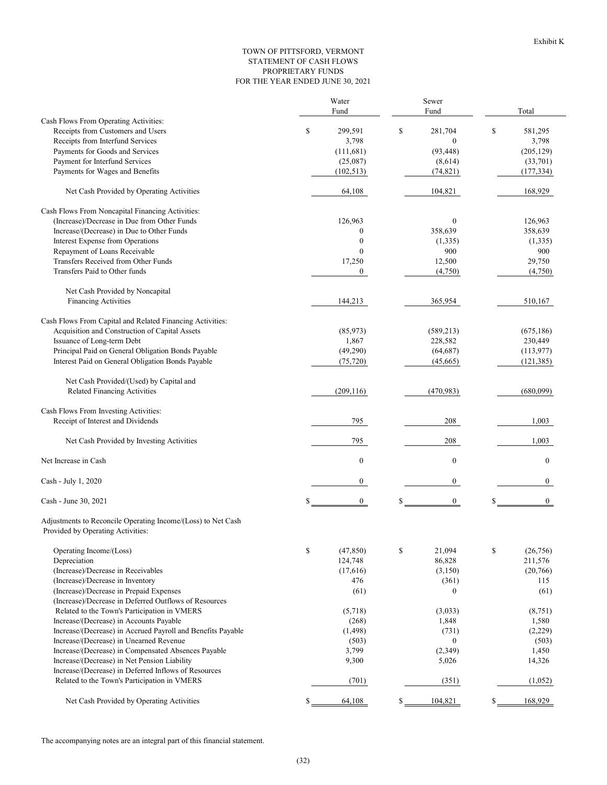#### TOWN OF PITTSFORD, VERMONT STATEMENT OF CASH FLOWS PROPRIETARY FUNDS FOR THE YEAR ENDED JUNE 30, 2021

|                                                                                                   | Water<br>Fund        | Sewer<br>Fund        | Total                |
|---------------------------------------------------------------------------------------------------|----------------------|----------------------|----------------------|
| Cash Flows From Operating Activities:                                                             |                      |                      |                      |
| Receipts from Customers and Users                                                                 | \$<br>299,591        | \$<br>281,704        | \$<br>581,295        |
| Receipts from Interfund Services                                                                  | 3,798                | $\mathbf{0}$         | 3,798                |
| Payments for Goods and Services                                                                   | (111,681)            | (93, 448)            | (205, 129)           |
| Payment for Interfund Services                                                                    | (25,087)             | (8,614)              | (33,701)             |
| Payments for Wages and Benefits                                                                   | (102, 513)           | (74, 821)            | (177, 334)           |
| Net Cash Provided by Operating Activities                                                         | 64,108               | 104,821              | 168,929              |
| Cash Flows From Noncapital Financing Activities:                                                  |                      |                      |                      |
| (Increase)/Decrease in Due from Other Funds                                                       | 126,963              | $\boldsymbol{0}$     | 126,963              |
| Increase/(Decrease) in Due to Other Funds                                                         | 0                    | 358,639              | 358,639              |
| Interest Expense from Operations                                                                  | $\boldsymbol{0}$     | (1, 335)             | (1, 335)             |
| Repayment of Loans Receivable                                                                     | $\mathbf{0}$         | 900                  | 900                  |
| Transfers Received from Other Funds                                                               | 17,250               | 12,500               | 29,750               |
| Transfers Paid to Other funds                                                                     | $\boldsymbol{0}$     | (4,750)              | (4,750)              |
| Net Cash Provided by Noncapital                                                                   |                      |                      |                      |
| <b>Financing Activities</b>                                                                       | 144,213              | 365,954              | 510,167              |
| Cash Flows From Capital and Related Financing Activities:                                         |                      |                      |                      |
| Acquisition and Construction of Capital Assets                                                    | (85,973)             | (589, 213)           | (675, 186)           |
| Issuance of Long-term Debt                                                                        | 1,867                | 228,582              | 230,449              |
| Principal Paid on General Obligation Bonds Payable                                                | (49,290)             | (64, 687)            | (113, 977)           |
| Interest Paid on General Obligation Bonds Payable                                                 | (75, 720)            | (45, 665)            | (121, 385)           |
| Net Cash Provided/(Used) by Capital and                                                           |                      |                      |                      |
| Related Financing Activities                                                                      | (209, 116)           | (470, 983)           | (680,099)            |
| Cash Flows From Investing Activities:                                                             |                      |                      |                      |
| Receipt of Interest and Dividends                                                                 | 795                  | 208                  | 1,003                |
|                                                                                                   |                      |                      |                      |
| Net Cash Provided by Investing Activities                                                         | 795                  | 208                  | 1,003                |
| Net Increase in Cash                                                                              | $\boldsymbol{0}$     | $\boldsymbol{0}$     | $\boldsymbol{0}$     |
| Cash - July 1, 2020                                                                               | $\boldsymbol{0}$     | $\mathbf{0}$         | $\boldsymbol{0}$     |
| Cash - June 30, 2021                                                                              | \$<br>$\overline{0}$ | \$<br>$\overline{0}$ | \$<br>$\overline{0}$ |
| Adjustments to Reconcile Operating Income/(Loss) to Net Cash<br>Provided by Operating Activities: |                      |                      |                      |
| Operating Income/(Loss)                                                                           | \$<br>(47, 850)      | \$<br>21,094         | \$<br>(26,756)       |
| Depreciation                                                                                      | 124,748              | 86,828               | 211,576              |
| (Increase)/Decrease in Receivables                                                                | (17,616)             | (3,150)              | (20,766)             |
| (Increase)/Decrease in Inventory                                                                  | 476                  | (361)                | 115                  |
| (Increase)/Decrease in Prepaid Expenses                                                           | (61)                 | $\overline{0}$       | (61)                 |
| (Increase)/Decrease in Deferred Outflows of Resources                                             |                      |                      |                      |
| Related to the Town's Participation in VMERS                                                      | (5,718)              | (3,033)              | (8,751)              |
| Increase/(Decrease) in Accounts Payable                                                           | (268)                | 1,848                | 1,580                |
| Increase/(Decrease) in Accrued Payroll and Benefits Payable                                       | (1, 498)             | (731)                | (2,229)              |
| Increase/(Decrease) in Unearned Revenue                                                           | (503)                | $\mathbf{0}$         | (503)                |
| Increase/(Decrease) in Compensated Absences Payable                                               | 3,799                | (2,349)              | 1,450                |
| Increase/(Decrease) in Net Pension Liability                                                      | 9,300                | 5,026                | 14,326               |
| Increase/(Decrease) in Deferred Inflows of Resources                                              |                      |                      |                      |
| Related to the Town's Participation in VMERS                                                      | (701)                | (351)                | (1,052)              |
| Net Cash Provided by Operating Activities                                                         | \$<br>64,108         | \$<br>104,821        | \$<br>168,929        |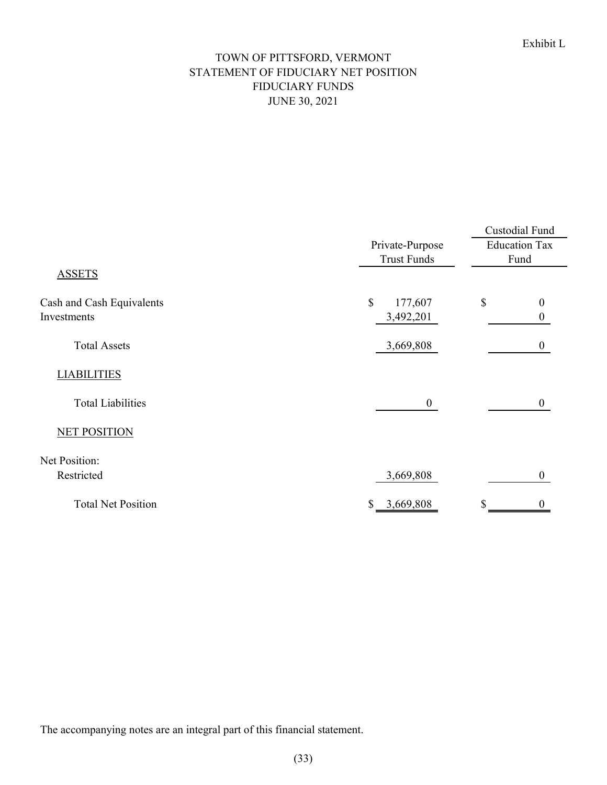# TOWN OF PITTSFORD, VERMONT STATEMENT OF FIDUCIARY NET POSITION FIDUCIARY FUNDS JUNE 30, 2021

|                                          |                                       | <b>Custodial Fund</b>        |                                      |  |
|------------------------------------------|---------------------------------------|------------------------------|--------------------------------------|--|
|                                          | Private-Purpose<br><b>Trust Funds</b> | <b>Education Tax</b><br>Fund |                                      |  |
| <b>ASSETS</b>                            |                                       |                              |                                      |  |
| Cash and Cash Equivalents<br>Investments | \$<br>177,607<br>3,492,201            | $\$$                         | $\boldsymbol{0}$<br>$\boldsymbol{0}$ |  |
| <b>Total Assets</b>                      | 3,669,808                             |                              | $\boldsymbol{0}$                     |  |
| <b>LIABILITIES</b>                       |                                       |                              |                                      |  |
| <b>Total Liabilities</b>                 | $\mathbf{0}$                          |                              | $\mathbf{0}$                         |  |
| <b>NET POSITION</b>                      |                                       |                              |                                      |  |
| Net Position:<br>Restricted              | 3,669,808                             |                              | $\boldsymbol{0}$                     |  |
| <b>Total Net Position</b>                | 3,669,808<br>\$                       |                              |                                      |  |

The accompanying notes are an integral part of this financial statement.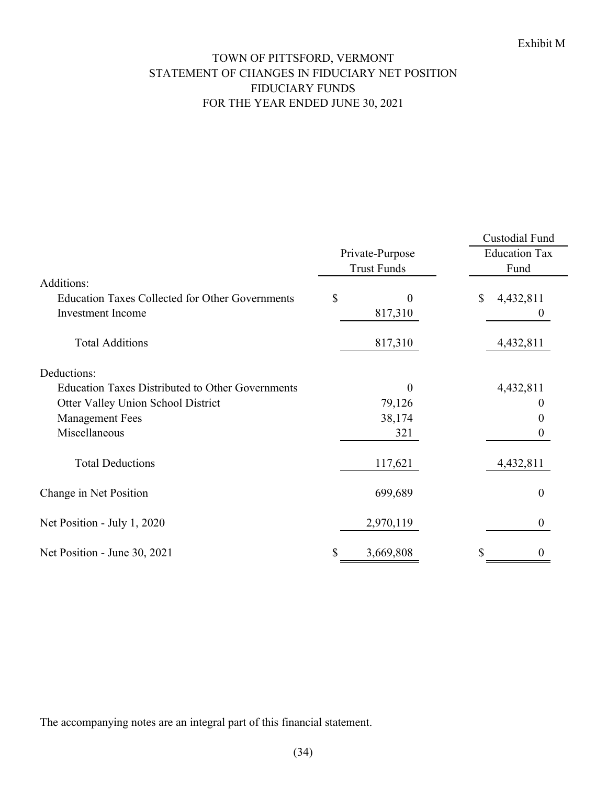# TOWN OF PITTSFORD, VERMONT STATEMENT OF CHANGES IN FIDUCIARY NET POSITION FOR THE YEAR ENDED JUNE 30, 2021 FIDUCIARY FUNDS

|                                                         |                    |    | <b>Custodial Fund</b> |
|---------------------------------------------------------|--------------------|----|-----------------------|
|                                                         | Private-Purpose    |    | <b>Education Tax</b>  |
|                                                         | <b>Trust Funds</b> |    | Fund                  |
| Additions:                                              |                    |    |                       |
| <b>Education Taxes Collected for Other Governments</b>  | \$<br>$\Omega$     | \$ | 4,432,811             |
| <b>Investment</b> Income                                | 817,310            |    | $\theta$              |
| <b>Total Additions</b>                                  | 817,310            |    | 4,432,811             |
| Deductions:                                             |                    |    |                       |
| <b>Education Taxes Distributed to Other Governments</b> | $\Omega$           |    | 4,432,811             |
| Otter Valley Union School District                      | 79,126             |    | $\theta$              |
| <b>Management Fees</b>                                  | 38,174             |    | $\theta$              |
| Miscellaneous                                           | 321                |    | $\theta$              |
| <b>Total Deductions</b>                                 | 117,621            |    | 4,432,811             |
| Change in Net Position                                  | 699,689            |    | $\theta$              |
| Net Position - July 1, 2020                             | 2,970,119          |    | $\boldsymbol{0}$      |
| Net Position - June 30, 2021                            | 3,669,808          |    |                       |

The accompanying notes are an integral part of this financial statement.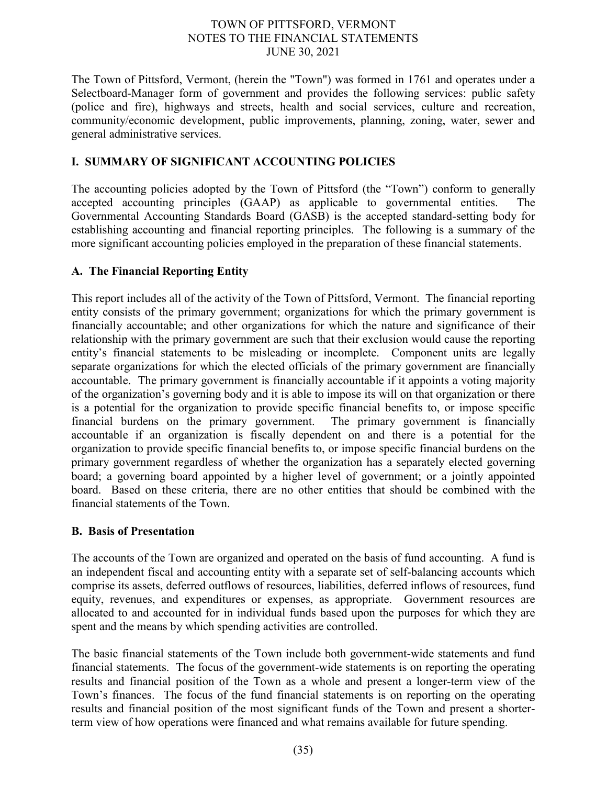The Town of Pittsford, Vermont, (herein the "Town") was formed in 1761 and operates under a Selectboard-Manager form of government and provides the following services: public safety (police and fire), highways and streets, health and social services, culture and recreation, community/economic development, public improvements, planning, zoning, water, sewer and general administrative services.

# **I. SUMMARY OF SIGNIFICANT ACCOUNTING POLICIES**

The accounting policies adopted by the Town of Pittsford (the "Town") conform to generally accepted accounting principles (GAAP) as applicable to governmental entities. The Governmental Accounting Standards Board (GASB) is the accepted standard-setting body for establishing accounting and financial reporting principles. The following is a summary of the more significant accounting policies employed in the preparation of these financial statements.

## **A. The Financial Reporting Entity**

This report includes all of the activity of the Town of Pittsford, Vermont. The financial reporting entity consists of the primary government; organizations for which the primary government is financially accountable; and other organizations for which the nature and significance of their relationship with the primary government are such that their exclusion would cause the reporting entity's financial statements to be misleading or incomplete. Component units are legally separate organizations for which the elected officials of the primary government are financially accountable. The primary government is financially accountable if it appoints a voting majority of the organization's governing body and it is able to impose its will on that organization or there is a potential for the organization to provide specific financial benefits to, or impose specific financial burdens on the primary government. The primary government is financially accountable if an organization is fiscally dependent on and there is a potential for the organization to provide specific financial benefits to, or impose specific financial burdens on the primary government regardless of whether the organization has a separately elected governing board; a governing board appointed by a higher level of government; or a jointly appointed board. Based on these criteria, there are no other entities that should be combined with the financial statements of the Town.

## **B. Basis of Presentation**

The accounts of the Town are organized and operated on the basis of fund accounting. A fund is an independent fiscal and accounting entity with a separate set of self-balancing accounts which comprise its assets, deferred outflows of resources, liabilities, deferred inflows of resources, fund equity, revenues, and expenditures or expenses, as appropriate. Government resources are allocated to and accounted for in individual funds based upon the purposes for which they are spent and the means by which spending activities are controlled.

The basic financial statements of the Town include both government-wide statements and fund financial statements. The focus of the government-wide statements is on reporting the operating results and financial position of the Town as a whole and present a longer-term view of the Town's finances. The focus of the fund financial statements is on reporting on the operating results and financial position of the most significant funds of the Town and present a shorterterm view of how operations were financed and what remains available for future spending.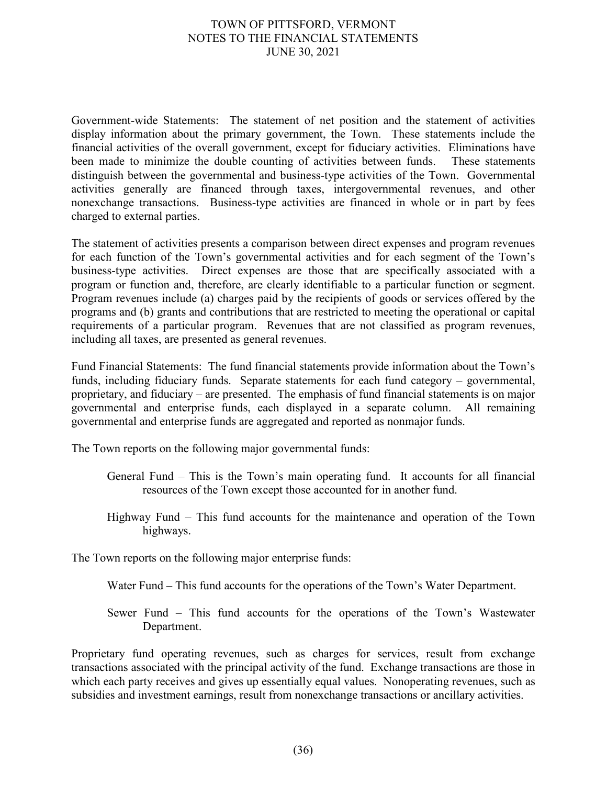Government-wide Statements: The statement of net position and the statement of activities display information about the primary government, the Town. These statements include the financial activities of the overall government, except for fiduciary activities. Eliminations have been made to minimize the double counting of activities between funds. These statements distinguish between the governmental and business-type activities of the Town. Governmental activities generally are financed through taxes, intergovernmental revenues, and other nonexchange transactions. Business-type activities are financed in whole or in part by fees charged to external parties.

The statement of activities presents a comparison between direct expenses and program revenues for each function of the Town's governmental activities and for each segment of the Town's business-type activities. Direct expenses are those that are specifically associated with a program or function and, therefore, are clearly identifiable to a particular function or segment. Program revenues include (a) charges paid by the recipients of goods or services offered by the programs and (b) grants and contributions that are restricted to meeting the operational or capital requirements of a particular program. Revenues that are not classified as program revenues, including all taxes, are presented as general revenues.

Fund Financial Statements: The fund financial statements provide information about the Town's funds, including fiduciary funds. Separate statements for each fund category – governmental, proprietary, and fiduciary – are presented. The emphasis of fund financial statements is on major governmental and enterprise funds, each displayed in a separate column. All remaining governmental and enterprise funds are aggregated and reported as nonmajor funds.

The Town reports on the following major governmental funds:

- General Fund This is the Town's main operating fund. It accounts for all financial resources of the Town except those accounted for in another fund.
- Highway Fund This fund accounts for the maintenance and operation of the Town highways.

The Town reports on the following major enterprise funds:

- Water Fund This fund accounts for the operations of the Town's Water Department.
- Sewer Fund This fund accounts for the operations of the Town's Wastewater Department.

Proprietary fund operating revenues, such as charges for services, result from exchange transactions associated with the principal activity of the fund. Exchange transactions are those in which each party receives and gives up essentially equal values. Nonoperating revenues, such as subsidies and investment earnings, result from nonexchange transactions or ancillary activities.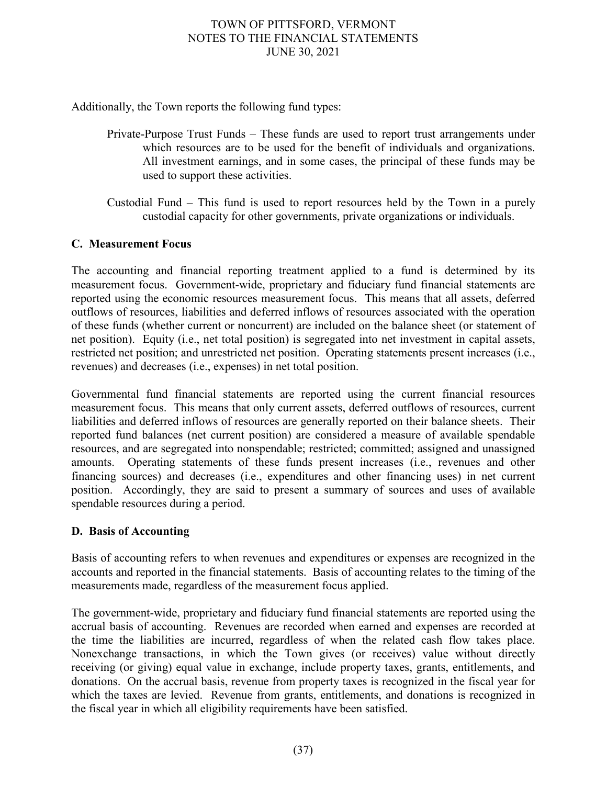Additionally, the Town reports the following fund types:

- Private-Purpose Trust Funds These funds are used to report trust arrangements under which resources are to be used for the benefit of individuals and organizations. All investment earnings, and in some cases, the principal of these funds may be used to support these activities.
- Custodial Fund This fund is used to report resources held by the Town in a purely custodial capacity for other governments, private organizations or individuals.

## **C. Measurement Focus**

The accounting and financial reporting treatment applied to a fund is determined by its measurement focus. Government-wide, proprietary and fiduciary fund financial statements are reported using the economic resources measurement focus. This means that all assets, deferred outflows of resources, liabilities and deferred inflows of resources associated with the operation of these funds (whether current or noncurrent) are included on the balance sheet (or statement of net position). Equity (i.e., net total position) is segregated into net investment in capital assets, restricted net position; and unrestricted net position. Operating statements present increases (i.e., revenues) and decreases (i.e., expenses) in net total position.

Governmental fund financial statements are reported using the current financial resources measurement focus. This means that only current assets, deferred outflows of resources, current liabilities and deferred inflows of resources are generally reported on their balance sheets. Their reported fund balances (net current position) are considered a measure of available spendable resources, and are segregated into nonspendable; restricted; committed; assigned and unassigned amounts. Operating statements of these funds present increases (i.e., revenues and other financing sources) and decreases (i.e., expenditures and other financing uses) in net current position. Accordingly, they are said to present a summary of sources and uses of available spendable resources during a period.

## **D. Basis of Accounting**

Basis of accounting refers to when revenues and expenditures or expenses are recognized in the accounts and reported in the financial statements. Basis of accounting relates to the timing of the measurements made, regardless of the measurement focus applied.

The government-wide, proprietary and fiduciary fund financial statements are reported using the accrual basis of accounting. Revenues are recorded when earned and expenses are recorded at the time the liabilities are incurred, regardless of when the related cash flow takes place. Nonexchange transactions, in which the Town gives (or receives) value without directly receiving (or giving) equal value in exchange, include property taxes, grants, entitlements, and donations. On the accrual basis, revenue from property taxes is recognized in the fiscal year for which the taxes are levied. Revenue from grants, entitlements, and donations is recognized in the fiscal year in which all eligibility requirements have been satisfied.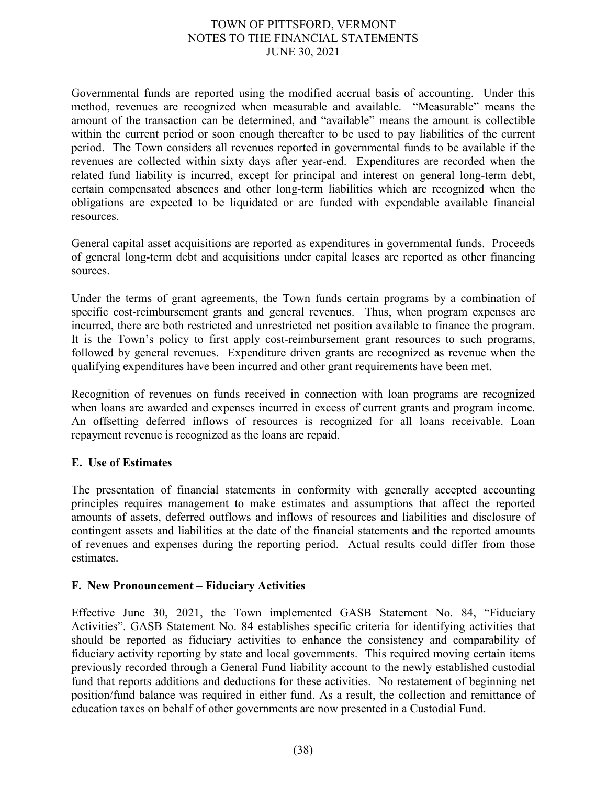Governmental funds are reported using the modified accrual basis of accounting. Under this method, revenues are recognized when measurable and available. "Measurable" means the amount of the transaction can be determined, and "available" means the amount is collectible within the current period or soon enough thereafter to be used to pay liabilities of the current period. The Town considers all revenues reported in governmental funds to be available if the revenues are collected within sixty days after year-end. Expenditures are recorded when the related fund liability is incurred, except for principal and interest on general long-term debt, certain compensated absences and other long-term liabilities which are recognized when the obligations are expected to be liquidated or are funded with expendable available financial resources.

General capital asset acquisitions are reported as expenditures in governmental funds. Proceeds of general long-term debt and acquisitions under capital leases are reported as other financing sources.

Under the terms of grant agreements, the Town funds certain programs by a combination of specific cost-reimbursement grants and general revenues. Thus, when program expenses are incurred, there are both restricted and unrestricted net position available to finance the program. It is the Town's policy to first apply cost-reimbursement grant resources to such programs, followed by general revenues. Expenditure driven grants are recognized as revenue when the qualifying expenditures have been incurred and other grant requirements have been met.

Recognition of revenues on funds received in connection with loan programs are recognized when loans are awarded and expenses incurred in excess of current grants and program income. An offsetting deferred inflows of resources is recognized for all loans receivable. Loan repayment revenue is recognized as the loans are repaid.

# **E. Use of Estimates**

The presentation of financial statements in conformity with generally accepted accounting principles requires management to make estimates and assumptions that affect the reported amounts of assets, deferred outflows and inflows of resources and liabilities and disclosure of contingent assets and liabilities at the date of the financial statements and the reported amounts of revenues and expenses during the reporting period. Actual results could differ from those estimates.

# **F. New Pronouncement – Fiduciary Activities**

Effective June 30, 2021, the Town implemented GASB Statement No. 84, "Fiduciary Activities". GASB Statement No. 84 establishes specific criteria for identifying activities that should be reported as fiduciary activities to enhance the consistency and comparability of fiduciary activity reporting by state and local governments. This required moving certain items previously recorded through a General Fund liability account to the newly established custodial fund that reports additions and deductions for these activities. No restatement of beginning net position/fund balance was required in either fund. As a result, the collection and remittance of education taxes on behalf of other governments are now presented in a Custodial Fund.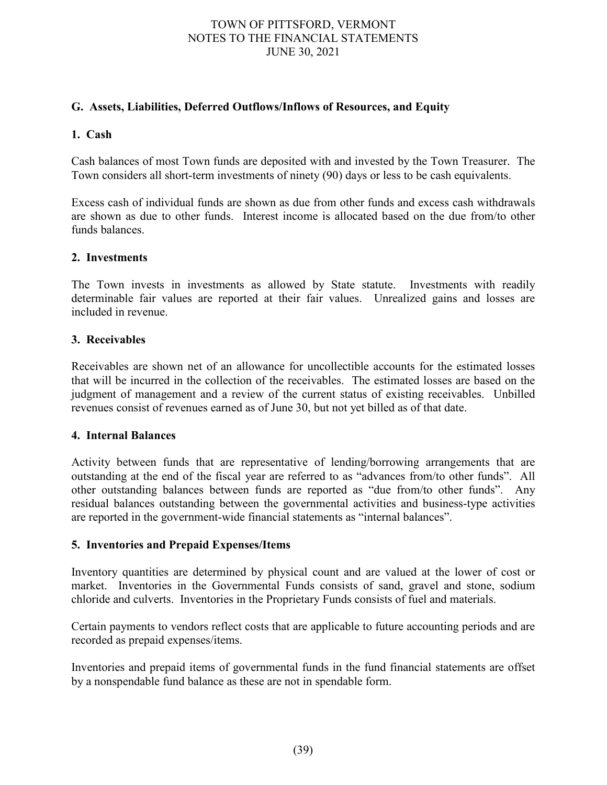# **G. Assets, Liabilities, Deferred Outflows/Inflows of Resources, and Equity**

#### **1. Cash**

Cash balances of most Town funds are deposited with and invested by the Town Treasurer. The Town considers all short-term investments of ninety (90) days or less to be cash equivalents.

Excess cash of individual funds are shown as due from other funds and excess cash withdrawals are shown as due to other funds. Interest income is allocated based on the due from/to other funds balances.

#### **2. Investments**

The Town invests in investments as allowed by State statute. Investments with readily determinable fair values are reported at their fair values. Unrealized gains and losses are included in revenue.

#### **3. Receivables**

Receivables are shown net of an allowance for uncollectible accounts for the estimated losses that will be incurred in the collection of the receivables. The estimated losses are based on the judgment of management and a review of the current status of existing receivables. Unbilled revenues consist of revenues earned as of June 30, but not yet billed as of that date.

## **4. Internal Balances**

Activity between funds that are representative of lending/borrowing arrangements that are outstanding at the end of the fiscal year are referred to as "advances from/to other funds". All other outstanding balances between funds are reported as "due from/to other funds". Any residual balances outstanding between the governmental activities and business-type activities are reported in the government-wide financial statements as "internal balances".

## **5. Inventories and Prepaid Expenses/Items**

Inventory quantities are determined by physical count and are valued at the lower of cost or market. Inventories in the Governmental Funds consists of sand, gravel and stone, sodium chloride and culverts. Inventories in the Proprietary Funds consists of fuel and materials.

Certain payments to vendors reflect costs that are applicable to future accounting periods and are recorded as prepaid expenses/items.

Inventories and prepaid items of governmental funds in the fund financial statements are offset by a nonspendable fund balance as these are not in spendable form.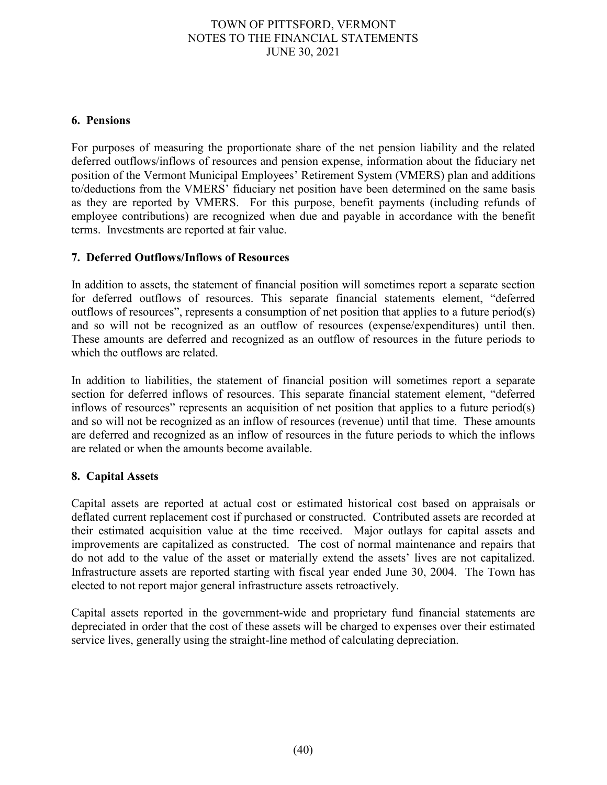## **6. Pensions**

For purposes of measuring the proportionate share of the net pension liability and the related deferred outflows/inflows of resources and pension expense, information about the fiduciary net position of the Vermont Municipal Employees' Retirement System (VMERS) plan and additions to/deductions from the VMERS' fiduciary net position have been determined on the same basis as they are reported by VMERS. For this purpose, benefit payments (including refunds of employee contributions) are recognized when due and payable in accordance with the benefit terms. Investments are reported at fair value.

# **7. Deferred Outflows/Inflows of Resources**

In addition to assets, the statement of financial position will sometimes report a separate section for deferred outflows of resources. This separate financial statements element, "deferred outflows of resources", represents a consumption of net position that applies to a future period(s) and so will not be recognized as an outflow of resources (expense/expenditures) until then. These amounts are deferred and recognized as an outflow of resources in the future periods to which the outflows are related.

In addition to liabilities, the statement of financial position will sometimes report a separate section for deferred inflows of resources. This separate financial statement element, "deferred inflows of resources" represents an acquisition of net position that applies to a future period(s) and so will not be recognized as an inflow of resources (revenue) until that time. These amounts are deferred and recognized as an inflow of resources in the future periods to which the inflows are related or when the amounts become available.

# **8. Capital Assets**

Capital assets are reported at actual cost or estimated historical cost based on appraisals or deflated current replacement cost if purchased or constructed. Contributed assets are recorded at their estimated acquisition value at the time received. Major outlays for capital assets and improvements are capitalized as constructed. The cost of normal maintenance and repairs that do not add to the value of the asset or materially extend the assets' lives are not capitalized. Infrastructure assets are reported starting with fiscal year ended June 30, 2004. The Town has elected to not report major general infrastructure assets retroactively.

Capital assets reported in the government-wide and proprietary fund financial statements are depreciated in order that the cost of these assets will be charged to expenses over their estimated service lives, generally using the straight-line method of calculating depreciation.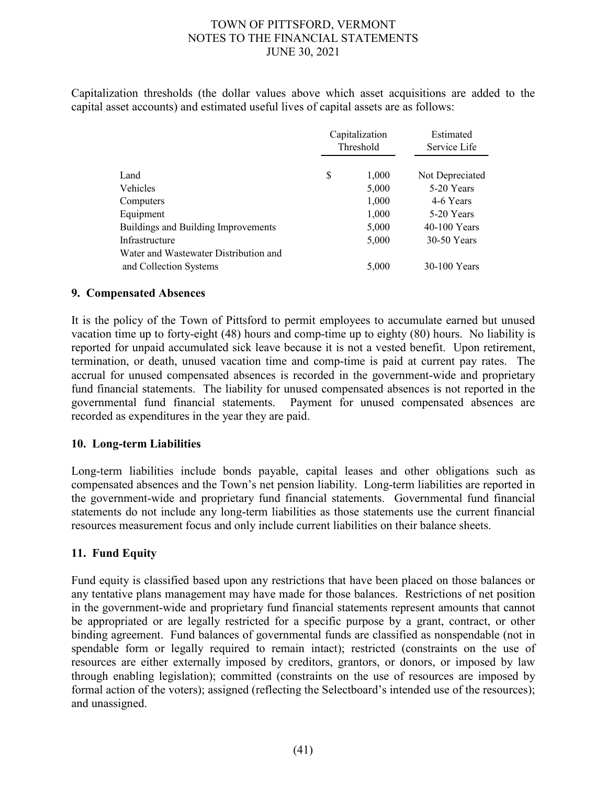Capitalization thresholds (the dollar values above which asset acquisitions are added to the capital asset accounts) and estimated useful lives of capital assets are as follows:

|                                       |           | Capitalization | Estimated       |  |
|---------------------------------------|-----------|----------------|-----------------|--|
|                                       | Threshold |                | Service Life    |  |
| Land                                  | \$        | 1,000          | Not Depreciated |  |
|                                       |           |                |                 |  |
| Vehicles                              |           | 5,000          | 5-20 Years      |  |
| Computers                             |           | 1,000          | 4-6 Years       |  |
| Equipment                             |           | 1,000          | 5-20 Years      |  |
| Buildings and Building Improvements   |           | 5,000          | $40-100$ Years  |  |
| Infrastructure                        |           | 5,000          | $30-50$ Years   |  |
| Water and Wastewater Distribution and |           |                |                 |  |
| and Collection Systems                |           | 5,000          | $30-100$ Years  |  |

## **9. Compensated Absences**

It is the policy of the Town of Pittsford to permit employees to accumulate earned but unused vacation time up to forty-eight (48) hours and comp-time up to eighty (80) hours. No liability is reported for unpaid accumulated sick leave because it is not a vested benefit. Upon retirement, termination, or death, unused vacation time and comp-time is paid at current pay rates. The accrual for unused compensated absences is recorded in the government-wide and proprietary fund financial statements. The liability for unused compensated absences is not reported in the governmental fund financial statements. Payment for unused compensated absences are recorded as expenditures in the year they are paid.

## **10. Long-term Liabilities**

Long-term liabilities include bonds payable, capital leases and other obligations such as compensated absences and the Town's net pension liability. Long-term liabilities are reported in the government-wide and proprietary fund financial statements. Governmental fund financial statements do not include any long-term liabilities as those statements use the current financial resources measurement focus and only include current liabilities on their balance sheets.

## **11. Fund Equity**

Fund equity is classified based upon any restrictions that have been placed on those balances or any tentative plans management may have made for those balances. Restrictions of net position in the government-wide and proprietary fund financial statements represent amounts that cannot be appropriated or are legally restricted for a specific purpose by a grant, contract, or other binding agreement. Fund balances of governmental funds are classified as nonspendable (not in spendable form or legally required to remain intact); restricted (constraints on the use of resources are either externally imposed by creditors, grantors, or donors, or imposed by law through enabling legislation); committed (constraints on the use of resources are imposed by formal action of the voters); assigned (reflecting the Selectboard's intended use of the resources); and unassigned.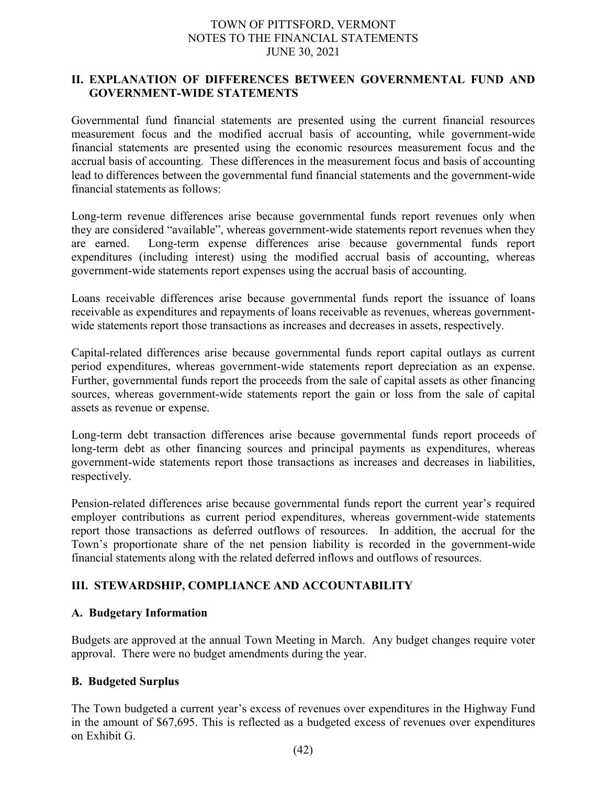## **II. EXPLANATION OF DIFFERENCES BETWEEN GOVERNMENTAL FUND AND GOVERNMENT-WIDE STATEMENTS**

Governmental fund financial statements are presented using the current financial resources measurement focus and the modified accrual basis of accounting, while government-wide financial statements are presented using the economic resources measurement focus and the accrual basis of accounting. These differences in the measurement focus and basis of accounting lead to differences between the governmental fund financial statements and the government-wide financial statements as follows:

Long-term revenue differences arise because governmental funds report revenues only when they are considered "available", whereas government-wide statements report revenues when they are earned. Long-term expense differences arise because governmental funds report expenditures (including interest) using the modified accrual basis of accounting, whereas government-wide statements report expenses using the accrual basis of accounting.

Loans receivable differences arise because governmental funds report the issuance of loans receivable as expenditures and repayments of loans receivable as revenues, whereas governmentwide statements report those transactions as increases and decreases in assets, respectively.

Capital-related differences arise because governmental funds report capital outlays as current period expenditures, whereas government-wide statements report depreciation as an expense. Further, governmental funds report the proceeds from the sale of capital assets as other financing sources, whereas government-wide statements report the gain or loss from the sale of capital assets as revenue or expense.

Long-term debt transaction differences arise because governmental funds report proceeds of long-term debt as other financing sources and principal payments as expenditures, whereas government-wide statements report those transactions as increases and decreases in liabilities, respectively.

Pension-related differences arise because governmental funds report the current year's required employer contributions as current period expenditures, whereas government-wide statements report those transactions as deferred outflows of resources. In addition, the accrual for the Town's proportionate share of the net pension liability is recorded in the government-wide financial statements along with the related deferred inflows and outflows of resources.

# **III. STEWARDSHIP, COMPLIANCE AND ACCOUNTABILITY**

## **A. Budgetary Information**

Budgets are approved at the annual Town Meeting in March. Any budget changes require voter approval. There were no budget amendments during the year.

# **B. Budgeted Surplus**

The Town budgeted a current year's excess of revenues over expenditures in the Highway Fund in the amount of \$67,695. This is reflected as a budgeted excess of revenues over expenditures on Exhibit G.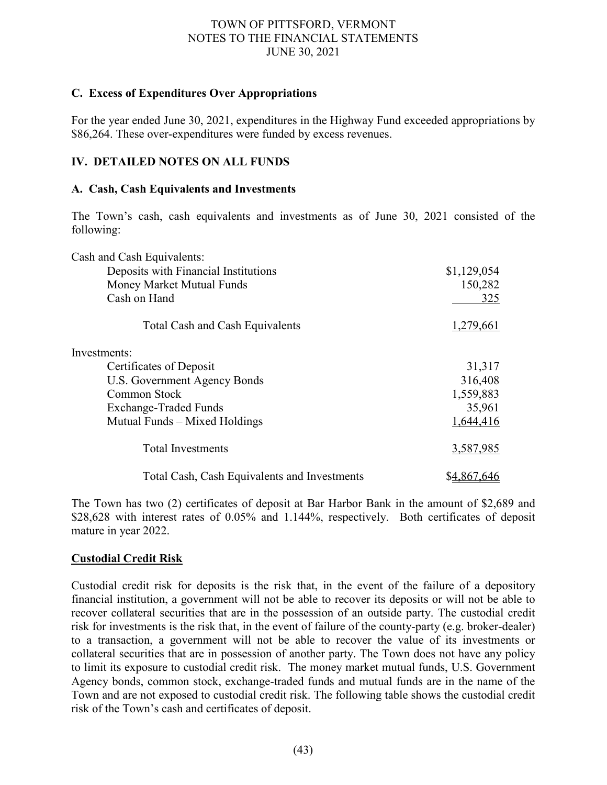# **C. Excess of Expenditures Over Appropriations**

For the year ended June 30, 2021, expenditures in the Highway Fund exceeded appropriations by \$86,264. These over-expenditures were funded by excess revenues.

## **IV. DETAILED NOTES ON ALL FUNDS**

## **A. Cash, Cash Equivalents and Investments**

The Town's cash, cash equivalents and investments as of June 30, 2021 consisted of the following:

| Cash and Cash Equivalents:                   |             |
|----------------------------------------------|-------------|
| Deposits with Financial Institutions         | \$1,129,054 |
| Money Market Mutual Funds                    | 150,282     |
| Cash on Hand                                 | 325         |
| Total Cash and Cash Equivalents              | 1,279,661   |
| Investments:                                 |             |
| Certificates of Deposit                      | 31,317      |
| U.S. Government Agency Bonds                 | 316,408     |
| Common Stock                                 | 1,559,883   |
| <b>Exchange-Traded Funds</b>                 | 35,961      |
| Mutual Funds – Mixed Holdings                | 1,644,416   |
| <b>Total Investments</b>                     | 3,587,985   |
| Total Cash, Cash Equivalents and Investments | \$4,867,646 |

The Town has two (2) certificates of deposit at Bar Harbor Bank in the amount of \$2,689 and \$28,628 with interest rates of 0.05% and 1.144%, respectively. Both certificates of deposit mature in year 2022.

## **Custodial Credit Risk**

Custodial credit risk for deposits is the risk that, in the event of the failure of a depository financial institution, a government will not be able to recover its deposits or will not be able to recover collateral securities that are in the possession of an outside party. The custodial credit risk for investments is the risk that, in the event of failure of the county-party (e.g. broker-dealer) to a transaction, a government will not be able to recover the value of its investments or collateral securities that are in possession of another party. The Town does not have any policy to limit its exposure to custodial credit risk. The money market mutual funds, U.S. Government Agency bonds, common stock, exchange-traded funds and mutual funds are in the name of the Town and are not exposed to custodial credit risk. The following table shows the custodial credit risk of the Town's cash and certificates of deposit.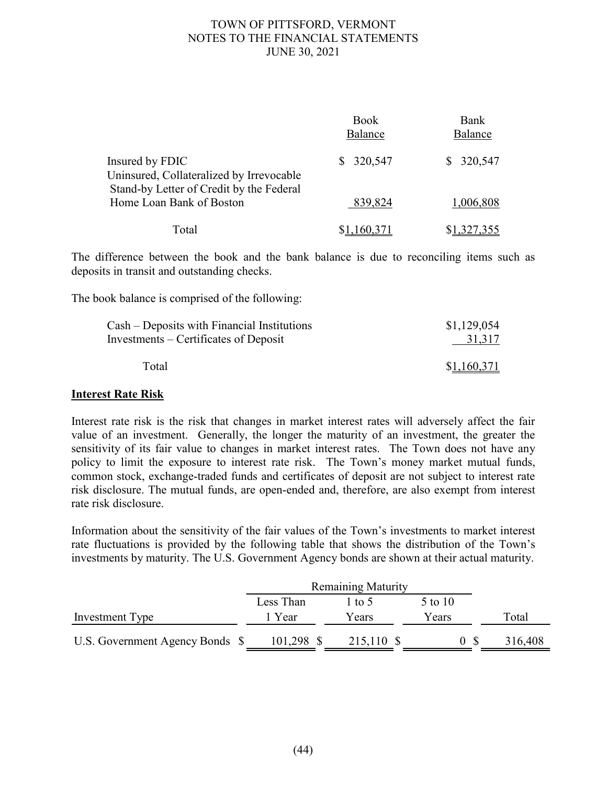|                                                                                                         | <b>Book</b><br>Balance | Bank<br>Balance |
|---------------------------------------------------------------------------------------------------------|------------------------|-----------------|
| Insured by FDIC<br>Uninsured, Collateralized by Irrevocable<br>Stand-by Letter of Credit by the Federal | \$320,547              | 320,547<br>SS.  |
| Home Loan Bank of Boston                                                                                | 839,824                | 1,006,808       |
| Total                                                                                                   |                        | \$1,327,355     |

The difference between the book and the bank balance is due to reconciling items such as deposits in transit and outstanding checks.

The book balance is comprised of the following:

| Cash – Deposits with Financial Institutions | \$1,129,054 |
|---------------------------------------------|-------------|
| Investments – Certificates of Deposit       | 31,317      |
| Total                                       | \$1,160,371 |

#### **Interest Rate Risk**

Interest rate risk is the risk that changes in market interest rates will adversely affect the fair value of an investment. Generally, the longer the maturity of an investment, the greater the sensitivity of its fair value to changes in market interest rates. The Town does not have any policy to limit the exposure to interest rate risk. The Town's money market mutual funds, common stock, exchange-traded funds and certificates of deposit are not subject to interest rate risk disclosure. The mutual funds, are open-ended and, therefore, are also exempt from interest rate risk disclosure.

Information about the sensitivity of the fair values of the Town's investments to market interest rate fluctuations is provided by the following table that shows the distribution of the Town's investments by maturity. The U.S. Government Agency bonds are shown at their actual maturity.

|                                 | <b>Remaining Maturity</b> |            |         |         |
|---------------------------------|---------------------------|------------|---------|---------|
|                                 | Less Than                 | $1$ to 5   | 5 to 10 |         |
| Investment Type                 | 1 Year                    | Years      | Years   | Total   |
| U.S. Government Agency Bonds \$ | $101,298$ \$              | 215,110 \$ |         | 316,408 |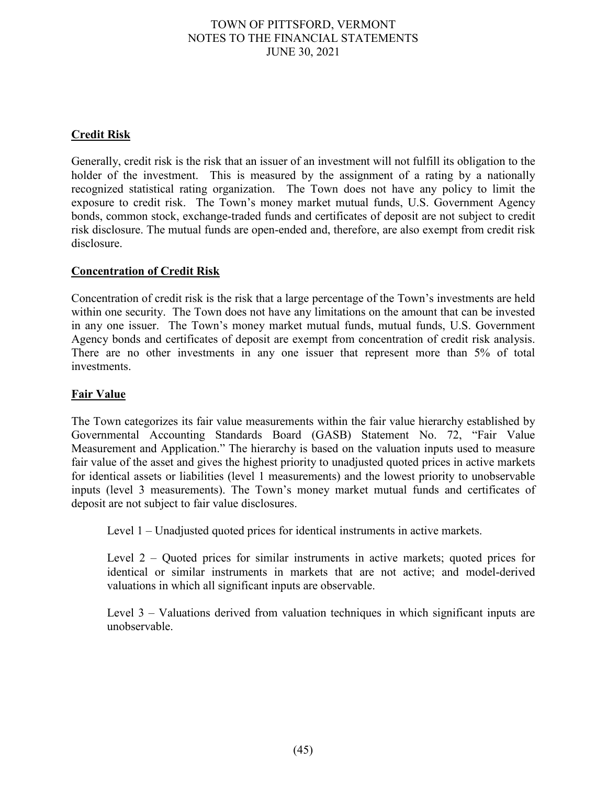# **Credit Risk**

Generally, credit risk is the risk that an issuer of an investment will not fulfill its obligation to the holder of the investment. This is measured by the assignment of a rating by a nationally recognized statistical rating organization. The Town does not have any policy to limit the exposure to credit risk. The Town's money market mutual funds, U.S. Government Agency bonds, common stock, exchange-traded funds and certificates of deposit are not subject to credit risk disclosure. The mutual funds are open-ended and, therefore, are also exempt from credit risk disclosure.

## **Concentration of Credit Risk**

Concentration of credit risk is the risk that a large percentage of the Town's investments are held within one security. The Town does not have any limitations on the amount that can be invested in any one issuer. The Town's money market mutual funds, mutual funds, U.S. Government Agency bonds and certificates of deposit are exempt from concentration of credit risk analysis. There are no other investments in any one issuer that represent more than 5% of total investments.

# **Fair Value**

The Town categorizes its fair value measurements within the fair value hierarchy established by Governmental Accounting Standards Board (GASB) Statement No. 72, "Fair Value Measurement and Application." The hierarchy is based on the valuation inputs used to measure fair value of the asset and gives the highest priority to unadjusted quoted prices in active markets for identical assets or liabilities (level 1 measurements) and the lowest priority to unobservable inputs (level 3 measurements). The Town's money market mutual funds and certificates of deposit are not subject to fair value disclosures.

Level 1 – Unadjusted quoted prices for identical instruments in active markets.

Level 2 – Quoted prices for similar instruments in active markets; quoted prices for identical or similar instruments in markets that are not active; and model-derived valuations in which all significant inputs are observable.

Level 3 – Valuations derived from valuation techniques in which significant inputs are unobservable.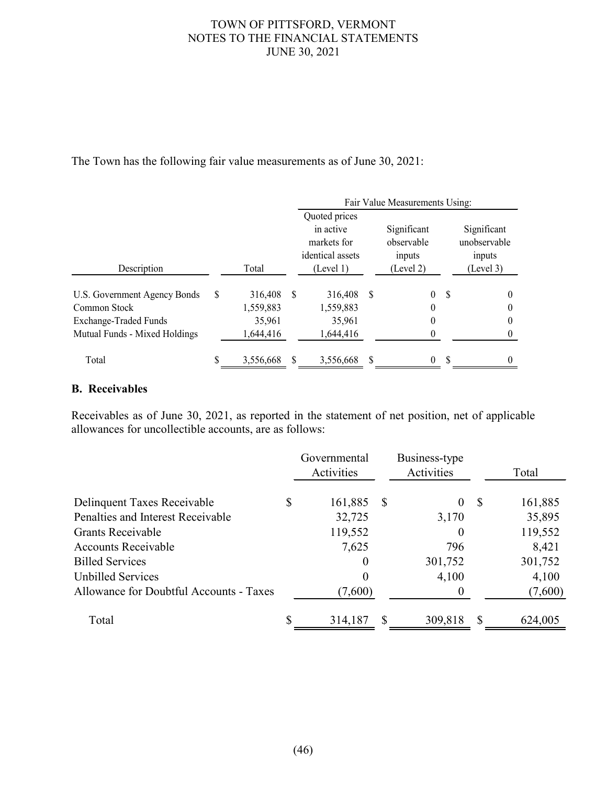The Town has the following fair value measurements as of June 30, 2021:

|                                                                                                        |                                                   | Fair Value Measurements Using: |                                                                            |    |                                                  |   |                                                    |
|--------------------------------------------------------------------------------------------------------|---------------------------------------------------|--------------------------------|----------------------------------------------------------------------------|----|--------------------------------------------------|---|----------------------------------------------------|
| Description                                                                                            | Total                                             |                                | Quoted prices<br>in active<br>markets for<br>identical assets<br>(Level 1) |    | Significant<br>observable<br>inputs<br>(Level 2) |   | Significant<br>unobservable<br>inputs<br>(Level 3) |
| U.S. Government Agency Bonds<br>Common Stock<br>Exchange-Traded Funds<br>Mutual Funds - Mixed Holdings | \$<br>316,408<br>1,559,883<br>35,961<br>1,644,416 | S                              | 316,408<br>1,559,883<br>35,961<br>1,644,416                                | -S | $\theta$<br>$\theta$<br>0<br>0                   | S |                                                    |
| Total                                                                                                  | 3,556,668                                         |                                | 3,556,668                                                                  |    | 0                                                | S |                                                    |

# **B. Receivables**

Receivables as of June 30, 2021, as reported in the statement of net position, net of applicable allowances for uncollectible accounts, are as follows:

|                                         | Governmental<br>Activities |    | Business-type<br>Activities |    | Total   |  |
|-----------------------------------------|----------------------------|----|-----------------------------|----|---------|--|
| Delinquent Taxes Receivable             | \$<br>161,885              | -S | $\overline{0}$              | -S | 161,885 |  |
| Penalties and Interest Receivable       | 32,725                     |    | 3,170                       |    | 35,895  |  |
| Grants Receivable                       | 119,552                    |    | $_{0}$                      |    | 119,552 |  |
| <b>Accounts Receivable</b>              | 7,625                      |    | 796                         |    | 8,421   |  |
| <b>Billed Services</b>                  | $\theta$                   |    | 301,752                     |    | 301,752 |  |
| <b>Unbilled Services</b>                | $\theta$                   |    | 4,100                       |    | 4,100   |  |
| Allowance for Doubtful Accounts - Taxes | (7,600)                    |    | $\theta$                    |    | (7,600) |  |
| Total                                   | \$<br>314,187              |    | 309,818                     | S  | 624,005 |  |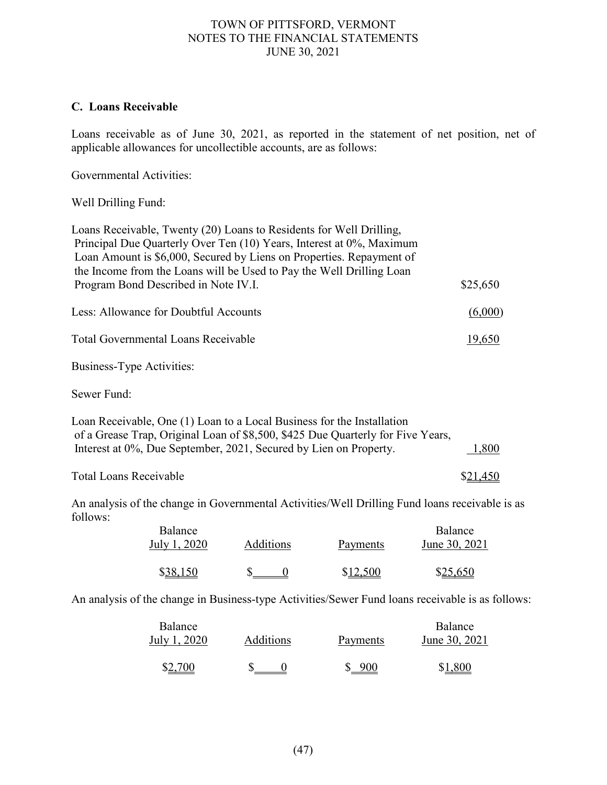# **C. Loans Receivable**

Loans receivable as of June 30, 2021, as reported in the statement of net position, net of applicable allowances for uncollectible accounts, are as follows:

Governmental Activities:

## Well Drilling Fund:

| Principal Due Quarterly Over Ten (10) Years, Interest at 0%, Maximum<br>Loan Amount is \$6,000, Secured by Liens on Properties. Repayment of<br>the Income from the Loans will be Used to Pay the Well Drilling Loan |  |
|----------------------------------------------------------------------------------------------------------------------------------------------------------------------------------------------------------------------|--|
| Program Bond Described in Note IV.I.<br>\$25,650                                                                                                                                                                     |  |
| Less: Allowance for Doubtful Accounts<br>(6,000)                                                                                                                                                                     |  |
| <b>Total Governmental Loans Receivable</b><br>19,650                                                                                                                                                                 |  |

Business-Type Activities:

Sewer Fund:

| Loan Receivable, One (1) Loan to a Local Business for the Installation          |       |
|---------------------------------------------------------------------------------|-------|
| of a Grease Trap, Original Loan of \$8,500, \$425 Due Quarterly for Five Years, |       |
| Interest at 0%, Due September, 2021, Secured by Lien on Property.               | 1,800 |
|                                                                                 |       |

Total Loans Receivable  $$21,450$ 

An analysis of the change in Governmental Activities/Well Drilling Fund loans receivable is as follows:

| Balance<br>July 1, 2020 | <b>Additions</b> | Payments | Balance<br>June 30, 2021 |
|-------------------------|------------------|----------|--------------------------|
|                         |                  | 500      | \$25,650                 |

An analysis of the change in Business-type Activities/Sewer Fund loans receivable is as follows:

| Balance      |                  |          | Balance       |
|--------------|------------------|----------|---------------|
| July 1, 2020 | <b>Additions</b> | Payments | June 30, 2021 |
|              |                  |          | -800          |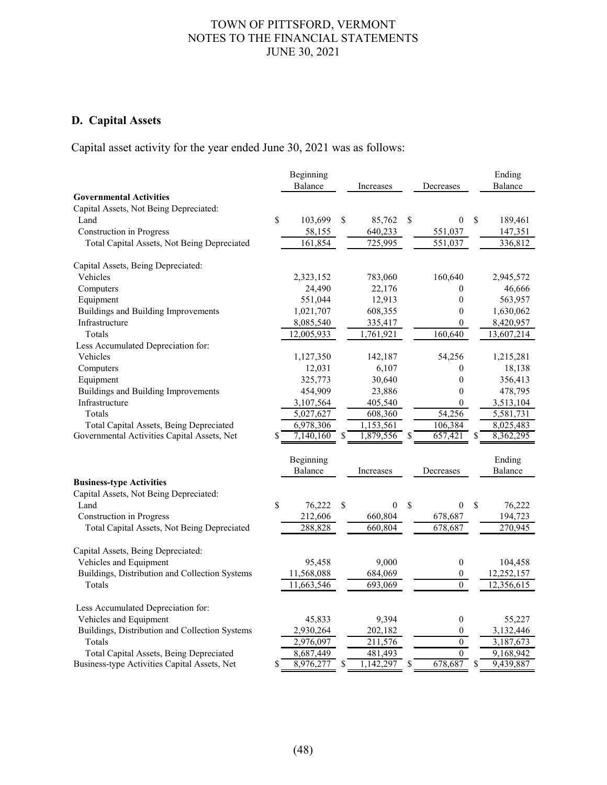# **D. Capital Assets**

Capital asset activity for the year ended June 30, 2021 was as follows:

|                                                |    | Beginning            |    |                   |                           |                    |    | Ending             |
|------------------------------------------------|----|----------------------|----|-------------------|---------------------------|--------------------|----|--------------------|
|                                                |    | Balance              |    | Increases         |                           | Decreases          |    | Balance            |
| <b>Governmental Activities</b>                 |    |                      |    |                   |                           |                    |    |                    |
| Capital Assets, Not Being Depreciated:<br>Land | \$ | 103,699              | \$ |                   | \$                        | $\boldsymbol{0}$   | \$ |                    |
| Construction in Progress                       |    |                      |    | 85,762<br>640,233 |                           |                    |    | 189,461<br>147,351 |
| Total Capital Assets, Not Being Depreciated    |    | 58,155<br>161,854    |    | 725,995           |                           | 551,037<br>551,037 |    | 336,812            |
|                                                |    |                      |    |                   |                           |                    |    |                    |
| Capital Assets, Being Depreciated:             |    |                      |    |                   |                           |                    |    |                    |
| Vehicles                                       |    | 2,323,152            |    | 783,060           |                           | 160,640            |    | 2,945,572          |
| Computers                                      |    | 24,490               |    | 22,176            |                           | $\boldsymbol{0}$   |    | 46,666             |
| Equipment                                      |    | 551,044              |    | 12,913            |                           | $\overline{0}$     |    | 563,957            |
| Buildings and Building Improvements            |    | 1,021,707            |    | 608,355           |                           | $\theta$           |    | 1,630,062          |
| Infrastructure                                 |    | 8,085,540            |    | 335,417           |                           | $\theta$           |    | 8,420,957          |
| Totals                                         |    | 12,005,933           |    | 1,761,921         |                           | 160,640            |    | 13,607,214         |
| Less Accumulated Depreciation for:             |    |                      |    |                   |                           |                    |    |                    |
| Vehicles                                       |    | 1,127,350            |    | 142,187           |                           | 54,256             |    | 1,215,281          |
| Computers                                      |    | 12,031               |    | 6,107             |                           | $\theta$           |    | 18,138             |
| Equipment                                      |    | 325,773              |    | 30,640            |                           | $\overline{0}$     |    | 356,413            |
| Buildings and Building Improvements            |    | 454,909              |    | 23,886            |                           | $\boldsymbol{0}$   |    | 478,795            |
| Infrastructure                                 |    | 3,107,564            |    | 405,540           |                           | $\boldsymbol{0}$   |    | 3,513,104          |
| Totals                                         |    | 5,027,627            |    | 608,360           |                           | 54,256             |    | 5,581,731          |
| Total Capital Assets, Being Depreciated        |    | 6,978,306            |    | 1,153,561         |                           | 106,384            |    | 8,025,483          |
| Governmental Activities Capital Assets, Net    | S  | 7,140,160            | S  | 1,879,556         | \$                        | 657,421            |    | 8,362,295          |
|                                                |    |                      |    |                   |                           |                    |    |                    |
|                                                |    | Beginning<br>Balance |    |                   |                           |                    |    | Ending<br>Balance  |
| <b>Business-type Activities</b>                |    |                      |    | Increases         |                           | Decreases          |    |                    |
| Capital Assets, Not Being Depreciated:         |    |                      |    |                   |                           |                    |    |                    |
| Land                                           | \$ |                      | \$ | $\boldsymbol{0}$  | $\boldsymbol{\mathsf{S}}$ | $\boldsymbol{0}$   | \$ | 76,222             |
|                                                |    | 76,222               |    |                   |                           |                    |    |                    |
| <b>Construction</b> in Progress                |    | 212,606              |    | 660,804           |                           | 678,687            |    | 194,723<br>270,945 |
| Total Capital Assets, Not Being Depreciated    |    | 288,828              |    | 660,804           |                           | 678,687            |    |                    |
| Capital Assets, Being Depreciated:             |    |                      |    |                   |                           |                    |    |                    |
| Vehicles and Equipment                         |    | 95,458               |    | 9,000             |                           | $\boldsymbol{0}$   |    | 104,458            |
| Buildings, Distribution and Collection Systems |    | 11,568,088           |    | 684,069           |                           | $\boldsymbol{0}$   |    | 12,252,157         |
| Totals                                         |    | 11,663,546           |    | 693,069           |                           | $\theta$           |    | 12,356,615         |
| Less Accumulated Depreciation for:             |    |                      |    |                   |                           |                    |    |                    |
| Vehicles and Equipment                         |    | 45,833               |    | 9,394             |                           | $\boldsymbol{0}$   |    | 55,227             |
| Buildings, Distribution and Collection Systems |    | 2,930,264            |    | 202,182           |                           | $\boldsymbol{0}$   |    | 3,132,446          |
| Totals                                         |    | 2,976,097            |    | 211,576           |                           | $\overline{0}$     |    | 3,187,673          |
| Total Capital Assets, Being Depreciated        |    | 8,687,449            |    | 481,493           |                           | $\mathbf{0}$       |    | 9,168,942          |
| Business-type Activities Capital Assets, Net   | \$ | 8,976,277            | S  | 1,142,297         | <sup>\$</sup>             | 678,687            | S  | 9,439,887          |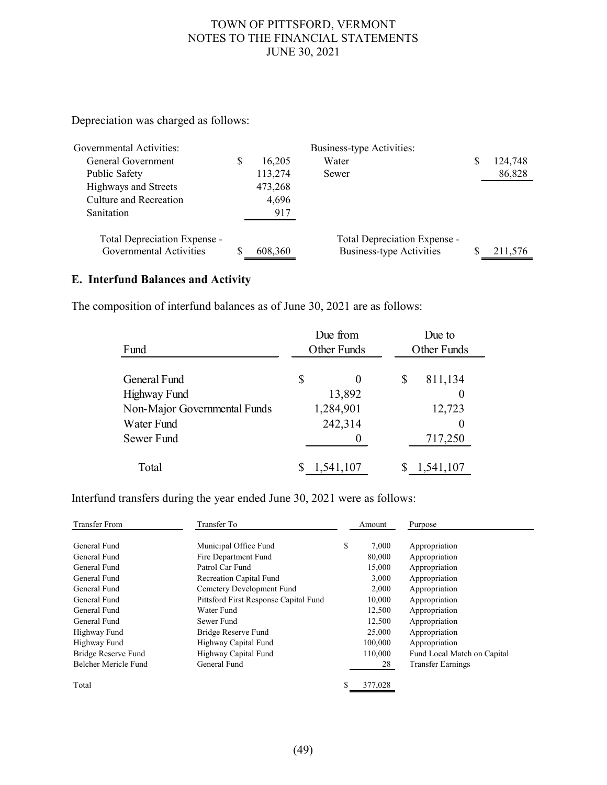Depreciation was charged as follows:

| Governmental Activities:       |   |         | <b>Business-type Activities:</b> |   |         |
|--------------------------------|---|---------|----------------------------------|---|---------|
| General Government             | S | 16.205  | Water                            | S | 124,748 |
| Public Safety                  |   | 113,274 | Sewer                            |   | 86,828  |
| Highways and Streets           |   | 473,268 |                                  |   |         |
| <b>Culture and Recreation</b>  |   | 4,696   |                                  |   |         |
| Sanitation                     |   | 917     |                                  |   |         |
| Total Depreciation Expense -   |   |         | Total Depreciation Expense -     |   |         |
| <b>Governmental Activities</b> |   | 608,360 | <b>Business-type Activities</b>  |   | 211,576 |

# **E. Interfund Balances and Activity**

The composition of interfund balances as of June 30, 2021 are as follows:

|                              | Due from       |             | Due to    |  |
|------------------------------|----------------|-------------|-----------|--|
| Fund                         | Other Funds    | Other Funds |           |  |
| General Fund                 | \$<br>$\theta$ | \$          | 811,134   |  |
| Highway Fund                 | 13,892         |             | 0         |  |
| Non-Major Governmental Funds | 1,284,901      |             | 12,723    |  |
| Water Fund                   | 242,314        |             | $\theta$  |  |
| Sewer Fund                   | $\theta$       |             | 717,250   |  |
| Total                        | 1,541,107      |             | 1,541,107 |  |

Interfund transfers during the year ended June 30, 2021 were as follows:

| <b>Transfer From</b> | Transfer To                           | Amount |         | Purpose                     |
|----------------------|---------------------------------------|--------|---------|-----------------------------|
| General Fund         | Municipal Office Fund                 | \$     | 7,000   | Appropriation               |
| General Fund         | Fire Department Fund                  |        | 80,000  | Appropriation               |
| General Fund         | Patrol Car Fund                       |        | 15,000  | Appropriation               |
| General Fund         | Recreation Capital Fund               |        | 3,000   | Appropriation               |
| General Fund         | Cemetery Development Fund             |        | 2,000   | Appropriation               |
| General Fund         | Pittsford First Response Capital Fund |        | 10,000  | Appropriation               |
| General Fund         | Water Fund                            |        | 12,500  | Appropriation               |
| General Fund         | Sewer Fund                            |        | 12,500  | Appropriation               |
| Highway Fund         | Bridge Reserve Fund                   |        | 25,000  | Appropriation               |
| Highway Fund         | Highway Capital Fund                  |        | 100,000 | Appropriation               |
| Bridge Reserve Fund  | Highway Capital Fund                  |        | 110,000 | Fund Local Match on Capital |
| Belcher Mericle Fund | General Fund                          |        | 28      | <b>Transfer Earnings</b>    |
| Total                |                                       | \$     | 377,028 |                             |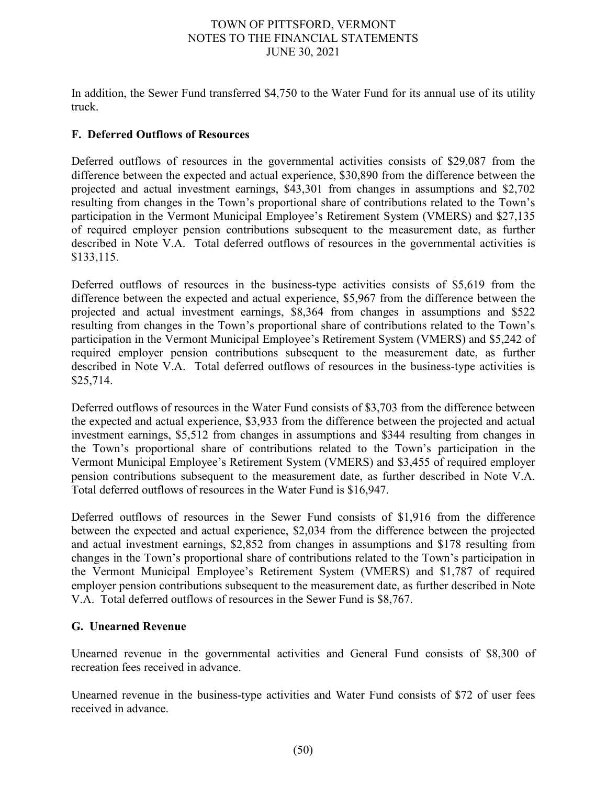In addition, the Sewer Fund transferred \$4,750 to the Water Fund for its annual use of its utility truck.

# **F. Deferred Outflows of Resources**

Deferred outflows of resources in the governmental activities consists of \$29,087 from the difference between the expected and actual experience, \$30,890 from the difference between the projected and actual investment earnings, \$43,301 from changes in assumptions and \$2,702 resulting from changes in the Town's proportional share of contributions related to the Town's participation in the Vermont Municipal Employee's Retirement System (VMERS) and \$27,135 of required employer pension contributions subsequent to the measurement date, as further described in Note V.A. Total deferred outflows of resources in the governmental activities is \$133,115.

Deferred outflows of resources in the business-type activities consists of \$5,619 from the difference between the expected and actual experience, \$5,967 from the difference between the projected and actual investment earnings, \$8,364 from changes in assumptions and \$522 resulting from changes in the Town's proportional share of contributions related to the Town's participation in the Vermont Municipal Employee's Retirement System (VMERS) and \$5,242 of required employer pension contributions subsequent to the measurement date, as further described in Note V.A. Total deferred outflows of resources in the business-type activities is \$25,714.

Deferred outflows of resources in the Water Fund consists of \$3,703 from the difference between the expected and actual experience, \$3,933 from the difference between the projected and actual investment earnings, \$5,512 from changes in assumptions and \$344 resulting from changes in the Town's proportional share of contributions related to the Town's participation in the Vermont Municipal Employee's Retirement System (VMERS) and \$3,455 of required employer pension contributions subsequent to the measurement date, as further described in Note V.A. Total deferred outflows of resources in the Water Fund is \$16,947.

Deferred outflows of resources in the Sewer Fund consists of \$1,916 from the difference between the expected and actual experience, \$2,034 from the difference between the projected and actual investment earnings, \$2,852 from changes in assumptions and \$178 resulting from changes in the Town's proportional share of contributions related to the Town's participation in the Vermont Municipal Employee's Retirement System (VMERS) and \$1,787 of required employer pension contributions subsequent to the measurement date, as further described in Note V.A. Total deferred outflows of resources in the Sewer Fund is \$8,767.

# **G. Unearned Revenue**

Unearned revenue in the governmental activities and General Fund consists of \$8,300 of recreation fees received in advance.

Unearned revenue in the business-type activities and Water Fund consists of \$72 of user fees received in advance.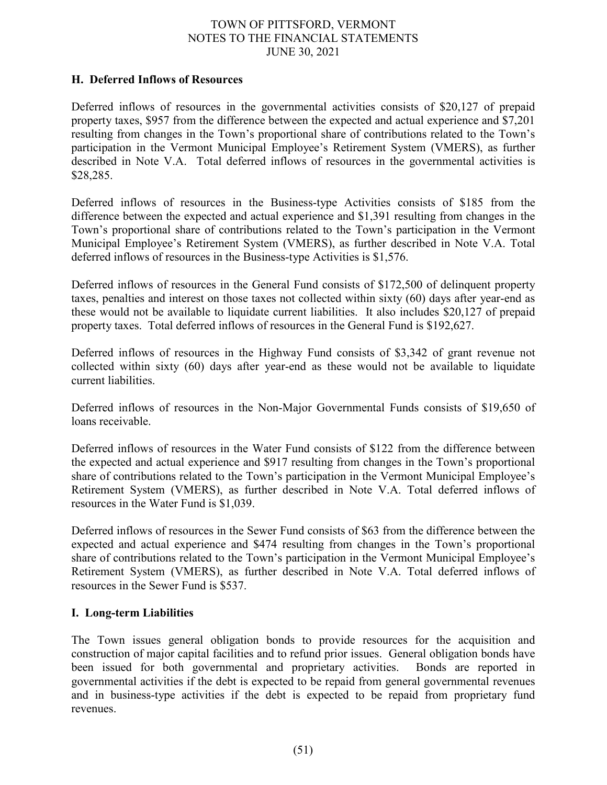## **H. Deferred Inflows of Resources**

Deferred inflows of resources in the governmental activities consists of \$20,127 of prepaid property taxes, \$957 from the difference between the expected and actual experience and \$7,201 resulting from changes in the Town's proportional share of contributions related to the Town's participation in the Vermont Municipal Employee's Retirement System (VMERS), as further described in Note V.A. Total deferred inflows of resources in the governmental activities is \$28,285.

Deferred inflows of resources in the Business-type Activities consists of \$185 from the difference between the expected and actual experience and \$1,391 resulting from changes in the Town's proportional share of contributions related to the Town's participation in the Vermont Municipal Employee's Retirement System (VMERS), as further described in Note V.A. Total deferred inflows of resources in the Business-type Activities is \$1,576.

Deferred inflows of resources in the General Fund consists of \$172,500 of delinquent property taxes, penalties and interest on those taxes not collected within sixty (60) days after year-end as these would not be available to liquidate current liabilities. It also includes \$20,127 of prepaid property taxes. Total deferred inflows of resources in the General Fund is \$192,627.

Deferred inflows of resources in the Highway Fund consists of \$3,342 of grant revenue not collected within sixty (60) days after year-end as these would not be available to liquidate current liabilities.

Deferred inflows of resources in the Non-Major Governmental Funds consists of \$19,650 of loans receivable.

Deferred inflows of resources in the Water Fund consists of \$122 from the difference between the expected and actual experience and \$917 resulting from changes in the Town's proportional share of contributions related to the Town's participation in the Vermont Municipal Employee's Retirement System (VMERS), as further described in Note V.A. Total deferred inflows of resources in the Water Fund is \$1,039.

Deferred inflows of resources in the Sewer Fund consists of \$63 from the difference between the expected and actual experience and \$474 resulting from changes in the Town's proportional share of contributions related to the Town's participation in the Vermont Municipal Employee's Retirement System (VMERS), as further described in Note V.A. Total deferred inflows of resources in the Sewer Fund is \$537.

## **I. Long-term Liabilities**

The Town issues general obligation bonds to provide resources for the acquisition and construction of major capital facilities and to refund prior issues. General obligation bonds have been issued for both governmental and proprietary activities. Bonds are reported in governmental activities if the debt is expected to be repaid from general governmental revenues and in business-type activities if the debt is expected to be repaid from proprietary fund revenues.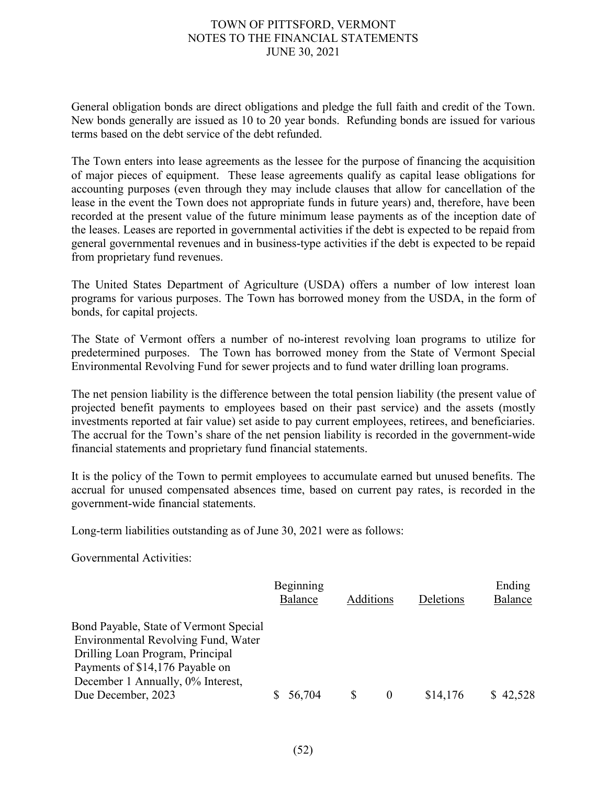General obligation bonds are direct obligations and pledge the full faith and credit of the Town. New bonds generally are issued as 10 to 20 year bonds. Refunding bonds are issued for various terms based on the debt service of the debt refunded.

The Town enters into lease agreements as the lessee for the purpose of financing the acquisition of major pieces of equipment. These lease agreements qualify as capital lease obligations for accounting purposes (even through they may include clauses that allow for cancellation of the lease in the event the Town does not appropriate funds in future years) and, therefore, have been recorded at the present value of the future minimum lease payments as of the inception date of the leases. Leases are reported in governmental activities if the debt is expected to be repaid from general governmental revenues and in business-type activities if the debt is expected to be repaid from proprietary fund revenues.

The United States Department of Agriculture (USDA) offers a number of low interest loan programs for various purposes. The Town has borrowed money from the USDA, in the form of bonds, for capital projects.

The State of Vermont offers a number of no-interest revolving loan programs to utilize for predetermined purposes. The Town has borrowed money from the State of Vermont Special Environmental Revolving Fund for sewer projects and to fund water drilling loan programs.

The net pension liability is the difference between the total pension liability (the present value of projected benefit payments to employees based on their past service) and the assets (mostly investments reported at fair value) set aside to pay current employees, retirees, and beneficiaries. The accrual for the Town's share of the net pension liability is recorded in the government-wide financial statements and proprietary fund financial statements.

It is the policy of the Town to permit employees to accumulate earned but unused benefits. The accrual for unused compensated absences time, based on current pay rates, is recorded in the government-wide financial statements.

Long-term liabilities outstanding as of June 30, 2021 were as follows:

Governmental Activities:

|                                        | Beginning<br>Balance | <b>Additions</b> | Deletions | Ending<br>Balance |
|----------------------------------------|----------------------|------------------|-----------|-------------------|
|                                        |                      |                  |           |                   |
| Bond Payable, State of Vermont Special |                      |                  |           |                   |
| Environmental Revolving Fund, Water    |                      |                  |           |                   |
| Drilling Loan Program, Principal       |                      |                  |           |                   |
| Payments of \$14,176 Payable on        |                      |                  |           |                   |
| December 1 Annually, 0% Interest,      |                      |                  |           |                   |
| Due December, 2023                     | 56,704               |                  | \$14,176  | 42,528            |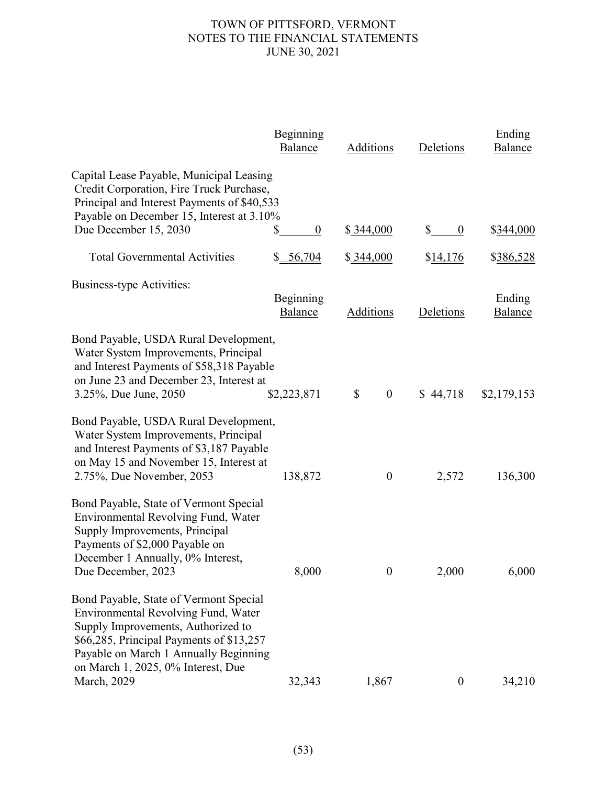|                                                                                                                                                                                                                                                | Beginning<br>Balance | Additions              | Deletions                        | Ending<br>Balance        |
|------------------------------------------------------------------------------------------------------------------------------------------------------------------------------------------------------------------------------------------------|----------------------|------------------------|----------------------------------|--------------------------|
| Capital Lease Payable, Municipal Leasing<br>Credit Corporation, Fire Truck Purchase,<br>Principal and Interest Payments of \$40,533<br>Payable on December 15, Interest at 3.10%                                                               |                      |                        |                                  |                          |
| Due December 15, 2030                                                                                                                                                                                                                          | \$<br>$\bf{0}$       | \$344,000              | $\mathbb{S}$<br>$\boldsymbol{0}$ | \$344,000                |
| <b>Total Governmental Activities</b>                                                                                                                                                                                                           | \$ 56,704            | \$ 344,000             | \$14,176                         | \$386,528                |
| Business-type Activities:                                                                                                                                                                                                                      | Beginning<br>Balance | Additions              | Deletions                        | Ending<br><b>Balance</b> |
| Bond Payable, USDA Rural Development,<br>Water System Improvements, Principal<br>and Interest Payments of \$58,318 Payable<br>on June 23 and December 23, Interest at<br>3.25%, Due June, 2050                                                 | \$2,223,871          | \$<br>$\boldsymbol{0}$ | \$44,718                         | \$2,179,153              |
| Bond Payable, USDA Rural Development,<br>Water System Improvements, Principal<br>and Interest Payments of \$3,187 Payable<br>on May 15 and November 15, Interest at<br>2.75%, Due November, 2053                                               | 138,872              | $\boldsymbol{0}$       | 2,572                            | 136,300                  |
| Bond Payable, State of Vermont Special<br>Environmental Revolving Fund, Water<br>Supply Improvements, Principal<br>Payments of \$2,000 Payable on<br>December 1 Annually, 0% Interest,<br>Due December, 2023                                   | 8,000                | $\overline{0}$         | 2,000                            | 6,000                    |
| Bond Payable, State of Vermont Special<br>Environmental Revolving Fund, Water<br>Supply Improvements, Authorized to<br>\$66,285, Principal Payments of \$13,257<br>Payable on March 1 Annually Beginning<br>on March 1, 2025, 0% Interest, Due |                      |                        |                                  |                          |
| March, 2029                                                                                                                                                                                                                                    | 32,343               | 1,867                  | $\boldsymbol{0}$                 | 34,210                   |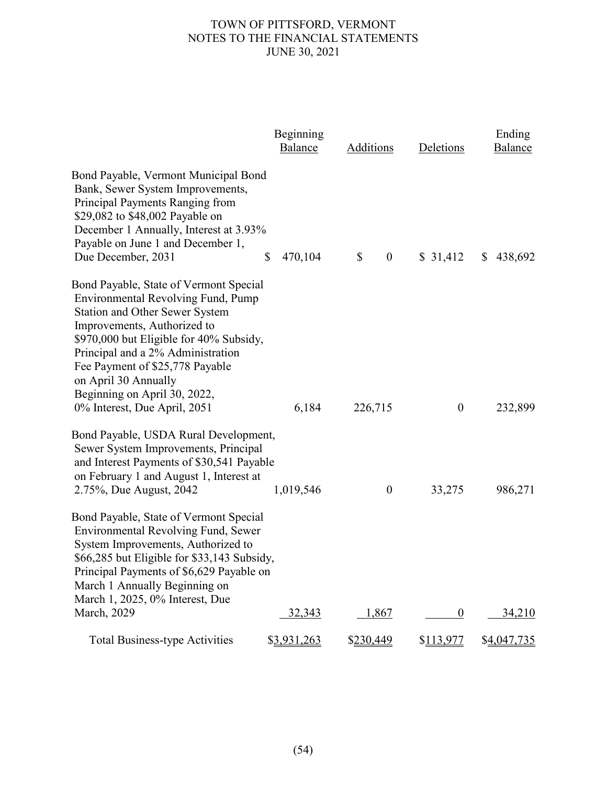|                                                                                                                                                                                                                                                                                                                          | Beginning<br>Balance | <b>Additions</b>       | Deletions        | Ending<br>Balance       |
|--------------------------------------------------------------------------------------------------------------------------------------------------------------------------------------------------------------------------------------------------------------------------------------------------------------------------|----------------------|------------------------|------------------|-------------------------|
| Bond Payable, Vermont Municipal Bond<br>Bank, Sewer System Improvements,<br>Principal Payments Ranging from<br>\$29,082 to \$48,002 Payable on<br>December 1 Annually, Interest at 3.93%<br>Payable on June 1 and December 1,<br>Due December, 2031                                                                      | \$<br>470,104        | \$<br>$\boldsymbol{0}$ | \$31,412         | 438,692<br>$\mathbb{S}$ |
| Bond Payable, State of Vermont Special<br>Environmental Revolving Fund, Pump<br>Station and Other Sewer System<br>Improvements, Authorized to<br>\$970,000 but Eligible for 40% Subsidy,<br>Principal and a 2% Administration<br>Fee Payment of \$25,778 Payable<br>on April 30 Annually<br>Beginning on April 30, 2022, |                      |                        |                  |                         |
| 0% Interest, Due April, 2051                                                                                                                                                                                                                                                                                             | 6,184                | 226,715                | $\boldsymbol{0}$ | 232,899                 |
| Bond Payable, USDA Rural Development,<br>Sewer System Improvements, Principal<br>and Interest Payments of \$30,541 Payable<br>on February 1 and August 1, Interest at<br>2.75%, Due August, 2042                                                                                                                         | 1,019,546            | $\boldsymbol{0}$       | 33,275           | 986,271                 |
| Bond Payable, State of Vermont Special<br><b>Environmental Revolving Fund, Sewer</b><br>System Improvements, Authorized to<br>\$66,285 but Eligible for \$33,143 Subsidy,<br>Principal Payments of \$6,629 Payable on<br>March 1 Annually Beginning on<br>March 1, 2025, 0% Interest, Due                                |                      |                        |                  |                         |
| <b>March</b> , 2029                                                                                                                                                                                                                                                                                                      | 32,343               | 1,867                  | $\boldsymbol{0}$ | 34,210                  |
| <b>Total Business-type Activities</b>                                                                                                                                                                                                                                                                                    | \$3,931,263          | \$230,449              | \$113,977        | \$4,047,735             |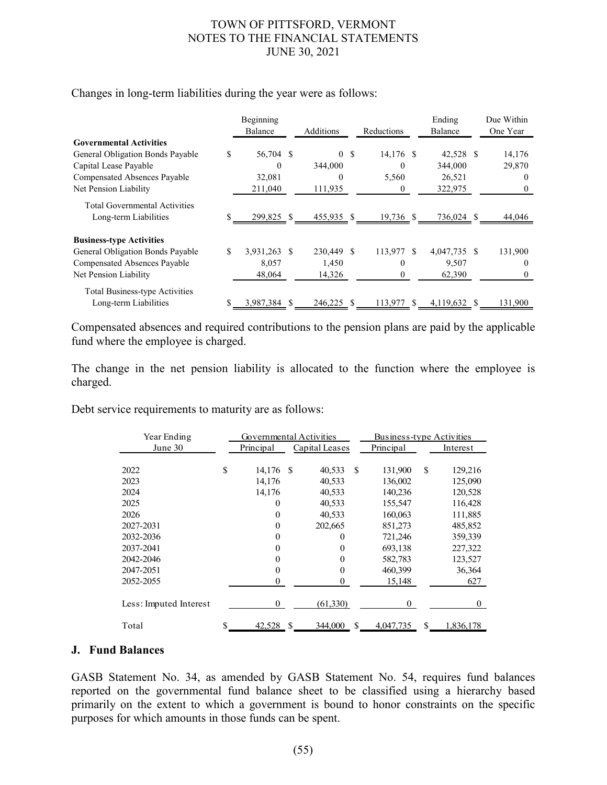Changes in long-term liabilities during the year were as follows:

|                                                                | Beginning<br>Balance |    | Additions  |     | Reductions |    | Ending<br>Balance |    | Due Within<br>One Year |
|----------------------------------------------------------------|----------------------|----|------------|-----|------------|----|-------------------|----|------------------------|
| <b>Governmental Activities</b>                                 |                      |    |            |     |            |    |                   |    |                        |
| General Obligation Bonds Payable                               | \$<br>56,704 \$      |    | $\theta$   | -S  | 14,176 \$  |    | 42,528 \$         |    | 14,176                 |
| Capital Lease Payable                                          | $\theta$             |    | 344,000    |     | $\theta$   |    | 344,000           |    | 29,870                 |
| Compensated Absences Payable                                   | 32,081               |    | $\theta$   |     | 5,560      |    | 26,521            |    | $\Omega$               |
| Net Pension Liability                                          | 211,040              |    | 111,935    |     | $\bf{0}$   |    | 322,975           |    | $\Omega$               |
| <b>Total Governmental Activities</b><br>Long-term Liabilities  | 299,825              | -S | 455,935 \$ |     | 19,736 \$  |    | 736,024           | -S | 44,046                 |
| <b>Business-type Activities</b>                                |                      |    |            |     |            |    |                   |    |                        |
| General Obligation Bonds Payable                               | \$<br>3,931,263      | -S | 230,449    | \$. | 113,977    | -S | 4,047,735         | -S | 131,900                |
| Compensated Absences Payable                                   | 8.057                |    | 1,450      |     | 0          |    | 9,507             |    | $\Omega$               |
| Net Pension Liability                                          | 48,064               |    | 14,326     |     | 0          |    | 62,390            |    | $\theta$               |
| <b>Total Business-type Activities</b><br>Long-term Liabilities | 3,987,384 \$         |    | 246,225 \$ |     | 113,977 \$ |    | 4,119,632 \$      |    | 131,900                |

Compensated absences and required contributions to the pension plans are paid by the applicable fund where the employee is charged.

The change in the net pension liability is allocated to the function where the employee is charged.

Debt service requirements to maturity are as follows:

| Year Ending            |     | Governmental Activities |                |           |    | Business-type Activities |     |           |
|------------------------|-----|-------------------------|----------------|-----------|----|--------------------------|-----|-----------|
| June 30                |     | Principal               | Capital Leases |           |    | Principal                |     | Interest  |
|                        |     |                         |                |           |    |                          |     |           |
| 2022                   | \$. | 14,176                  | - \$           | 40,533    | -S | 131,900                  | \$. | 129,216   |
| 2023                   |     | 14,176                  |                | 40,533    |    | 136,002                  |     | 125,090   |
| 2024                   |     | 14,176                  |                | 40,533    |    | 140,236                  |     | 120,528   |
| 2025                   |     | 0                       |                | 40,533    |    | 155,547                  |     | 116,428   |
| 2026                   |     | $\theta$                |                | 40,533    |    | 160,063                  |     | 111,885   |
| 2027-2031              |     | 0                       |                | 202,665   |    | 851,273                  |     | 485,852   |
| 2032-2036              |     | 0                       |                | 0         |    | 721,246                  |     | 359,339   |
| 2037-2041              |     | 0                       |                | 0         |    | 693,138                  |     | 227,322   |
| 2042-2046              |     | 0                       |                | $\theta$  |    | 582,783                  |     | 123,527   |
| 2047-2051              |     | $\theta$                |                | $\Omega$  |    | 460,399                  |     | 36,364    |
| 2052-2055              |     | $\theta$                |                | 0         |    | 15,148                   |     | 627       |
| Less: Imputed Interest |     | 0                       |                | (61, 330) |    | $\Omega$                 |     | $\Omega$  |
| Total                  |     | 42,528                  | -S             | 344,000   | \$ | 4,047,735                | \$  | 1,836,178 |

## **J. Fund Balances**

GASB Statement No. 34, as amended by GASB Statement No. 54, requires fund balances reported on the governmental fund balance sheet to be classified using a hierarchy based primarily on the extent to which a government is bound to honor constraints on the specific purposes for which amounts in those funds can be spent.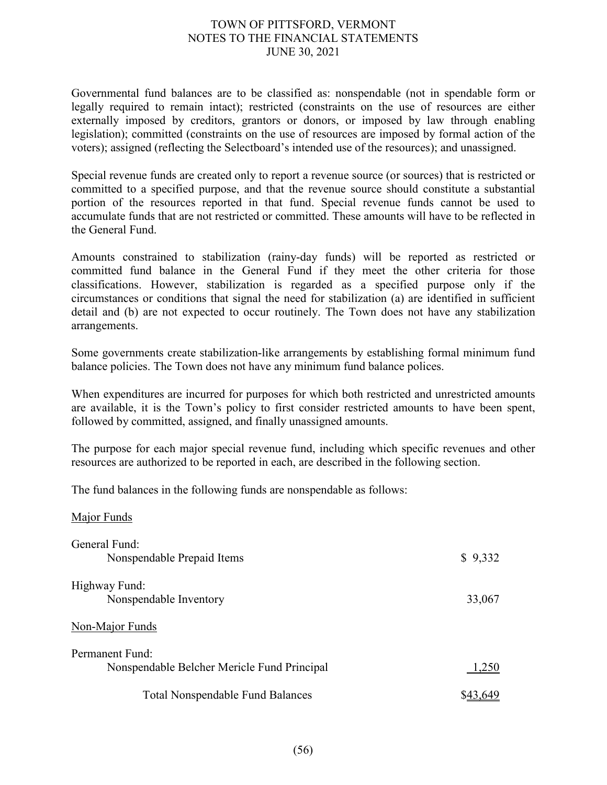Governmental fund balances are to be classified as: nonspendable (not in spendable form or legally required to remain intact); restricted (constraints on the use of resources are either externally imposed by creditors, grantors or donors, or imposed by law through enabling legislation); committed (constraints on the use of resources are imposed by formal action of the voters); assigned (reflecting the Selectboard's intended use of the resources); and unassigned.

Special revenue funds are created only to report a revenue source (or sources) that is restricted or committed to a specified purpose, and that the revenue source should constitute a substantial portion of the resources reported in that fund. Special revenue funds cannot be used to accumulate funds that are not restricted or committed. These amounts will have to be reflected in the General Fund.

Amounts constrained to stabilization (rainy-day funds) will be reported as restricted or committed fund balance in the General Fund if they meet the other criteria for those classifications. However, stabilization is regarded as a specified purpose only if the circumstances or conditions that signal the need for stabilization (a) are identified in sufficient detail and (b) are not expected to occur routinely. The Town does not have any stabilization arrangements.

Some governments create stabilization-like arrangements by establishing formal minimum fund balance policies. The Town does not have any minimum fund balance polices.

When expenditures are incurred for purposes for which both restricted and unrestricted amounts are available, it is the Town's policy to first consider restricted amounts to have been spent, followed by committed, assigned, and finally unassigned amounts.

The purpose for each major special revenue fund, including which specific revenues and other resources are authorized to be reported in each, are described in the following section.

The fund balances in the following funds are nonspendable as follows:

Major Funds

| General Fund:                               |         |
|---------------------------------------------|---------|
| Nonspendable Prepaid Items                  | \$9,332 |
| Highway Fund:                               |         |
| Nonspendable Inventory                      | 33,067  |
| Non-Major Funds                             |         |
| Permanent Fund:                             |         |
| Nonspendable Belcher Mericle Fund Principal | 1,250   |
| <b>Total Nonspendable Fund Balances</b>     |         |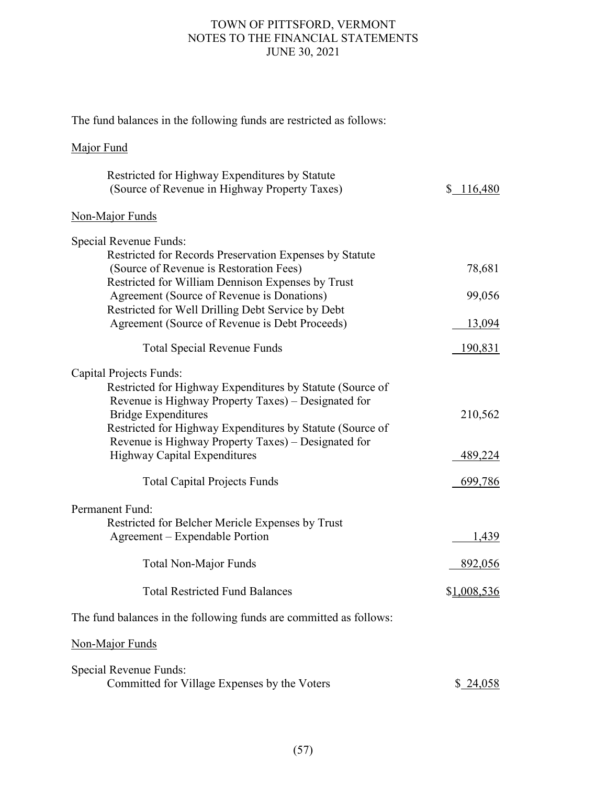| The fund balances in the following funds are restricted as follows:                                                                                                                                                                                                                                                                  |                    |
|--------------------------------------------------------------------------------------------------------------------------------------------------------------------------------------------------------------------------------------------------------------------------------------------------------------------------------------|--------------------|
| Major Fund                                                                                                                                                                                                                                                                                                                           |                    |
| Restricted for Highway Expenditures by Statute<br>(Source of Revenue in Highway Property Taxes)                                                                                                                                                                                                                                      | \$ 116,480         |
| Non-Major Funds                                                                                                                                                                                                                                                                                                                      |                    |
| Special Revenue Funds:                                                                                                                                                                                                                                                                                                               |                    |
| Restricted for Records Preservation Expenses by Statute<br>(Source of Revenue is Restoration Fees)<br>Restricted for William Dennison Expenses by Trust                                                                                                                                                                              | 78,681             |
| Agreement (Source of Revenue is Donations)<br>Restricted for Well Drilling Debt Service by Debt                                                                                                                                                                                                                                      | 99,056             |
| Agreement (Source of Revenue is Debt Proceeds)                                                                                                                                                                                                                                                                                       | 13,094             |
| <b>Total Special Revenue Funds</b>                                                                                                                                                                                                                                                                                                   | 190,831            |
| Capital Projects Funds:<br>Restricted for Highway Expenditures by Statute (Source of<br>Revenue is Highway Property Taxes) – Designated for<br><b>Bridge Expenditures</b><br>Restricted for Highway Expenditures by Statute (Source of<br>Revenue is Highway Property Taxes) – Designated for<br><b>Highway Capital Expenditures</b> | 210,562<br>489,224 |
| <b>Total Capital Projects Funds</b>                                                                                                                                                                                                                                                                                                  | 699,786            |
| Permanent Fund:<br>Restricted for Belcher Mericle Expenses by Trust<br>Agreement – Expendable Portion                                                                                                                                                                                                                                | 1,439              |
| <b>Total Non-Major Funds</b>                                                                                                                                                                                                                                                                                                         | 892,056            |
| <b>Total Restricted Fund Balances</b>                                                                                                                                                                                                                                                                                                | \$1,008,536        |
| The fund balances in the following funds are committed as follows:                                                                                                                                                                                                                                                                   |                    |
| Non-Major Funds                                                                                                                                                                                                                                                                                                                      |                    |

| Special Revenue Funds:                       |          |
|----------------------------------------------|----------|
| Committed for Village Expenses by the Voters | \$24,058 |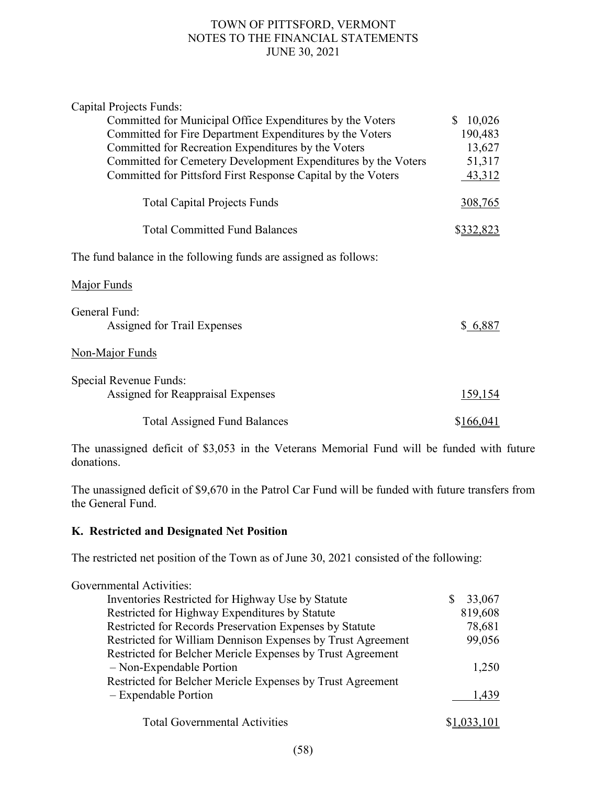| Capital Projects Funds:                                          |                |  |  |  |  |  |  |
|------------------------------------------------------------------|----------------|--|--|--|--|--|--|
| Committed for Municipal Office Expenditures by the Voters        |                |  |  |  |  |  |  |
| Committed for Fire Department Expenditures by the Voters         |                |  |  |  |  |  |  |
| Committed for Recreation Expenditures by the Voters              |                |  |  |  |  |  |  |
| Committed for Cemetery Development Expenditures by the Voters    | 51,317         |  |  |  |  |  |  |
| Committed for Pittsford First Response Capital by the Voters     | 43,312         |  |  |  |  |  |  |
| <b>Total Capital Projects Funds</b>                              | <u>308,765</u> |  |  |  |  |  |  |
| <b>Total Committed Fund Balances</b>                             | \$332,823      |  |  |  |  |  |  |
| The fund balance in the following funds are assigned as follows: |                |  |  |  |  |  |  |
| <b>Major Funds</b>                                               |                |  |  |  |  |  |  |
| General Fund:                                                    |                |  |  |  |  |  |  |
| Assigned for Trail Expenses                                      | \$6,887        |  |  |  |  |  |  |
| <b>Non-Major Funds</b>                                           |                |  |  |  |  |  |  |
| Special Revenue Funds:                                           |                |  |  |  |  |  |  |
| Assigned for Reappraisal Expenses                                | <u>159,154</u> |  |  |  |  |  |  |
| <b>Total Assigned Fund Balances</b>                              | \$166,041      |  |  |  |  |  |  |

The unassigned deficit of \$3,053 in the Veterans Memorial Fund will be funded with future donations.

The unassigned deficit of \$9,670 in the Patrol Car Fund will be funded with future transfers from the General Fund.

# **K. Restricted and Designated Net Position**

The restricted net position of the Town as of June 30, 2021 consisted of the following:

| Governmental Activities:                                    |         |
|-------------------------------------------------------------|---------|
| Inventories Restricted for Highway Use by Statute           | 33,067  |
| Restricted for Highway Expenditures by Statute              | 819,608 |
| Restricted for Records Preservation Expenses by Statute     | 78,681  |
| Restricted for William Dennison Expenses by Trust Agreement | 99,056  |
| Restricted for Belcher Mericle Expenses by Trust Agreement  |         |
| $-$ Non-Expendable Portion                                  | 1,250   |
| Restricted for Belcher Mericle Expenses by Trust Agreement  |         |
| - Expendable Portion                                        | 1,439   |
|                                                             |         |
| <b>Total Governmental Activities</b>                        |         |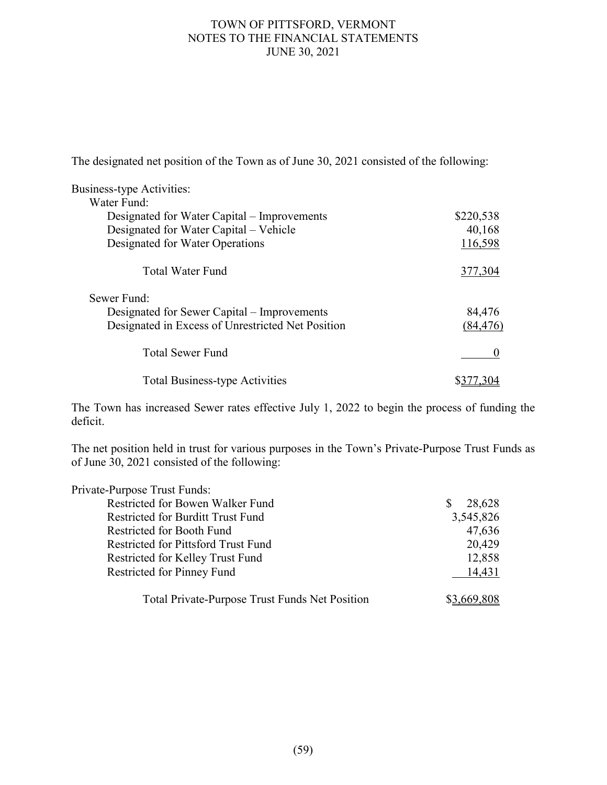The designated net position of the Town as of June 30, 2021 consisted of the following:

| <b>Business-type Activities:</b>                  |           |
|---------------------------------------------------|-----------|
| Water Fund:                                       |           |
| Designated for Water Capital – Improvements       | \$220,538 |
| Designated for Water Capital – Vehicle            | 40,168    |
| Designated for Water Operations                   | 116,598   |
| <b>Total Water Fund</b>                           | 377,304   |
| Sewer Fund:                                       |           |
| Designated for Sewer Capital – Improvements       | 84,476    |
| Designated in Excess of Unrestricted Net Position | (84, 476) |
| <b>Total Sewer Fund</b>                           |           |
| <b>Total Business-type Activities</b>             |           |

The Town has increased Sewer rates effective July 1, 2022 to begin the process of funding the deficit.

The net position held in trust for various purposes in the Town's Private-Purpose Trust Funds as of June 30, 2021 consisted of the following:

| Private-Purpose Trust Funds:                          |             |
|-------------------------------------------------------|-------------|
| Restricted for Bowen Walker Fund                      | 28,628      |
| <b>Restricted for Burditt Trust Fund</b>              | 3,545,826   |
| Restricted for Booth Fund                             | 47,636      |
| <b>Restricted for Pittsford Trust Fund</b>            | 20,429      |
| Restricted for Kelley Trust Fund                      | 12,858      |
| Restricted for Pinney Fund                            | 14,431      |
| <b>Total Private-Purpose Trust Funds Net Position</b> | \$3,669,808 |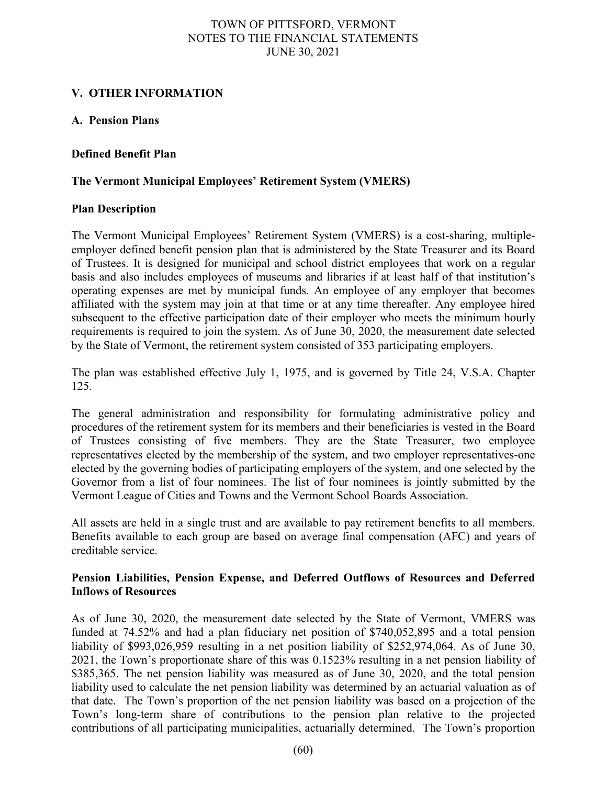# **V. OTHER INFORMATION**

## **A. Pension Plans**

## **Defined Benefit Plan**

## **The Vermont Municipal Employees' Retirement System (VMERS)**

## **Plan Description**

The Vermont Municipal Employees' Retirement System (VMERS) is a cost-sharing, multipleemployer defined benefit pension plan that is administered by the State Treasurer and its Board of Trustees. It is designed for municipal and school district employees that work on a regular basis and also includes employees of museums and libraries if at least half of that institution's operating expenses are met by municipal funds. An employee of any employer that becomes affiliated with the system may join at that time or at any time thereafter. Any employee hired subsequent to the effective participation date of their employer who meets the minimum hourly requirements is required to join the system. As of June 30, 2020, the measurement date selected by the State of Vermont, the retirement system consisted of 353 participating employers.

The plan was established effective July 1, 1975, and is governed by Title 24, V.S.A. Chapter 125.

The general administration and responsibility for formulating administrative policy and procedures of the retirement system for its members and their beneficiaries is vested in the Board of Trustees consisting of five members. They are the State Treasurer, two employee representatives elected by the membership of the system, and two employer representatives-one elected by the governing bodies of participating employers of the system, and one selected by the Governor from a list of four nominees. The list of four nominees is jointly submitted by the Vermont League of Cities and Towns and the Vermont School Boards Association.

All assets are held in a single trust and are available to pay retirement benefits to all members. Benefits available to each group are based on average final compensation (AFC) and years of creditable service.

## **Pension Liabilities, Pension Expense, and Deferred Outflows of Resources and Deferred Inflows of Resources**

As of June 30, 2020, the measurement date selected by the State of Vermont, VMERS was funded at 74.52% and had a plan fiduciary net position of \$740,052,895 and a total pension liability of \$993,026,959 resulting in a net position liability of \$252,974,064. As of June 30, 2021, the Town's proportionate share of this was 0.1523% resulting in a net pension liability of \$385,365. The net pension liability was measured as of June 30, 2020, and the total pension liability used to calculate the net pension liability was determined by an actuarial valuation as of that date. The Town's proportion of the net pension liability was based on a projection of the Town's long-term share of contributions to the pension plan relative to the projected contributions of all participating municipalities, actuarially determined. The Town's proportion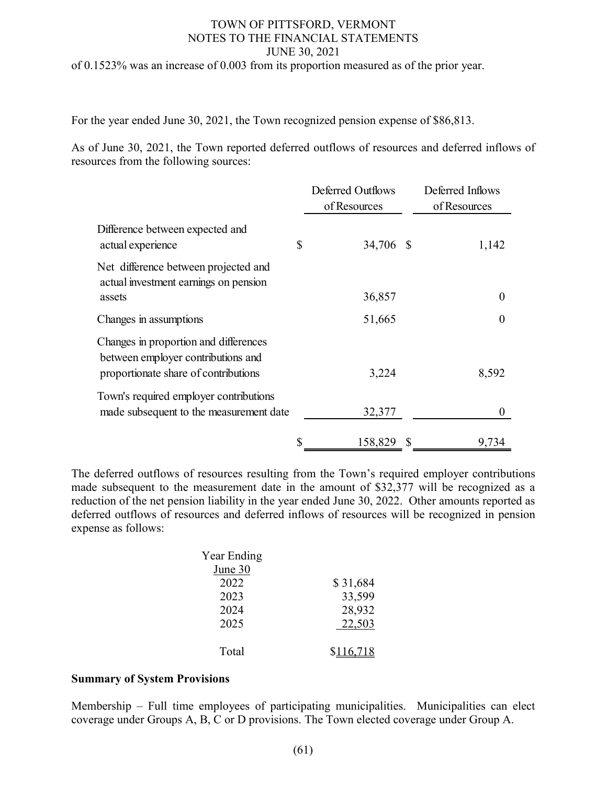of 0.1523% was an increase of 0.003 from its proportion measured as of the prior year.

For the year ended June 30, 2021, the Town recognized pension expense of \$86,813.

As of June 30, 2021, the Town reported deferred outflows of resources and deferred inflows of resources from the following sources:

|                                                                                                                     | Deferred Outflows<br>of Resources | Deferred Inflows<br>of Resources |  |  |
|---------------------------------------------------------------------------------------------------------------------|-----------------------------------|----------------------------------|--|--|
| Difference between expected and<br>actual experience                                                                | \$<br>34,706 \$                   | 1,142                            |  |  |
| Net difference between projected and<br>actual investment earnings on pension                                       |                                   |                                  |  |  |
| assets                                                                                                              | 36,857                            |                                  |  |  |
| Changes in assumptions                                                                                              | 51,665                            |                                  |  |  |
| Changes in proportion and differences<br>between employer contributions and<br>proportionate share of contributions | 3,224                             | 8,592                            |  |  |
| Town's required employer contributions<br>made subsequent to the measurement date                                   | 32,377                            |                                  |  |  |
|                                                                                                                     | \$<br>158,829 \$                  | 9,734                            |  |  |

The deferred outflows of resources resulting from the Town's required employer contributions made subsequent to the measurement date in the amount of \$32,377 will be recognized as a reduction of the net pension liability in the year ended June 30, 2022. Other amounts reported as deferred outflows of resources and deferred inflows of resources will be recognized in pension expense as follows:

| Year Ending |           |
|-------------|-----------|
| June 30     |           |
| 2022        | \$31,684  |
| 2023        | 33,599    |
| 2024        | 28,932    |
| 2025        | 22,503    |
|             |           |
| Total       | \$116,718 |

#### **Summary of System Provisions**

Membership – Full time employees of participating municipalities. Municipalities can elect coverage under Groups A, B, C or D provisions. The Town elected coverage under Group A.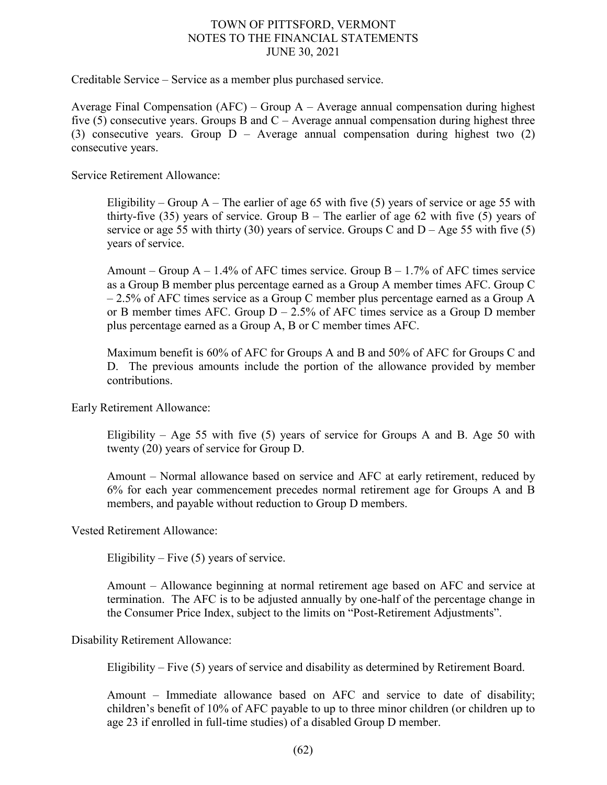Creditable Service – Service as a member plus purchased service.

Average Final Compensation  $(AFC)$  – Group A – Average annual compensation during highest five  $(5)$  consecutive years. Groups B and C – Average annual compensation during highest three (3) consecutive years. Group D – Average annual compensation during highest two (2) consecutive years.

Service Retirement Allowance:

Eligibility – Group  $A$  – The earlier of age 65 with five (5) years of service or age 55 with thirty-five (35) years of service. Group  $B -$  The earlier of age 62 with five (5) years of service or age 55 with thirty (30) years of service. Groups C and  $D - Age$  55 with five (5) years of service.

Amount – Group  $A - 1.4\%$  of AFC times service. Group  $B - 1.7\%$  of AFC times service as a Group B member plus percentage earned as a Group A member times AFC. Group C – 2.5% of AFC times service as a Group C member plus percentage earned as a Group A or B member times AFC. Group  $D - 2.5\%$  of AFC times service as a Group D member plus percentage earned as a Group A, B or C member times AFC.

Maximum benefit is 60% of AFC for Groups A and B and 50% of AFC for Groups C and D. The previous amounts include the portion of the allowance provided by member contributions.

Early Retirement Allowance:

Eligibility – Age 55 with five  $(5)$  years of service for Groups A and B. Age 50 with twenty (20) years of service for Group D.

Amount – Normal allowance based on service and AFC at early retirement, reduced by 6% for each year commencement precedes normal retirement age for Groups A and B members, and payable without reduction to Group D members.

Vested Retirement Allowance:

Eligibility – Five  $(5)$  years of service.

Amount – Allowance beginning at normal retirement age based on AFC and service at termination. The AFC is to be adjusted annually by one-half of the percentage change in the Consumer Price Index, subject to the limits on "Post-Retirement Adjustments".

Disability Retirement Allowance:

Eligibility – Five (5) years of service and disability as determined by Retirement Board.

Amount – Immediate allowance based on AFC and service to date of disability; children's benefit of 10% of AFC payable to up to three minor children (or children up to age 23 if enrolled in full-time studies) of a disabled Group D member.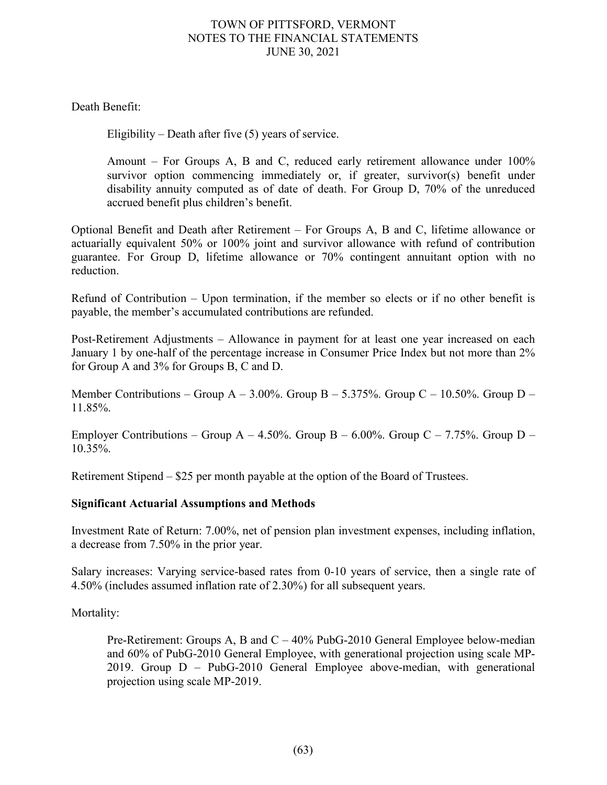Death Benefit:

Eligibility – Death after five (5) years of service.

Amount – For Groups A, B and C, reduced early retirement allowance under 100% survivor option commencing immediately or, if greater, survivor(s) benefit under disability annuity computed as of date of death. For Group D, 70% of the unreduced accrued benefit plus children's benefit.

Optional Benefit and Death after Retirement – For Groups A, B and C, lifetime allowance or actuarially equivalent 50% or 100% joint and survivor allowance with refund of contribution guarantee. For Group D, lifetime allowance or 70% contingent annuitant option with no reduction.

Refund of Contribution – Upon termination, if the member so elects or if no other benefit is payable, the member's accumulated contributions are refunded.

Post-Retirement Adjustments – Allowance in payment for at least one year increased on each January 1 by one-half of the percentage increase in Consumer Price Index but not more than 2% for Group A and 3% for Groups B, C and D.

Member Contributions – Group A – 3.00%. Group B – 5.375%. Group C – 10.50%. Group D – 11.85%.

Employer Contributions – Group A – 4.50%. Group B – 6.00%. Group C – 7.75%. Group D – 10.35%.

Retirement Stipend – \$25 per month payable at the option of the Board of Trustees.

## **Significant Actuarial Assumptions and Methods**

Investment Rate of Return: 7.00%, net of pension plan investment expenses, including inflation, a decrease from 7.50% in the prior year.

Salary increases: Varying service-based rates from 0-10 years of service, then a single rate of 4.50% (includes assumed inflation rate of 2.30%) for all subsequent years.

Mortality:

Pre-Retirement: Groups A, B and C – 40% PubG-2010 General Employee below-median and 60% of PubG-2010 General Employee, with generational projection using scale MP-2019. Group D – PubG-2010 General Employee above-median, with generational projection using scale MP-2019.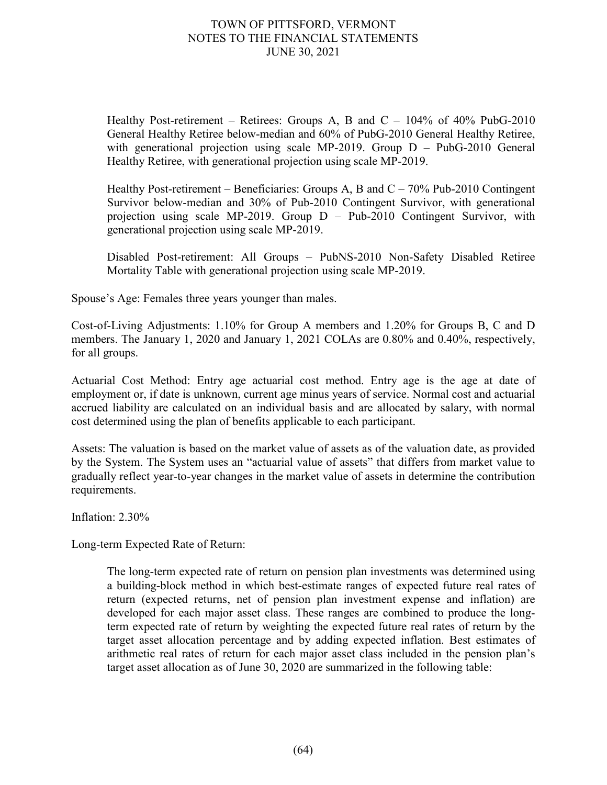Healthy Post-retirement – Retirees: Groups A, B and  $C - 104\%$  of 40% PubG-2010 General Healthy Retiree below-median and 60% of PubG-2010 General Healthy Retiree, with generational projection using scale MP-2019. Group D – PubG-2010 General Healthy Retiree, with generational projection using scale MP-2019.

Healthy Post-retirement – Beneficiaries: Groups A, B and C – 70% Pub-2010 Contingent Survivor below-median and 30% of Pub-2010 Contingent Survivor, with generational projection using scale MP-2019. Group D – Pub-2010 Contingent Survivor, with generational projection using scale MP-2019.

Disabled Post-retirement: All Groups – PubNS-2010 Non-Safety Disabled Retiree Mortality Table with generational projection using scale MP-2019.

Spouse's Age: Females three years younger than males.

Cost-of-Living Adjustments: 1.10% for Group A members and 1.20% for Groups B, C and D members. The January 1, 2020 and January 1, 2021 COLAs are 0.80% and 0.40%, respectively, for all groups.

Actuarial Cost Method: Entry age actuarial cost method. Entry age is the age at date of employment or, if date is unknown, current age minus years of service. Normal cost and actuarial accrued liability are calculated on an individual basis and are allocated by salary, with normal cost determined using the plan of benefits applicable to each participant.

Assets: The valuation is based on the market value of assets as of the valuation date, as provided by the System. The System uses an "actuarial value of assets" that differs from market value to gradually reflect year-to-year changes in the market value of assets in determine the contribution requirements.

Inflation: 2.30%

Long-term Expected Rate of Return:

The long-term expected rate of return on pension plan investments was determined using a building-block method in which best-estimate ranges of expected future real rates of return (expected returns, net of pension plan investment expense and inflation) are developed for each major asset class. These ranges are combined to produce the longterm expected rate of return by weighting the expected future real rates of return by the target asset allocation percentage and by adding expected inflation. Best estimates of arithmetic real rates of return for each major asset class included in the pension plan's target asset allocation as of June 30, 2020 are summarized in the following table: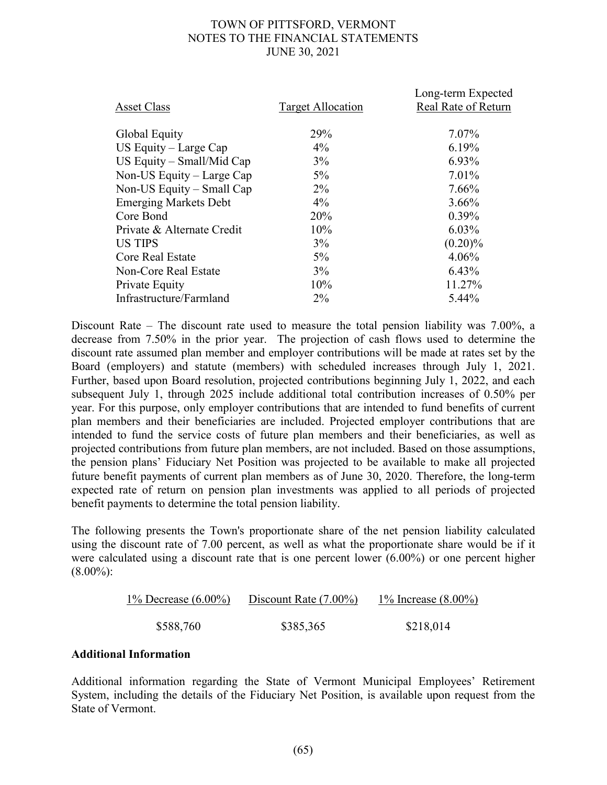| <b>Asset Class</b>           | <b>Target Allocation</b> | Long-term Expected<br>Real Rate of Return |
|------------------------------|--------------------------|-------------------------------------------|
|                              |                          |                                           |
| Global Equity                | 29%                      | 7.07%                                     |
| US Equity $-$ Large Cap      | $4\%$                    | 6.19%                                     |
| US Equity $-$ Small/Mid Cap  | $3\%$                    | 6.93%                                     |
| Non-US Equity – Large Cap    | $5\%$                    | 7.01%                                     |
| Non-US Equity – Small Cap    | $2\%$                    | 7.66%                                     |
| <b>Emerging Markets Debt</b> | $4\%$                    | $3.66\%$                                  |
| Core Bond                    | 20%                      | $0.39\%$                                  |
| Private & Alternate Credit   | 10%                      | $6.03\%$                                  |
| <b>US TIPS</b>               | 3%                       | $(0.20)\%$                                |
| Core Real Estate             | $5\%$                    | 4.06%                                     |
| Non-Core Real Estate         | 3%                       | 6.43%                                     |
| Private Equity               | 10%                      | 11.27%                                    |
| Infrastructure/Farmland      | $2\%$                    | 5.44%                                     |

Discount Rate – The discount rate used to measure the total pension liability was 7.00%, a decrease from 7.50% in the prior year. The projection of cash flows used to determine the discount rate assumed plan member and employer contributions will be made at rates set by the Board (employers) and statute (members) with scheduled increases through July 1, 2021. Further, based upon Board resolution, projected contributions beginning July 1, 2022, and each subsequent July 1, through 2025 include additional total contribution increases of 0.50% per year. For this purpose, only employer contributions that are intended to fund benefits of current plan members and their beneficiaries are included. Projected employer contributions that are intended to fund the service costs of future plan members and their beneficiaries, as well as projected contributions from future plan members, are not included. Based on those assumptions, the pension plans' Fiduciary Net Position was projected to be available to make all projected future benefit payments of current plan members as of June 30, 2020. Therefore, the long-term expected rate of return on pension plan investments was applied to all periods of projected benefit payments to determine the total pension liability.

The following presents the Town's proportionate share of the net pension liability calculated using the discount rate of 7.00 percent, as well as what the proportionate share would be if it were calculated using a discount rate that is one percent lower (6.00%) or one percent higher  $(8.00\%)$ :

| 1\% Decrease $(6.00\%)$ | Discount Rate $(7.00\%)$ | 1% Increase $(8.00\%)$ |
|-------------------------|--------------------------|------------------------|
| \$588,760               | \$385,365                | \$218,014              |

#### **Additional Information**

Additional information regarding the State of Vermont Municipal Employees' Retirement System, including the details of the Fiduciary Net Position, is available upon request from the State of Vermont.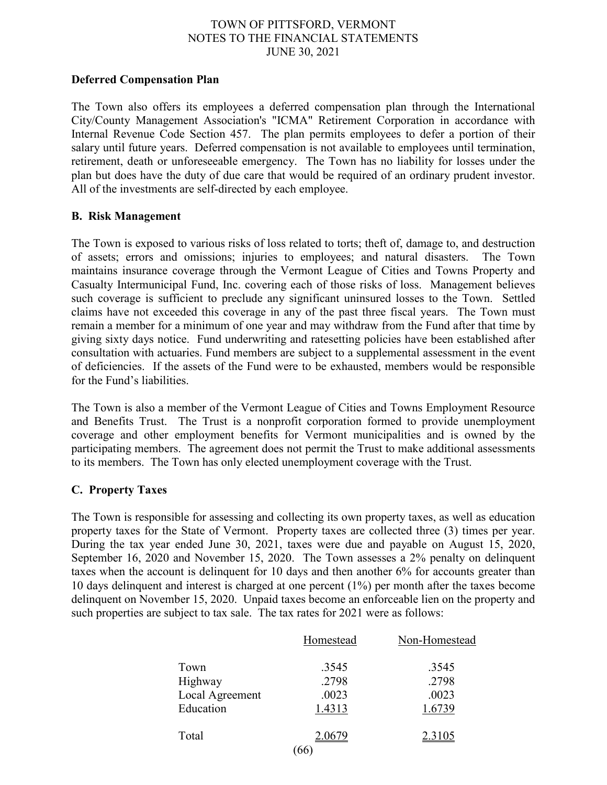## **Deferred Compensation Plan**

The Town also offers its employees a deferred compensation plan through the International City/County Management Association's "ICMA" Retirement Corporation in accordance with Internal Revenue Code Section 457. The plan permits employees to defer a portion of their salary until future years. Deferred compensation is not available to employees until termination, retirement, death or unforeseeable emergency. The Town has no liability for losses under the plan but does have the duty of due care that would be required of an ordinary prudent investor. All of the investments are self-directed by each employee.

## **B. Risk Management**

The Town is exposed to various risks of loss related to torts; theft of, damage to, and destruction of assets; errors and omissions; injuries to employees; and natural disasters. The Town maintains insurance coverage through the Vermont League of Cities and Towns Property and Casualty Intermunicipal Fund, Inc. covering each of those risks of loss. Management believes such coverage is sufficient to preclude any significant uninsured losses to the Town. Settled claims have not exceeded this coverage in any of the past three fiscal years. The Town must remain a member for a minimum of one year and may withdraw from the Fund after that time by giving sixty days notice. Fund underwriting and ratesetting policies have been established after consultation with actuaries. Fund members are subject to a supplemental assessment in the event of deficiencies. If the assets of the Fund were to be exhausted, members would be responsible for the Fund's liabilities.

The Town is also a member of the Vermont League of Cities and Towns Employment Resource and Benefits Trust. The Trust is a nonprofit corporation formed to provide unemployment coverage and other employment benefits for Vermont municipalities and is owned by the participating members. The agreement does not permit the Trust to make additional assessments to its members. The Town has only elected unemployment coverage with the Trust.

## **C. Property Taxes**

The Town is responsible for assessing and collecting its own property taxes, as well as education property taxes for the State of Vermont. Property taxes are collected three (3) times per year. During the tax year ended June 30, 2021, taxes were due and payable on August 15, 2020, September 16, 2020 and November 15, 2020. The Town assesses a 2% penalty on delinquent taxes when the account is delinquent for 10 days and then another 6% for accounts greater than 10 days delinquent and interest is charged at one percent (1%) per month after the taxes become delinquent on November 15, 2020. Unpaid taxes become an enforceable lien on the property and such properties are subject to tax sale. The tax rates for 2021 were as follows:

|                 | Homestead | Non-Homestead |  |  |  |  |
|-----------------|-----------|---------------|--|--|--|--|
| Town            | .3545     | .3545         |  |  |  |  |
| Highway         | .2798     | .2798         |  |  |  |  |
| Local Agreement | .0023     | .0023         |  |  |  |  |
| Education       | 1.4313    | 1.6739        |  |  |  |  |
|                 |           |               |  |  |  |  |
| Total           | 2.0679    | 2.3105        |  |  |  |  |
|                 | 66        |               |  |  |  |  |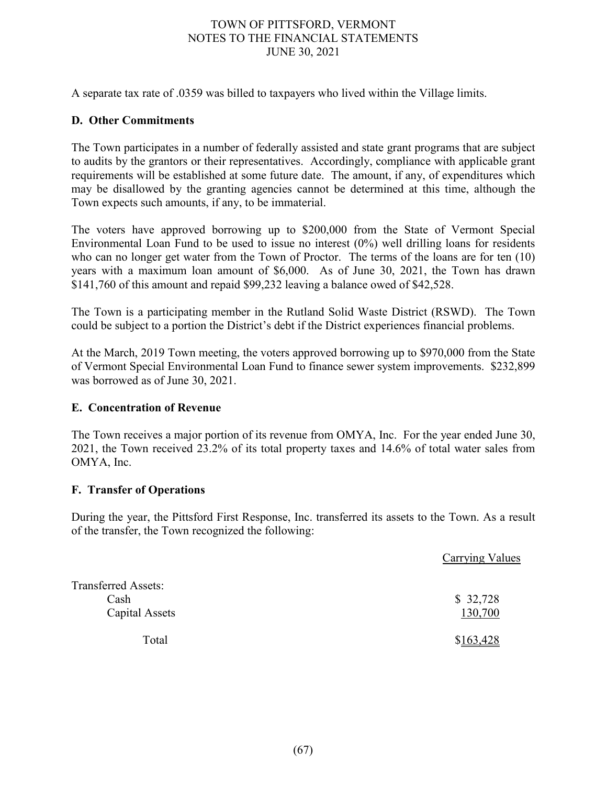A separate tax rate of .0359 was billed to taxpayers who lived within the Village limits.

# **D. Other Commitments**

The Town participates in a number of federally assisted and state grant programs that are subject to audits by the grantors or their representatives. Accordingly, compliance with applicable grant requirements will be established at some future date. The amount, if any, of expenditures which may be disallowed by the granting agencies cannot be determined at this time, although the Town expects such amounts, if any, to be immaterial.

The voters have approved borrowing up to \$200,000 from the State of Vermont Special Environmental Loan Fund to be used to issue no interest (0%) well drilling loans for residents who can no longer get water from the Town of Proctor. The terms of the loans are for ten (10) years with a maximum loan amount of \$6,000. As of June 30, 2021, the Town has drawn \$141,760 of this amount and repaid \$99,232 leaving a balance owed of \$42,528.

The Town is a participating member in the Rutland Solid Waste District (RSWD). The Town could be subject to a portion the District's debt if the District experiences financial problems.

At the March, 2019 Town meeting, the voters approved borrowing up to \$970,000 from the State of Vermont Special Environmental Loan Fund to finance sewer system improvements. \$232,899 was borrowed as of June 30, 2021.

## **E. Concentration of Revenue**

The Town receives a major portion of its revenue from OMYA, Inc. For the year ended June 30, 2021, the Town received 23.2% of its total property taxes and 14.6% of total water sales from OMYA, Inc.

## **F. Transfer of Operations**

During the year, the Pittsford First Response, Inc. transferred its assets to the Town. As a result of the transfer, the Town recognized the following:

|                            | <b>Carrying Values</b> |
|----------------------------|------------------------|
| <b>Transferred Assets:</b> |                        |
| Cash                       | \$32,728               |
| Capital Assets             | 130,700                |
| Total                      | \$163,428              |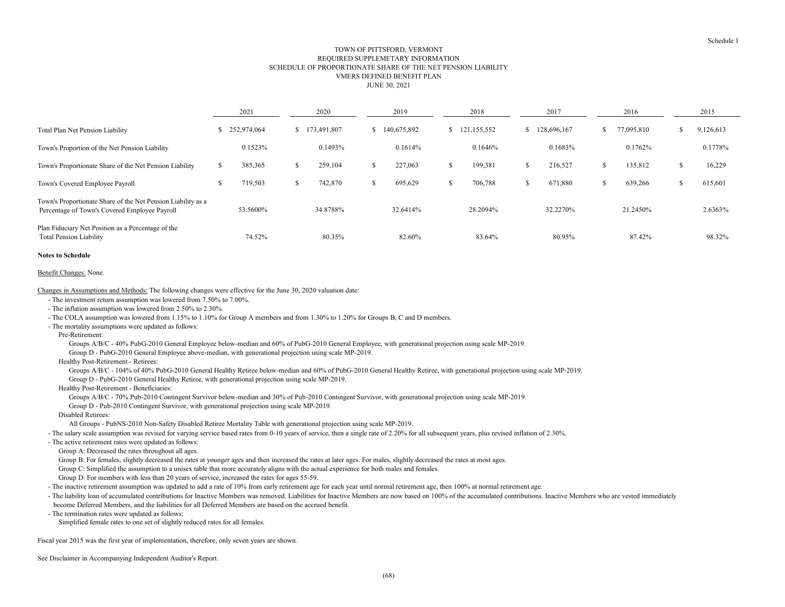#### TOWN OF PITTSFORD, VERMONT REQUIRED SUPPLEMETARY INFORMATION SCHEDULE OF PROPORTIONATE SHARE OF THE NET PENSION LIABILITY VMERS DEFINED BENEFIT PLAN JUNE 30, 2021

|                                                                                                               | 2021        |    | 2020        |  | 2019          |    | 2018        | 2017        | 2016       |    | 2015      |
|---------------------------------------------------------------------------------------------------------------|-------------|----|-------------|--|---------------|----|-------------|-------------|------------|----|-----------|
| Total Plan Net Pension Liability                                                                              | 252,974,064 | S. | 173,491,807 |  | \$140,675,892 | S. | 121,155,552 | 128,696,167 | 77,095,810 | S. | 9,126,613 |
| Town's Proportion of the Net Pension Liability                                                                | 0.1523%     |    | 0.1493%     |  | 0.1614%       |    | 0.1646%     | 0.1683%     | 0.1762%    |    | 0.1778%   |
| Town's Proportionate Share of the Net Pension Liability                                                       | 385,365     |    | 259,104     |  | 227,063       |    | 199,381     | 216,527     | 135,812    |    | 16,229    |
| Town's Covered Employee Payroll                                                                               | 719,503     |    | 742,870     |  | 695,629       |    | 706,788     | 671,880     | 639,266    |    | 615,601   |
| Town's Proportionate Share of the Net Pension Liability as a<br>Percentage of Town's Covered Employee Payroll | 53.5600%    |    | 34.8788%    |  | 32.6414%      |    | 28.2094%    | 32.2270%    | 21.2450%   |    | 2.6363%   |
| Plan Fiduciary Net Position as a Percentage of the<br><b>Total Pension Liability</b>                          | 74.52%      |    | 80.35%      |  | 82.60%        |    | 83.64%      | 80.95%      | 87.42%     |    | 98.32%    |

#### **Notes to Schedule**

#### Benefit Changes: None.

Changes in Assumptions and Methods: The following changes were effective for the June 30, 2020 valuation date:

- The investment return assumption was lowered from 7.50% to 7.00%.
- The inflation assumption was lowered from 2.50% to 2.30%.

- The COLA assumption was lowered from 1.15% to 1.10% for Group A members and from 1.30% to 1.20% for Groups B, C and D members.

- The mortality assumptions were updated as follows:
- Pre-Retirement:

Groups A/B/C - 40% PubG-2010 General Employee below-median and 60% of PubG-2010 General Employee, with generational projection using scale MP-2019.

Group D - PubG-2010 General Employee above-median, with generational projection using scale MP-2019.

Healthy Post-Retirement - Retirees:

Groups A/B/C - 104% of 40% PubG-2010 General Healthy Retiree below-median and 60% of PubG-2010 General Healthy Retiree, with generational projection using scale MP-2019.

Group D - PubG-2010 General Healthy Retiree, with generational projection using scale MP-2019.

Healthy Post-Retirement - Beneficiaries:

Groups A/B/C - 70% Pub-2010 Contingent Survivor below-median and 30% of Pub-2010 Contingent Survivor, with generational projection using scale MP-2019.

Group D - Pub-2010 Contingent Survivor, with generational projection using scale MP-2019.

Disabled Retirees:

All Groups - PubNS-2010 Non-Safety Disabled Retiree Mortality Table with generational projection using scale MP-2019.

- The salary scale assumption was revised for varying service based rates from 0-10 years of service, then a single rate of 2.20% for all subsequent years, plus revised inflation of 2.30%.

- The active retirement rates were updated as follows:

Group A: Decreased the rates throughout all ages.

Group B: For females, slightly decreased the rates at younger ages and then increased the rates at later ages. For males, slightly decreased the rates at most ages.

Group C: Simplified the assumption to a unisex table that more accurately aligns with the actual experience for both males and females.

Group D: For members with less than 20 years of service, increased the rates for ages 55-59.

- The inactive retirement assumption was updated to add a rate of 10% from early retirement age for each year until normal retirement age, then 100% at normal retirement age.

- The liability loan of accumulated contributions for Inactive Members was removed. Liabilities for Inactive Members are now based on 100% of the accumulated contributions. Inactive Members who are vested immediately become Deferred Members, and the liabilities for all Deferred Members are based on the accrued benefit.

- The termination rates were updated as follows:

Simplified female rates to one set of slightly reduced rates for all females.

Fiscal year 2015 was the first year of implementation, therefore, only seven years are shown.

See Disclaimer in Accompanying Independent Auditor's Report.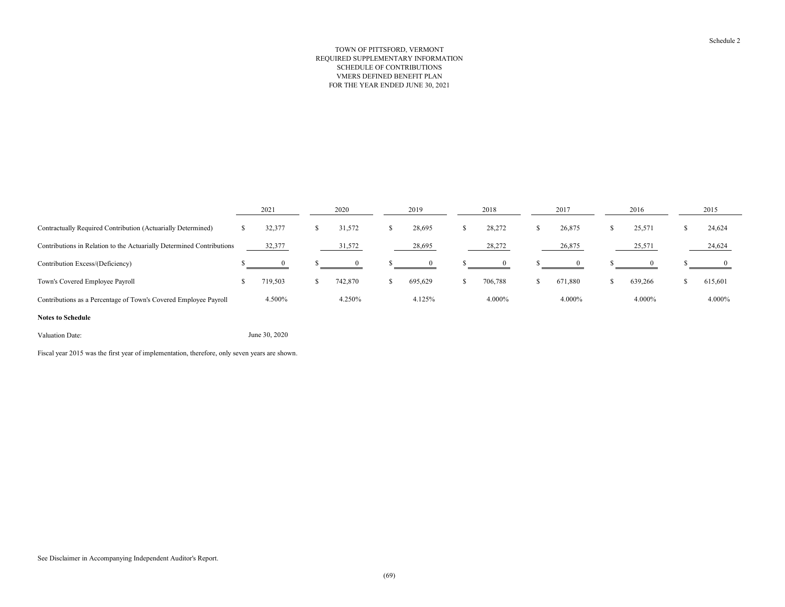### TOWN OF PITTSFORD, VERMONT REQUIRED SUPPLEMENTARY INFORMATION SCHEDULE OF CONTRIBUTIONS VMERS DEFINED BENEFIT PLAN FOR THE YEAR ENDED JUNE 30, 2021

|                                                                       | 2021    | 2020    | 2019    | 2018    | 2017    | 2016    | 2015    |
|-----------------------------------------------------------------------|---------|---------|---------|---------|---------|---------|---------|
| Contractually Required Contribution (Actuarially Determined)          | 32,377  | 31,572  | 28.695  | 28.272  | 26,875  | 25,571  | 24,624  |
| Contributions in Relation to the Actuarially Determined Contributions | 32,377  | 31,572  | 28,695  | 28,272  | 26,875  | 25,571  | 24,624  |
| Contribution Excess/(Deficiency)                                      |         |         |         |         |         |         |         |
| Town's Covered Employee Payroll                                       | 719,503 | 742,870 | 695,629 | 706,788 | 671,880 | 639,266 | 615,601 |
| Contributions as a Percentage of Town's Covered Employee Payroll      | 4.500%  | 4.250%  | 4.125%  | 4.000%  | 4.000%  | 4.000%  | 4.000%  |

### **Notes to Schedule**

Valuation Date: June 30, 2020

Fiscal year 2015 was the first year of implementation, therefore, only seven years are shown.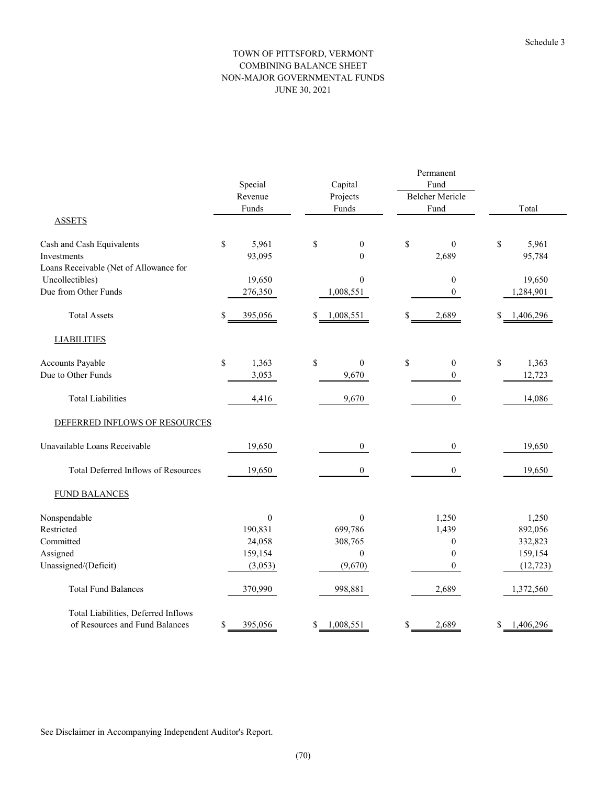## TOWN OF PITTSFORD, VERMONT COMBINING BALANCE SHEET NON-MAJOR GOVERNMENTAL FUNDS JUNE 30, 2021

|                                            | Special<br>Revenue<br>Funds |               | Capital<br>Projects<br>Funds | Permanent<br>Fund<br><b>Belcher Mericle</b><br>Fund | Total           |
|--------------------------------------------|-----------------------------|---------------|------------------------------|-----------------------------------------------------|-----------------|
| <b>ASSETS</b>                              |                             |               |                              |                                                     |                 |
| Cash and Cash Equivalents                  | $\mathbb{S}$                | \$<br>5,961   | $\boldsymbol{0}$             | \$<br>$\theta$                                      | \$<br>5,961     |
| Investments                                |                             | 93,095        | $\mathbf{0}$                 | 2,689                                               | 95,784          |
| Loans Receivable (Net of Allowance for     |                             |               |                              |                                                     |                 |
| Uncollectibles)                            |                             | 19,650        | $\boldsymbol{0}$             | $\boldsymbol{0}$                                    | 19,650          |
| Due from Other Funds                       |                             | 276,350       | 1,008,551                    | $\boldsymbol{0}$                                    | 1,284,901       |
| <b>Total Assets</b>                        | \$                          | 395,056<br>\$ | 1,008,551                    | \$<br>2,689                                         | \$<br>1,406,296 |
| <b>LIABILITIES</b>                         |                             |               |                              |                                                     |                 |
| Accounts Payable                           | \$                          | \$<br>1,363   | $\mathbf{0}$                 | \$<br>$\mathbf{0}$                                  | \$<br>1,363     |
| Due to Other Funds                         |                             | 3,053         | 9,670                        | $\boldsymbol{0}$                                    | 12,723          |
| <b>Total Liabilities</b>                   |                             | 4,416         | 9,670                        | $\overline{0}$                                      | 14,086          |
| DEFERRED INFLOWS OF RESOURCES              |                             |               |                              |                                                     |                 |
| Unavailable Loans Receivable               |                             | 19,650        | $\boldsymbol{0}$             | $\boldsymbol{0}$                                    | 19,650          |
| <b>Total Deferred Inflows of Resources</b> |                             | 19,650        | $\boldsymbol{0}$             | $\boldsymbol{0}$                                    | 19,650          |
| <b>FUND BALANCES</b>                       |                             |               |                              |                                                     |                 |
| Nonspendable                               |                             | $\mathbf{0}$  | $\boldsymbol{0}$             | 1,250                                               | 1,250           |
| Restricted                                 |                             | 190,831       | 699,786                      | 1,439                                               | 892,056         |
| Committed                                  |                             | 24,058        | 308,765                      | $\boldsymbol{0}$                                    | 332,823         |
| Assigned                                   |                             | 159,154       | $\boldsymbol{0}$             | $\boldsymbol{0}$                                    | 159,154         |
| Unassigned/(Deficit)                       |                             | (3,053)       | (9,670)                      | $\boldsymbol{0}$                                    | (12, 723)       |
| <b>Total Fund Balances</b>                 |                             | 370,990       | 998,881                      | 2,689                                               | 1,372,560       |
| Total Liabilities, Deferred Inflows        |                             |               |                              |                                                     |                 |
| of Resources and Fund Balances             | \$                          | 395,056<br>\$ | 1,008,551                    | \$<br>2,689                                         | \$<br>1,406,296 |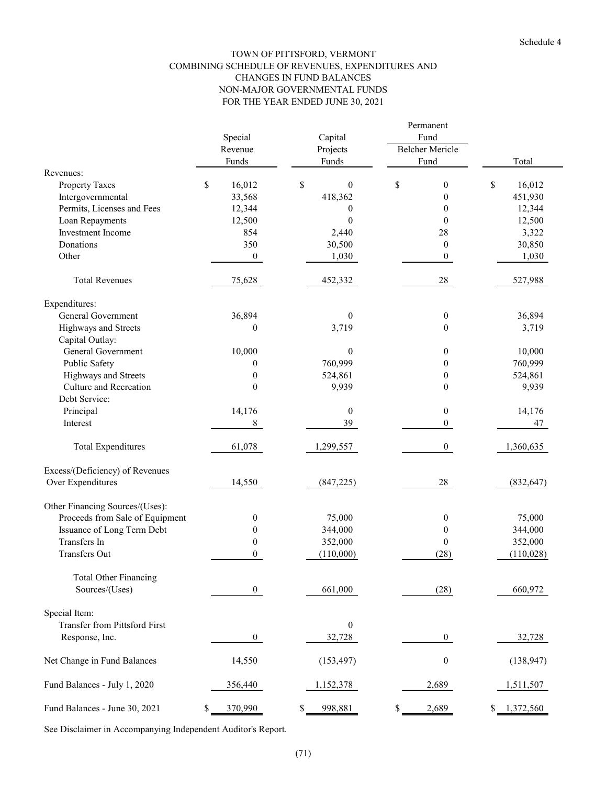## TOWN OF PITTSFORD, VERMONT COMBINING SCHEDULE OF REVENUES, EXPENDITURES AND CHANGES IN FUND BALANCES NON-MAJOR GOVERNMENTAL FUNDS FOR THE YEAR ENDED JUNE 30, 2021

|                                         |                  |                        | Permanent              |                                                                       |            |
|-----------------------------------------|------------------|------------------------|------------------------|-----------------------------------------------------------------------|------------|
|                                         | Special          | Capital                | Fund                   |                                                                       |            |
|                                         | Revenue          | Projects               | <b>Belcher Mericle</b> |                                                                       |            |
|                                         | Funds            | Funds                  | Fund                   |                                                                       | Total      |
| Revenues:                               |                  |                        |                        |                                                                       |            |
| <b>Property Taxes</b>                   | \$<br>16,012     | \$<br>$\boldsymbol{0}$ | \$<br>$\overline{0}$   | $\mathbb{S}% _{t}\left( t\right) \equiv\mathbb{S}_{t}\left( t\right)$ | 16,012     |
| Intergovernmental                       | 33,568           | 418,362                | $\theta$               |                                                                       | 451,930    |
| Permits, Licenses and Fees              | 12,344           | 0                      | $\mathbf{0}$           |                                                                       | 12,344     |
| Loan Repayments                         | 12,500           | $\mathbf{0}$           | $\theta$               |                                                                       | 12,500     |
| Investment Income                       | 854              | 2,440                  | 28                     |                                                                       | 3,322      |
| Donations                               | 350              | 30,500                 | $\overline{0}$         |                                                                       | 30,850     |
| Other                                   | $\boldsymbol{0}$ | 1,030                  | $\mathbf{0}$           |                                                                       | 1,030      |
| <b>Total Revenues</b>                   | 75,628           | 452,332                | 28                     |                                                                       | 527,988    |
| Expenditures:                           |                  |                        |                        |                                                                       |            |
| <b>General Government</b>               | 36,894           | $\theta$               | $\boldsymbol{0}$       |                                                                       | 36,894     |
| Highways and Streets<br>Capital Outlay: | $\overline{0}$   | 3,719                  | $\theta$               |                                                                       | 3,719      |
| General Government                      | 10,000           | $\boldsymbol{0}$       | $\mathbf{0}$           |                                                                       | 10,000     |
| Public Safety                           | $\theta$         | 760,999                | $\overline{0}$         |                                                                       | 760,999    |
| Highways and Streets                    | $\theta$         | 524,861                | $\boldsymbol{0}$       |                                                                       | 524,861    |
| Culture and Recreation                  | $\mathbf{0}$     | 9,939                  | $\theta$               |                                                                       | 9,939      |
| Debt Service:                           |                  |                        |                        |                                                                       |            |
| Principal                               | 14,176           | $\boldsymbol{0}$       | $\overline{0}$         |                                                                       | 14,176     |
| Interest                                | 8                | 39                     | $\overline{0}$         |                                                                       | 47         |
| <b>Total Expenditures</b>               | 61,078           | 1,299,557              | $\boldsymbol{0}$       |                                                                       | 1,360,635  |
| Excess/(Deficiency) of Revenues         |                  |                        |                        |                                                                       |            |
| Over Expenditures                       | 14,550           | (847, 225)             | 28                     |                                                                       | (832, 647) |
|                                         |                  |                        |                        |                                                                       |            |
| Other Financing Sources/(Uses):         |                  |                        |                        |                                                                       |            |
| Proceeds from Sale of Equipment         | $\mathbf{0}$     | 75,000                 | $\mathbf{0}$           |                                                                       | 75,000     |
| Issuance of Long Term Debt              | $\boldsymbol{0}$ | 344,000                | $\bf{0}$               |                                                                       | 344,000    |
| Transfers In                            | $\theta$         | 352,000                | $\theta$               |                                                                       | 352,000    |
| Transfers Out                           | $\boldsymbol{0}$ | (110,000)              | (28)                   |                                                                       | (110,028)  |
| <b>Total Other Financing</b>            |                  |                        |                        |                                                                       |            |
| Sources/(Uses)                          | $\mathbf{0}$     | 661,000                | (28)                   |                                                                       | 660,972    |
| Special Item:                           |                  |                        |                        |                                                                       |            |
| <b>Transfer from Pittsford First</b>    |                  | $\boldsymbol{0}$       |                        |                                                                       |            |
| Response, Inc.                          | $\boldsymbol{0}$ | 32,728                 | $\mathbf{0}$           |                                                                       | 32,728     |
| Net Change in Fund Balances             | 14,550           | (153, 497)             | $\boldsymbol{0}$       |                                                                       | (138, 947) |
| Fund Balances - July 1, 2020            | 356,440          | 1,152,378              | 2,689                  |                                                                       | 1,511,507  |
| Fund Balances - June 30, 2021           | \$<br>370,990    | \$<br>998,881          | \$<br>2,689            | \$                                                                    | 1,372,560  |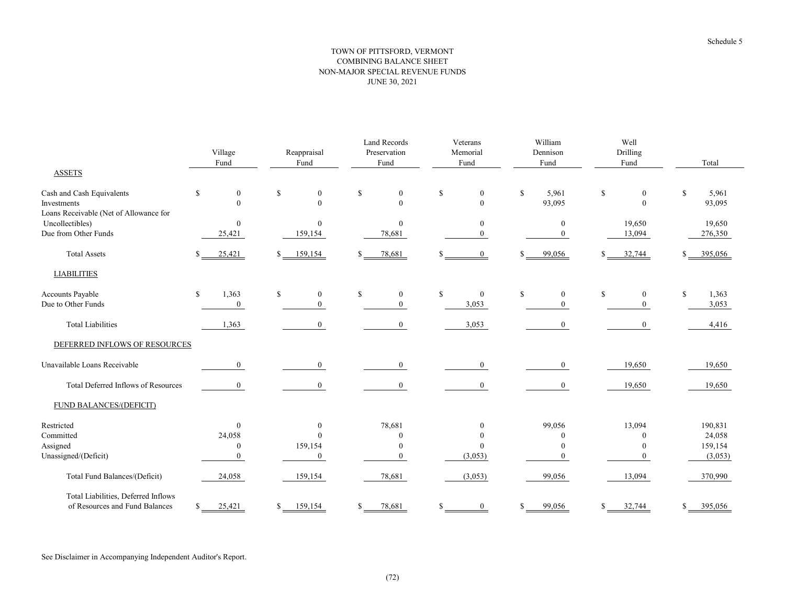### TOWN OF PITTSFORD, VERMONT COMBINING BALANCE SHEET NON-MAJOR SPECIAL REVENUE FUNDS JUNE 30, 2021

| <b>ASSETS</b>                            | Village<br>Fund         | Reappraisal<br>Fund                          | <b>Land Records</b><br>Preservation<br>Fund   | Veterans<br>Memorial<br>Fund         | William<br>Dennison<br>Fund      | Well<br>Drilling<br>Fund                     | Total                           |
|------------------------------------------|-------------------------|----------------------------------------------|-----------------------------------------------|--------------------------------------|----------------------------------|----------------------------------------------|---------------------------------|
|                                          |                         |                                              |                                               |                                      |                                  |                                              |                                 |
| Cash and Cash Equivalents<br>Investments | $\mathbf S$<br>0<br>0   | $\mathbb{S}$<br>$\boldsymbol{0}$<br>$\theta$ | <sup>\$</sup><br>$\boldsymbol{0}$<br>$\theta$ | $\$$<br>$\boldsymbol{0}$<br>$\Omega$ | $\mathcal{S}$<br>5,961<br>93,095 | $\mathbb{S}$<br>$\boldsymbol{0}$<br>$\theta$ | $\mathbb{S}$<br>5,961<br>93,095 |
| Loans Receivable (Net of Allowance for   |                         |                                              |                                               |                                      |                                  |                                              |                                 |
| Uncollectibles)                          | $\overline{0}$          | $\theta$                                     | $\mathbf{0}$                                  | $\mathbf{0}$                         | $\boldsymbol{0}$                 | 19,650                                       | 19,650                          |
| Due from Other Funds                     | 25,421                  | 159,154                                      | 78,681                                        | $\mathbf{0}$                         | $\mathbf{0}$                     | 13,094                                       | 276,350                         |
| <b>Total Assets</b>                      | 25,421<br><sup>\$</sup> | \$<br>159,154                                | 78,681                                        | $\overline{0}$                       | 99,056                           | 32,744                                       | 395,056                         |
| <b>LIABILITIES</b>                       |                         |                                              |                                               |                                      |                                  |                                              |                                 |
| Accounts Payable                         | 1,363<br>$\mathbb{S}$   | $\mathbb{S}$<br>$\mathbf{0}$                 | $\boldsymbol{0}$<br><sup>\$</sup>             | $\$$<br>$\mathbf{0}$                 | $\mathcal{S}$<br>$\mathbf{0}$    | $\mathbf S$<br>$\mathbf{0}$                  | \$<br>1,363                     |
| Due to Other Funds                       | $\overline{0}$          | $\mathbf{0}$                                 | $\overline{0}$                                | 3,053                                | $\theta$                         | $\overline{0}$                               | 3,053                           |
| <b>Total Liabilities</b>                 | 1,363                   | $\boldsymbol{0}$                             | $\overline{0}$                                | 3,053                                | $\overline{0}$                   | $\mathbf{0}$                                 | 4,416                           |
| DEFERRED INFLOWS OF RESOURCES            |                         |                                              |                                               |                                      |                                  |                                              |                                 |
| Unavailable Loans Receivable             | $\overline{0}$          | $\overline{0}$                               | $\overline{0}$                                | $\overline{0}$                       | $\overline{0}$                   | 19,650                                       | 19,650                          |
| Total Deferred Inflows of Resources      | $\overline{0}$          | $\overline{0}$                               | $\overline{0}$                                | $\overline{0}$                       | $\overline{0}$                   | 19,650                                       | 19,650                          |
| <b>FUND BALANCES/(DEFICIT)</b>           |                         |                                              |                                               |                                      |                                  |                                              |                                 |
| Restricted                               | $\overline{0}$          | $\theta$                                     | 78,681                                        | $\mathbf{0}$                         | 99,056                           | 13,094                                       | 190,831                         |
| Committed                                | 24,058                  |                                              | $\theta$                                      | $\theta$                             | $\theta$                         | $\overline{0}$                               | 24,058                          |
| Assigned                                 | $\theta$                | 159,154                                      | $\mathbf{0}$                                  | $\theta$                             |                                  | $\theta$                                     | 159,154                         |
| Unassigned/(Deficit)                     | 0                       | $\theta$                                     | $\theta$                                      | (3,053)                              |                                  | 0                                            | (3,053)                         |
| Total Fund Balances/(Deficit)            | 24,058                  | 159,154                                      | 78,681                                        | (3,053)                              | 99,056                           | 13,094                                       | 370,990                         |
| Total Liabilities, Deferred Inflows      |                         |                                              |                                               |                                      |                                  |                                              |                                 |
| of Resources and Fund Balances           | 25,421<br>S.            | \$159,154                                    | 78,681                                        | $\overline{0}$<br>\$                 | 99,056                           | 32,744                                       | \$395,056                       |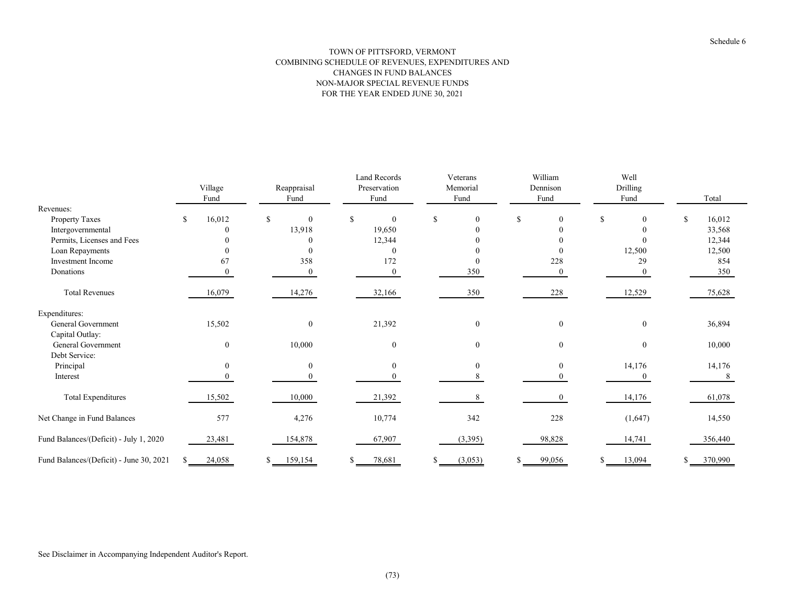### FOR THE YEAR ENDED JUNE 30, 2021 TOWN OF PITTSFORD, VERMONT COMBINING SCHEDULE OF REVENUES, EXPENDITURES AND CHANGES IN FUND BALANCES NON-MAJOR SPECIAL REVENUE FUNDS

|                                         |   | Village<br>Fund |    | Reappraisal<br>Fund |               | Land Records<br>Preservation<br>Fund |    | Veterans<br>Memorial<br>Fund |               | William<br>Dennison<br>Fund |    | Well<br>Drilling<br>Fund |    | Total   |
|-----------------------------------------|---|-----------------|----|---------------------|---------------|--------------------------------------|----|------------------------------|---------------|-----------------------------|----|--------------------------|----|---------|
| Revenues:                               |   |                 |    |                     |               |                                      |    |                              |               |                             |    |                          |    |         |
| Property Taxes                          | S | 16,012          | \$ | $\theta$            | <sup>\$</sup> | $\mathbf{0}$                         | \$ | $\theta$                     | <sup>\$</sup> | $\mathbf{0}$                | \$ | $\bf{0}$                 | \$ | 16,012  |
| Intergovernmental                       |   |                 |    | 13,918              |               | 19,650                               |    |                              |               | $\Omega$                    |    |                          |    | 33,568  |
| Permits, Licenses and Fees              |   |                 |    |                     |               | 12,344                               |    |                              |               |                             |    |                          |    | 12,344  |
| Loan Repayments                         |   |                 |    |                     |               |                                      |    |                              |               | $\Omega$                    |    | 12,500                   |    | 12,500  |
| Investment Income                       |   | 67              |    | 358                 |               | 172                                  |    |                              |               | 228                         |    | 29                       |    | 854     |
| Donations                               |   |                 |    | $\theta$            |               | $\theta$                             |    | 350                          |               | $\Omega$                    |    |                          |    | 350     |
| <b>Total Revenues</b>                   |   | 16,079          |    | 14,276              |               | 32,166                               |    | 350                          |               | 228                         |    | 12,529                   |    | 75,628  |
| Expenditures:                           |   |                 |    |                     |               |                                      |    |                              |               |                             |    |                          |    |         |
| General Government                      |   | 15,502          |    | $\mathbf{0}$        |               | 21,392                               |    | $\bf{0}$                     |               | $\boldsymbol{0}$            |    | $\boldsymbol{0}$         |    | 36,894  |
| Capital Outlay:                         |   |                 |    |                     |               |                                      |    |                              |               |                             |    |                          |    |         |
| General Government                      |   | $\mathbf{0}$    |    | 10,000              |               | $\theta$                             |    | $\bf{0}$                     |               | $\boldsymbol{0}$            |    | $\boldsymbol{0}$         |    | 10,000  |
| Debt Service:                           |   |                 |    |                     |               |                                      |    |                              |               |                             |    |                          |    |         |
| Principal                               |   | $\theta$        |    | $\mathbf{0}$        |               | $\theta$                             |    | $\overline{0}$               |               | $\mathbf{0}$                |    | 14,176                   |    | 14,176  |
| Interest                                |   |                 |    |                     |               |                                      |    |                              |               | 0                           |    | 0                        |    | 8       |
| <b>Total Expenditures</b>               |   | 15,502          |    | 10,000              |               | 21,392                               |    | 8                            |               | $\Omega$                    |    | 14,176                   |    | 61,078  |
| Net Change in Fund Balances             |   | 577             |    | 4,276               |               | 10,774                               |    | 342                          |               | 228                         |    | (1,647)                  |    | 14,550  |
| Fund Balances/(Deficit) - July 1, 2020  |   | 23,481          |    | 154,878             |               | 67,907                               |    | (3,395)                      |               | 98,828                      |    | 14,741                   |    | 356,440 |
| Fund Balances/(Deficit) - June 30, 2021 |   | 24,058          |    | 159,154             |               | 78,681                               |    | (3,053)                      |               | 99,056                      |    | 13,094                   |    | 370,990 |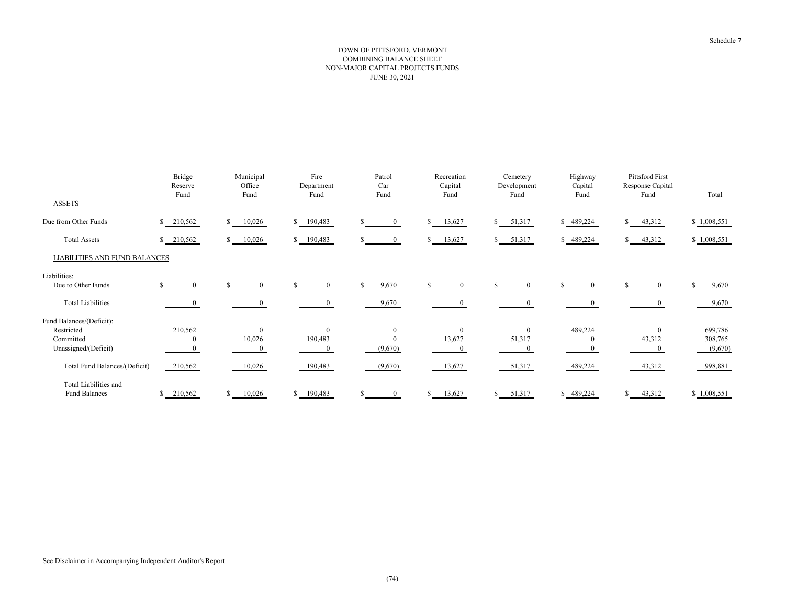### TOWN OF PITTSFORD, VERMONT COMBINING BALANCE SHEET NON-MAJOR CAPITAL PROJECTS FUNDS JUNE 30, 2021

|                                        | Bridge<br>Reserve<br>Fund | Municipal<br>Office<br>Fund | Fire<br>Department<br>Fund | Patrol<br>Car<br>Fund | Recreation<br>Capital<br>Fund | Cemetery<br>Development<br>Fund | Highway<br>Capital<br>Fund | Pittsford First<br>Response Capital<br>Fund | Total       |
|----------------------------------------|---------------------------|-----------------------------|----------------------------|-----------------------|-------------------------------|---------------------------------|----------------------------|---------------------------------------------|-------------|
| <b>ASSETS</b>                          |                           |                             |                            |                       |                               |                                 |                            |                                             |             |
| Due from Other Funds                   | 210,562<br>S.             | 10,026<br>\$                | 190,483<br>S.              | $\overline{0}$        | 13,627<br>\$                  | \$ 51,317                       | \$489,224                  | \$<br>43,312                                | \$1,008,551 |
| <b>Total Assets</b>                    | \$ 210,562                | 10,026<br>S.                | \$ 190,483                 | $\theta$              | \$ 13,627                     | \$ 51,317                       | \$489,224                  | \$ 43,312                                   | \$1,008,551 |
| LIABILITIES AND FUND BALANCES          |                           |                             |                            |                       |                               |                                 |                            |                                             |             |
| Liabilities:<br>Due to Other Funds     | $\mathbf{0}$              | $\theta$                    | $\mathbf{0}$               | \$<br>9,670           | $\bf{0}$                      | $\mathbf{0}$                    | $\theta$                   | $\mathbf{0}$                                | 9,670       |
| <b>Total Liabilities</b>               | $\mathbf{0}$              | $\overline{0}$              | $\boldsymbol{0}$           | 9,670                 | $\mathbf{0}$                  | $\mathbf{0}$                    | $\mathbf{0}$               | $\mathbf{0}$                                | 9,670       |
| Fund Balances/(Deficit):               |                           |                             |                            |                       |                               |                                 |                            |                                             |             |
| Restricted                             | 210,562                   | $\theta$                    | $\mathbf{0}$               | $\theta$              | $\overline{0}$                | $\mathbf{0}$                    | 489,224                    | $\overline{0}$                              | 699,786     |
| Committed                              | $\Omega$                  | 10,026                      | 190,483                    | $\Omega$              | 13,627                        | 51,317                          | $\Omega$                   | 43,312                                      | 308,765     |
| Unassigned/(Deficit)                   | $\mathbf{0}$              |                             | $\bf{0}$                   | (9,670)               |                               | $\bf{0}$                        |                            | $\overline{0}$                              | (9,670)     |
| Total Fund Balances/(Deficit)          | 210,562                   | 10,026                      | 190,483                    | (9,670)               | 13,627                        | 51,317                          | 489,224                    | 43,312                                      | 998,881     |
| Total Liabilities and<br>Fund Balances | \$ 210,562                | 10,026                      | \$ 190,483                 |                       | 13,627<br>S.                  | \$ 51,317                       | \$489,224                  | 43,312<br>$\sqrt{s}$                        | \$1,008,551 |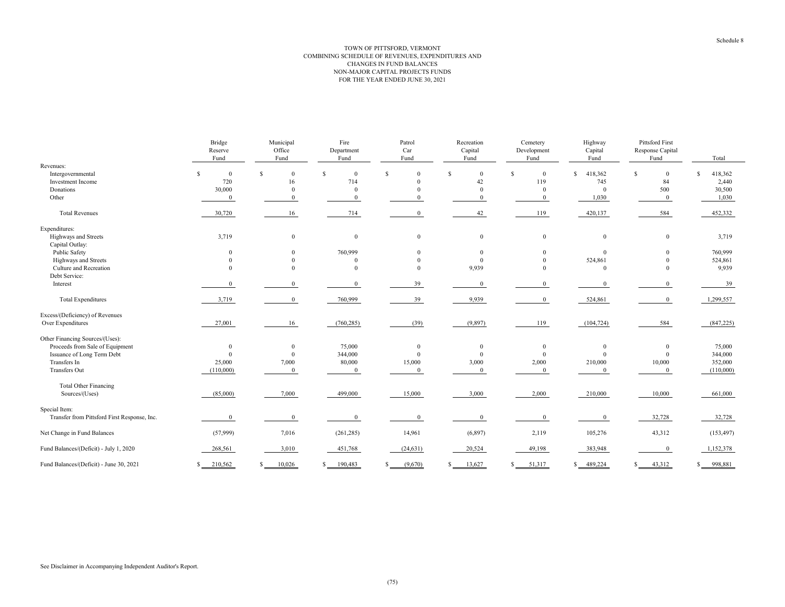#### TOWN OF PITTSFORD, VERMONT COMBINING SCHEDULE OF REVENUES, EXPENDITURES AND CHANGES IN FUND BALANCES NON-MAJOR CAPITAL PROJECTS FUNDS FOR THE YEAR ENDED JUNE 30, 2021

|                                                                    | Bridge<br>Reserve<br>Fund | Municipal<br>Office<br>Fund | Fire<br>Department<br>Fund   | Patrol<br>Car<br>Fund | Recreation<br>Capital<br>Fund | Cemetery<br>Development<br>Fund | Highway<br>Capital<br>Fund | Pittsford First<br>Response Capital<br>Fund | Total         |
|--------------------------------------------------------------------|---------------------------|-----------------------------|------------------------------|-----------------------|-------------------------------|---------------------------------|----------------------------|---------------------------------------------|---------------|
| Revenues:                                                          |                           |                             |                              |                       |                               |                                 |                            |                                             |               |
| Intergovernmental                                                  | S<br>$\mathbf{0}$         | <b>S</b><br>$\mathbf{0}$    | $\mathbf{s}$<br>$\mathbf{0}$ | s<br>$\theta$         | s<br>$\mathbf{0}$             | s<br>$\mathbf{0}$               | 418,362<br>$\mathbf{s}$    | S.<br>$\overline{0}$                        | 418,362<br>S. |
| Investment Income                                                  | 720                       | 16                          | 714                          | $\theta$              | 42                            | 119                             | 745                        | 84                                          | 2,440         |
| Donations                                                          | 30,000                    | $\theta$                    | $\theta$                     | $\theta$              | $\Omega$                      | $\mathbf{0}$                    | $\Omega$                   | 500                                         | 30,500        |
| Other                                                              | $\mathbf{0}$              | $\mathbf{0}$                | $\mathbf{0}$                 | $\mathbf{0}$          | $\theta$                      | $\mathbf{0}$                    | 1,030                      | $\overline{0}$                              | 1,030         |
| <b>Total Revenues</b>                                              | 30,720                    | 16                          | 714                          | $\bf{0}$              | 42                            | 119                             | 420,137                    | 584                                         | 452,332       |
| Expenditures:                                                      |                           |                             |                              |                       |                               |                                 |                            |                                             |               |
| Highways and Streets                                               | 3,719                     | $\mathbf{0}$                | $\overline{0}$               | $\boldsymbol{0}$      | $\mathbf{0}$                  | $\mathbf{0}$                    | $\mathbf{0}$               | $\mathbf{0}$                                | 3,719         |
| Capital Outlay:                                                    |                           |                             |                              |                       |                               |                                 |                            |                                             |               |
| Public Safety                                                      | $\theta$                  | $\Omega$                    | 760,999                      | $\Omega$              | $\mathbf{0}$                  |                                 | $\Omega$                   | $\Omega$                                    | 760,999       |
| Highways and Streets                                               | $\theta$                  | $\Omega$                    | $\theta$                     | $\mathbf{0}$          | $\theta$                      | $\Omega$                        | 524,861                    | $\overline{0}$                              | 524,861       |
| Culture and Recreation                                             | $\theta$                  | $\Omega$                    | $\Omega$                     | $\theta$              | 9,939                         | $\Omega$                        | $\Omega$                   | $\theta$                                    | 9,939         |
| Debt Service:                                                      |                           |                             |                              |                       |                               |                                 |                            |                                             |               |
| Interest                                                           | $\bf{0}$                  | $\Omega$                    | $\mathbf{0}$                 | 39                    | $\theta$                      | $\Omega$                        | $\overline{0}$             | $\mathbf{0}$                                | 39            |
| <b>Total Expenditures</b>                                          | 3,719                     | $\mathbf{0}$                | 760,999                      | 39                    | 9,939                         | $\mathbf{0}$                    | 524,861                    | $\overline{0}$                              | 1,299,557     |
| Excess/(Deficiency) of Revenues                                    |                           |                             |                              |                       |                               |                                 |                            |                                             |               |
| Over Expenditures                                                  | 27,001                    | 16                          | (760, 285)                   | (39)                  | (9, 897)                      | 119                             | (104, 724)                 | 584                                         | (847, 225)    |
| Other Financing Sources/(Uses):<br>Proceeds from Sale of Equipment | $\mathbf{0}$              | $\mathbf{0}$                | 75,000                       | $\mathbf{0}$          | $\mathbf{0}$                  | $\mathbf{0}$                    | $\mathbf{0}$               | $\mathbf{0}$                                | 75,000        |
| Issuance of Long Term Debt                                         | $\theta$                  | $\mathbf{0}$                | 344,000                      | $\mathbf{0}$          | $\theta$                      | $\Omega$                        | $\theta$                   | $\mathbf{0}$                                | 344,000       |
| Transfers In                                                       | 25,000                    | 7,000                       | 80,000                       | 15,000                | 3,000                         | 2,000                           | 210,000                    | 10,000                                      | 352,000       |
| Transfers Out                                                      | (110,000)                 | $\mathbf{0}$                | $\mathbf{0}$                 | $\mathbf{0}$          | $\mathbf{0}$                  | $\mathbf{0}$                    | $\overline{0}$             | $\mathbf{0}$                                | (110,000)     |
|                                                                    |                           |                             |                              |                       |                               |                                 |                            |                                             |               |
| <b>Total Other Financing</b><br>Sources/(Uses)                     | (85,000)                  | 7,000                       | 499,000                      | 15,000                | 3,000                         | 2,000                           | 210,000                    | 10,000                                      | 661,000       |
|                                                                    |                           |                             |                              |                       |                               |                                 |                            |                                             |               |
| Special Item:                                                      |                           |                             |                              |                       |                               |                                 |                            |                                             |               |
| Transfer from Pittsford First Response, Inc.                       | $\bf{0}$                  | $\Omega$                    | $\theta$                     | $\mathbf{0}$          | $\theta$                      | $\mathbf{0}$                    | $\mathbf{0}$               | 32,728                                      | 32,728        |
| Net Change in Fund Balances                                        | (57,999)                  | 7,016                       | (261, 285)                   | 14,961                | (6,897)                       | 2,119                           | 105,276                    | 43,312                                      | (153, 497)    |
| Fund Balances/(Deficit) - July 1, 2020                             | 268,561                   | 3,010                       | 451,768                      | (24, 631)             | 20,524                        | 49,198                          | 383,948                    | $\bf{0}$                                    | 1,152,378     |
| Fund Balances/(Deficit) - June 30, 2021                            | 210,562<br>-S             | 10,026                      | 190,483                      | (9,670)               | 13,627                        | 51,317<br>\$_                   | 489,224                    | 43,312                                      | 998,881       |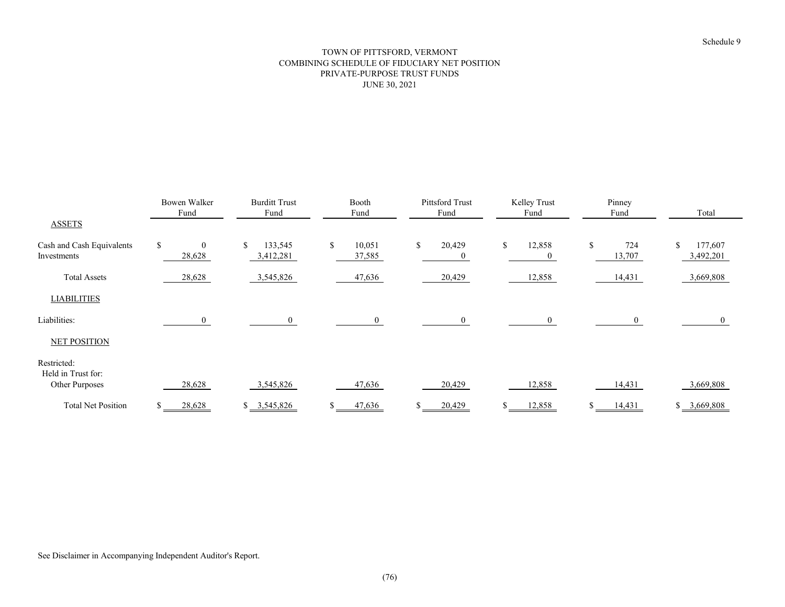### TOWN OF PITTSFORD, VERMONT COMBINING SCHEDULE OF FIDUCIARY NET POSITION PRIVATE-PURPOSE TRUST FUNDS JUNE 30, 2021

|                                          | Bowen Walker<br>Fund           | <b>Burditt Trust</b><br>Fund | Booth<br>Fund          | <b>Pittsford Trust</b><br>Fund      | Kelley Trust<br>Fund           | Pinney<br>Fund                 | Total                |
|------------------------------------------|--------------------------------|------------------------------|------------------------|-------------------------------------|--------------------------------|--------------------------------|----------------------|
| <b>ASSETS</b>                            |                                |                              |                        |                                     |                                |                                |                      |
| Cash and Cash Equivalents<br>Investments | S.<br>$\overline{0}$<br>28,628 | 133,545<br>S<br>3,412,281    | \$<br>10,051<br>37,585 | 20,429<br><sup>\$</sup><br>$\bf{0}$ | \$<br>12,858<br>$\overline{0}$ | <sup>\$</sup><br>724<br>13,707 | 177,607<br>3,492,201 |
| <b>Total Assets</b>                      | 28,628                         | 3,545,826                    | 47,636                 | 20,429                              | 12,858                         | 14,431                         | 3,669,808            |
| <b>LIABILITIES</b>                       |                                |                              |                        |                                     |                                |                                |                      |
| Liabilities:                             | $\theta$                       | $\Omega$                     | $\Omega$               | $\Omega$                            | $\Omega$                       |                                | $\theta$             |
| <b>NET POSITION</b>                      |                                |                              |                        |                                     |                                |                                |                      |
| Restricted:<br>Held in Trust for:        |                                |                              |                        |                                     |                                |                                |                      |
| Other Purposes                           | 28,628                         | 3,545,826                    | 47,636                 | 20,429                              | 12,858                         | 14,431                         | 3,669,808            |
| <b>Total Net Position</b>                | 28,628<br>S.                   | 3,545,826<br>S.              | 47,636<br>S            | 20,429                              | 12,858                         | 14,431                         | 3,669,808            |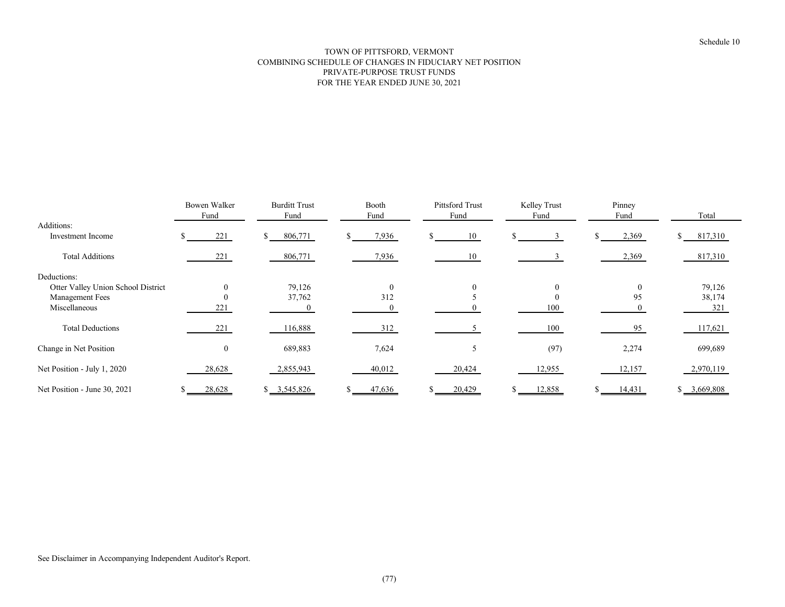### TOWN OF PITTSFORD, VERMONT COMBINING SCHEDULE OF CHANGES IN FIDUCIARY NET POSITION PRIVATE-PURPOSE TRUST FUNDS FOR THE YEAR ENDED JUNE 30, 2021

|                                    | <b>Bowen Walker</b><br>Fund |    | <b>Burditt Trust</b><br>Fund |  | Booth<br>Fund |  | Pittsford Trust<br>Fund |  | Kelley Trust<br>Fund |  | Pinney<br>Fund |  | Total     |
|------------------------------------|-----------------------------|----|------------------------------|--|---------------|--|-------------------------|--|----------------------|--|----------------|--|-----------|
| Additions:                         |                             |    |                              |  |               |  |                         |  |                      |  |                |  |           |
| Investment Income                  | 221                         |    | 806,771                      |  | 7,936         |  | 10                      |  |                      |  | 2,369          |  | 817,310   |
| <b>Total Additions</b>             | 221                         |    | 806,771                      |  | 7,936         |  | 10                      |  |                      |  | 2,369          |  | 817,310   |
| Deductions:                        |                             |    |                              |  |               |  |                         |  |                      |  |                |  |           |
| Otter Valley Union School District |                             |    | 79,126                       |  |               |  |                         |  |                      |  |                |  | 79,126    |
| Management Fees                    |                             |    | 37,762                       |  | 312           |  |                         |  |                      |  | 95             |  | 38,174    |
| Miscellaneous                      | 221                         |    |                              |  |               |  |                         |  | 100                  |  |                |  | 321       |
| <b>Total Deductions</b>            | 221                         |    | 116,888                      |  | 312           |  |                         |  | 100                  |  | 95             |  | 117,621   |
| Change in Net Position             | $\mathbf{0}$                |    | 689,883                      |  | 7,624         |  |                         |  | (97)                 |  | 2,274          |  | 699,689   |
| Net Position - July 1, 2020        | 28,628                      |    | 2,855,943                    |  | 40,012        |  | 20,424                  |  | 12,955               |  | 12,157         |  | 2,970,119 |
| Net Position - June 30, 2021       | 28,628                      | S. | 3,545,826                    |  | 47,636        |  | 20,429                  |  | 12,858               |  | 14,431         |  | 3,669,808 |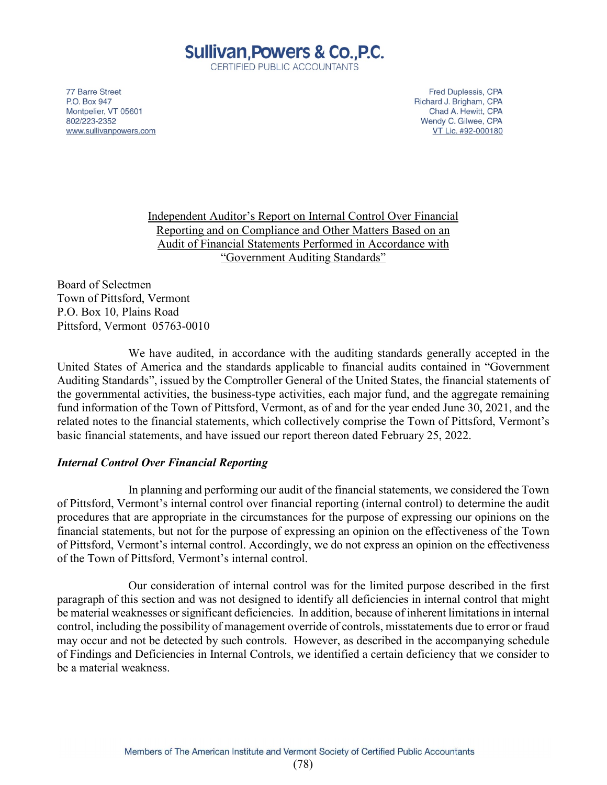# **Sullivan.Powers & Co., P.C.** CERTIFIED PUBLIC ACCOUNTANTS

77 Barre Street P.O. Box 947 Montpelier, VT 05601 802/223-2352 www.sullivanpowers.com

Fred Duplessis, CPA Richard J. Brigham, CPA Chad A. Hewitt, CPA Wendy C. Gilwee, CPA VT Lic. #92-000180

Independent Auditor's Report on Internal Control Over Financial Reporting and on Compliance and Other Matters Based on an Audit of Financial Statements Performed in Accordance with "Government Auditing Standards"

Board of Selectmen Town of Pittsford, Vermont P.O. Box 10, Plains Road Pittsford, Vermont 05763-0010

We have audited, in accordance with the auditing standards generally accepted in the United States of America and the standards applicable to financial audits contained in "Government Auditing Standards", issued by the Comptroller General of the United States, the financial statements of the governmental activities, the business-type activities, each major fund, and the aggregate remaining fund information of the Town of Pittsford, Vermont, as of and for the year ended June 30, 2021, and the related notes to the financial statements, which collectively comprise the Town of Pittsford, Vermont's basic financial statements, and have issued our report thereon dated February 25, 2022.

# *Internal Control Over Financial Reporting*

In planning and performing our audit of the financial statements, we considered the Town of Pittsford, Vermont's internal control over financial reporting (internal control) to determine the audit procedures that are appropriate in the circumstances for the purpose of expressing our opinions on the financial statements, but not for the purpose of expressing an opinion on the effectiveness of the Town of Pittsford, Vermont's internal control. Accordingly, we do not express an opinion on the effectiveness of the Town of Pittsford, Vermont's internal control.

Our consideration of internal control was for the limited purpose described in the first paragraph of this section and was not designed to identify all deficiencies in internal control that might be material weaknesses or significant deficiencies. In addition, because of inherent limitations in internal control, including the possibility of management override of controls, misstatements due to error or fraud may occur and not be detected by such controls. However, as described in the accompanying schedule of Findings and Deficiencies in Internal Controls, we identified a certain deficiency that we consider to be a material weakness.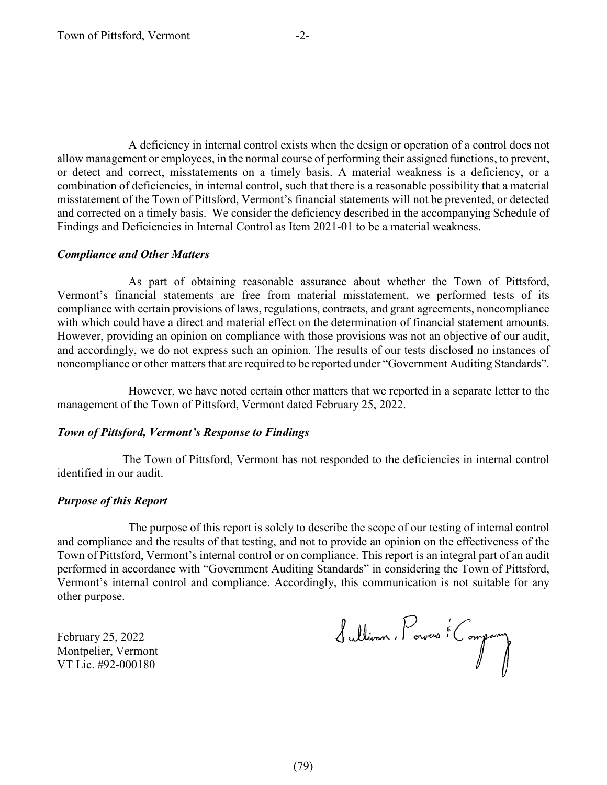A deficiency in internal control exists when the design or operation of a control does not allow management or employees, in the normal course of performing their assigned functions, to prevent, or detect and correct, misstatements on a timely basis. A material weakness is a deficiency, or a combination of deficiencies, in internal control, such that there is a reasonable possibility that a material misstatement of the Town of Pittsford, Vermont's financial statements will not be prevented, or detected and corrected on a timely basis. We consider the deficiency described in the accompanying Schedule of Findings and Deficiencies in Internal Control as Item 2021-01 to be a material weakness.

## *Compliance and Other Matters*

As part of obtaining reasonable assurance about whether the Town of Pittsford, Vermont's financial statements are free from material misstatement, we performed tests of its compliance with certain provisions of laws, regulations, contracts, and grant agreements, noncompliance with which could have a direct and material effect on the determination of financial statement amounts. However, providing an opinion on compliance with those provisions was not an objective of our audit, and accordingly, we do not express such an opinion. The results of our tests disclosed no instances of noncompliance or other matters that are required to be reported under "Government Auditing Standards".

However, we have noted certain other matters that we reported in a separate letter to the management of the Town of Pittsford, Vermont dated February 25, 2022.

## *Town of Pittsford, Vermont's Response to Findings*

The Town of Pittsford, Vermont has not responded to the deficiencies in internal control identified in our audit.

# *Purpose of this Report*

The purpose of this report is solely to describe the scope of our testing of internal control and compliance and the results of that testing, and not to provide an opinion on the effectiveness of the Town of Pittsford, Vermont's internal control or on compliance. This report is an integral part of an audit performed in accordance with "Government Auditing Standards" in considering the Town of Pittsford, Vermont's internal control and compliance. Accordingly, this communication is not suitable for any other purpose.

February 25, 2022 Montpelier, Vermont VT Lic. #92-000180

Sullivan, Powers : Company